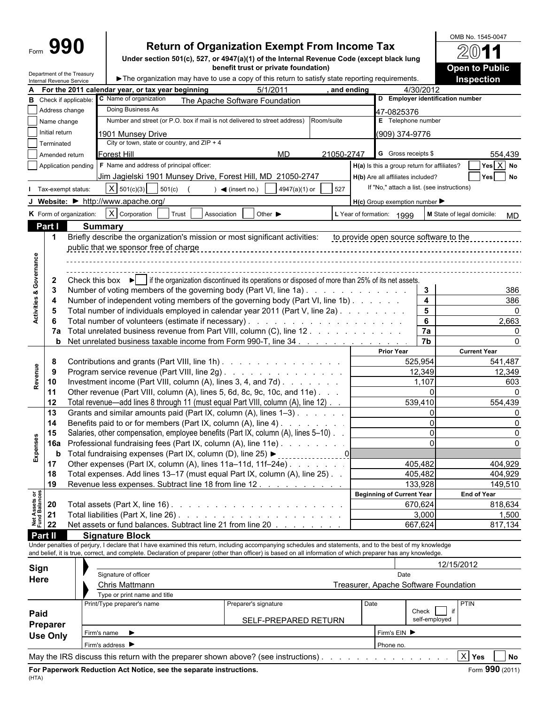# **Return of Organization Exempt From Income Tax**

**Under section 501(c), 527, or 4947(a)(1) of the Internal Revenue Code (except black lung benefit trust or private foundation)**

|                                        |                 | Department of the Treasury<br>Internal Revenue Service                                                                                             |                                                                              |                                                                    | The organization may have to use a copy of this return to satisfy state reporting requirements.                                                                                                                                                                                                                          |            |                                                     |                            | <b>Inspection</b>    |  |  |
|----------------------------------------|-----------------|----------------------------------------------------------------------------------------------------------------------------------------------------|------------------------------------------------------------------------------|--------------------------------------------------------------------|--------------------------------------------------------------------------------------------------------------------------------------------------------------------------------------------------------------------------------------------------------------------------------------------------------------------------|------------|-----------------------------------------------------|----------------------------|----------------------|--|--|
|                                        |                 |                                                                                                                                                    | For the 2011 calendar year, or tax year beginning                            |                                                                    | 5/1/2011                                                                                                                                                                                                                                                                                                                 | and ending | 4/30/2012                                           |                            |                      |  |  |
|                                        |                 | <b>B</b> Check if applicable:                                                                                                                      | C Name of organization                                                       |                                                                    | The Apache Software Foundation                                                                                                                                                                                                                                                                                           |            | D Employer identification number                    |                            |                      |  |  |
|                                        | Address change  |                                                                                                                                                    | Doing Business As                                                            |                                                                    |                                                                                                                                                                                                                                                                                                                          |            | 47-0825376                                          |                            |                      |  |  |
|                                        | Name change     |                                                                                                                                                    |                                                                              |                                                                    | Number and street (or P.O. box if mail is not delivered to street address)                                                                                                                                                                                                                                               | Room/suite | E Telephone number                                  |                            |                      |  |  |
|                                        | Initial return  |                                                                                                                                                    | 1901 Munsev Drive                                                            |                                                                    |                                                                                                                                                                                                                                                                                                                          |            | (909) 374-9776                                      |                            |                      |  |  |
|                                        | Terminated      |                                                                                                                                                    | City or town, state or country, and $ZIP + 4$                                |                                                                    |                                                                                                                                                                                                                                                                                                                          |            |                                                     |                            |                      |  |  |
|                                        | Amended return  |                                                                                                                                                    | <b>Forest Hill</b>                                                           |                                                                    | MD                                                                                                                                                                                                                                                                                                                       | 21050-2747 | <b>G</b> Gross receipts \$                          |                            | 554,439              |  |  |
|                                        |                 | Application pending                                                                                                                                | F Name and address of principal officer:                                     |                                                                    |                                                                                                                                                                                                                                                                                                                          |            | H(a) Is this a group return for affiliates?         |                            | Yes X No             |  |  |
|                                        |                 |                                                                                                                                                    |                                                                              |                                                                    | Jim Jagielski 1901 Munsey Drive, Forest Hill, MD 21050-2747                                                                                                                                                                                                                                                              |            | H(b) Are all affiliates included?                   |                            | Yes No               |  |  |
|                                        |                 | Tax-exempt status:                                                                                                                                 | $X \mid 501(c)(3)$                                                           | 501(c)                                                             | 4947(a)(1) or<br>$\blacktriangleleft$ (insert no.)                                                                                                                                                                                                                                                                       | 527        | If "No," attach a list. (see instructions)          |                            |                      |  |  |
|                                        |                 |                                                                                                                                                    | J Website: • http://www.apache.org/                                          |                                                                    |                                                                                                                                                                                                                                                                                                                          |            | $H(c)$ Group exemption number $\blacktriangleright$ |                            |                      |  |  |
|                                        |                 | K Form of organization:                                                                                                                            | $X$ Corporation                                                              | Trust<br>Association                                               | Other $\blacktriangleright$                                                                                                                                                                                                                                                                                              |            | L Year of formation: 1999                           | M State of legal domicile: |                      |  |  |
|                                        | Part I          |                                                                                                                                                    |                                                                              |                                                                    |                                                                                                                                                                                                                                                                                                                          |            |                                                     |                            | MD                   |  |  |
|                                        | -1              |                                                                                                                                                    | <b>Summary</b>                                                               |                                                                    | Briefly describe the organization's mission or most significant activities: to provide open source software to the                                                                                                                                                                                                       |            |                                                     |                            |                      |  |  |
|                                        |                 |                                                                                                                                                    | public that we sponsor free of charge                                        |                                                                    |                                                                                                                                                                                                                                                                                                                          |            |                                                     |                            |                      |  |  |
|                                        |                 |                                                                                                                                                    |                                                                              |                                                                    |                                                                                                                                                                                                                                                                                                                          |            |                                                     |                            |                      |  |  |
|                                        |                 |                                                                                                                                                    |                                                                              |                                                                    |                                                                                                                                                                                                                                                                                                                          |            |                                                     |                            |                      |  |  |
| Governance                             | $\mathbf{2}$    |                                                                                                                                                    |                                                                              |                                                                    | Check this box $\blacktriangleright$ if the organization discontinued its operations or disposed of more than 25% of its net assets.                                                                                                                                                                                     |            |                                                     |                            |                      |  |  |
|                                        | -3              |                                                                                                                                                    |                                                                              |                                                                    | Number of voting members of the governing body (Part VI, line 1a).                                                                                                                                                                                                                                                       |            |                                                     | $\mathbf{3}$               |                      |  |  |
| ೲ                                      | 4               |                                                                                                                                                    |                                                                              |                                                                    | Number of independent voting members of the governing body (Part VI, line 1b).                                                                                                                                                                                                                                           |            |                                                     | $\overline{\mathbf{4}}$    | 386<br>386           |  |  |
| Activities                             | 5               |                                                                                                                                                    |                                                                              |                                                                    | Total number of individuals employed in calendar year 2011 (Part V, line 2a)                                                                                                                                                                                                                                             |            |                                                     | $5\phantom{1}$             |                      |  |  |
|                                        | -6              |                                                                                                                                                    |                                                                              |                                                                    |                                                                                                                                                                                                                                                                                                                          |            |                                                     | $6\phantom{1}$             | 2,663                |  |  |
|                                        |                 |                                                                                                                                                    |                                                                              |                                                                    | 7a Total unrelated business revenue from Part VIII, column (C), line 12.                                                                                                                                                                                                                                                 |            |                                                     | 7a                         |                      |  |  |
|                                        |                 |                                                                                                                                                    |                                                                              |                                                                    | <b>b</b> Net unrelated business taxable income from Form 990-T, line 34                                                                                                                                                                                                                                                  |            |                                                     | 7b                         |                      |  |  |
|                                        |                 |                                                                                                                                                    |                                                                              |                                                                    |                                                                                                                                                                                                                                                                                                                          |            | <b>Prior Year</b>                                   |                            | <b>Current Year</b>  |  |  |
|                                        | 8               |                                                                                                                                                    |                                                                              |                                                                    | Contributions and grants (Part VIII, line 1h)                                                                                                                                                                                                                                                                            |            | 525.954                                             |                            | 541,487              |  |  |
| Revenue                                | 9               |                                                                                                                                                    |                                                                              |                                                                    | Program service revenue (Part VIII, line 2g)                                                                                                                                                                                                                                                                             |            |                                                     | 12,349                     | 12,349               |  |  |
|                                        | 10              |                                                                                                                                                    |                                                                              |                                                                    | Investment income (Part VIII, column (A), lines 3, 4, and 7d).                                                                                                                                                                                                                                                           |            |                                                     | 1,107                      | 603                  |  |  |
|                                        | 11              |                                                                                                                                                    |                                                                              |                                                                    | Other revenue (Part VIII, column (A), lines 5, 6d, 8c, 9c, 10c, and 11e).                                                                                                                                                                                                                                                |            |                                                     | $\Omega$                   |                      |  |  |
|                                        | 12<br>13        |                                                                                                                                                    |                                                                              |                                                                    | Total revenue—add lines 8 through 11 (must equal Part VIII, column (A), line 12)                                                                                                                                                                                                                                         |            | 539,410                                             | ΩI                         | 554,439              |  |  |
|                                        | 14              | Grants and similar amounts paid (Part IX, column (A), lines 1-3)<br>Benefits paid to or for members (Part IX, column (A), line 4).<br>.            |                                                                              |                                                                    |                                                                                                                                                                                                                                                                                                                          |            |                                                     |                            |                      |  |  |
|                                        | 15              | Salaries, other compensation, employee benefits (Part IX, column (A), lines 5-10)<br>Professional fundraising fees (Part IX, column (A), line 11e) |                                                                              |                                                                    |                                                                                                                                                                                                                                                                                                                          |            |                                                     |                            |                      |  |  |
|                                        | 16a             |                                                                                                                                                    |                                                                              |                                                                    |                                                                                                                                                                                                                                                                                                                          |            |                                                     |                            |                      |  |  |
| Expenses                               | b               |                                                                                                                                                    |                                                                              |                                                                    |                                                                                                                                                                                                                                                                                                                          |            |                                                     |                            |                      |  |  |
|                                        | 17              | Total fundraising expenses (Part IX, column (D), line 25) ►<br><u>. 0</u><br>Other expenses (Part IX, column (A), lines 11a-11d, 11f-24e)          |                                                                              |                                                                    | 405,482                                                                                                                                                                                                                                                                                                                  |            | 404,929                                             |                            |                      |  |  |
|                                        | 18              |                                                                                                                                                    | Total expenses. Add lines 13-17 (must equal Part IX, column (A), line 25). . |                                                                    |                                                                                                                                                                                                                                                                                                                          |            | 405,482                                             |                            | 404,929              |  |  |
|                                        | 19              |                                                                                                                                                    |                                                                              |                                                                    | Revenue less expenses. Subtract line 18 from line 12                                                                                                                                                                                                                                                                     |            | 133,928                                             |                            | 149,510              |  |  |
|                                        |                 |                                                                                                                                                    |                                                                              |                                                                    |                                                                                                                                                                                                                                                                                                                          |            | <b>Beginning of Current Year</b>                    |                            | <b>End of Year</b>   |  |  |
| <b>Net Assets or<br/>Fund Balances</b> | 20              | Total assets (Part X, line 16) $\ldots$ $\ldots$ $\ldots$ $\ldots$ $\ldots$ $\ldots$ $\ldots$ $\ldots$ $\ldots$                                    |                                                                              |                                                                    |                                                                                                                                                                                                                                                                                                                          | 670,624    |                                                     | 818,634                    |                      |  |  |
|                                        | 21              |                                                                                                                                                    |                                                                              |                                                                    |                                                                                                                                                                                                                                                                                                                          |            |                                                     | 3,000                      | 1,500                |  |  |
|                                        | 22              |                                                                                                                                                    |                                                                              |                                                                    | Net assets or fund balances. Subtract line 21 from line 20                                                                                                                                                                                                                                                               |            | 667,624                                             |                            | 817,134              |  |  |
|                                        | <b>Part II</b>  |                                                                                                                                                    | <b>Signature Block</b>                                                       |                                                                    |                                                                                                                                                                                                                                                                                                                          |            |                                                     |                            |                      |  |  |
|                                        |                 |                                                                                                                                                    |                                                                              |                                                                    | Under penalties of perjury, I declare that I have examined this return, including accompanying schedules and statements, and to the best of my knowledge<br>and belief, it is true, correct, and complete. Declaration of preparer (other than officer) is based on all information of which preparer has any knowledge. |            |                                                     |                            |                      |  |  |
|                                        |                 |                                                                                                                                                    |                                                                              |                                                                    |                                                                                                                                                                                                                                                                                                                          |            |                                                     |                            |                      |  |  |
| Sign                                   |                 |                                                                                                                                                    | Signature of officer                                                         |                                                                    |                                                                                                                                                                                                                                                                                                                          |            | Date                                                | 12/15/2012                 |                      |  |  |
| Here                                   |                 |                                                                                                                                                    | <b>Chris Mattmann</b>                                                        |                                                                    |                                                                                                                                                                                                                                                                                                                          |            | Treasurer, Apache Software Foundation               |                            |                      |  |  |
|                                        |                 |                                                                                                                                                    | Type or print name and title                                                 |                                                                    |                                                                                                                                                                                                                                                                                                                          |            |                                                     |                            |                      |  |  |
|                                        |                 |                                                                                                                                                    | Print/Type preparer's name                                                   |                                                                    | Preparer's signature                                                                                                                                                                                                                                                                                                     |            | Date                                                |                            | <b>PTIN</b>          |  |  |
| Paid                                   |                 |                                                                                                                                                    |                                                                              |                                                                    |                                                                                                                                                                                                                                                                                                                          |            |                                                     | Check<br>if                |                      |  |  |
|                                        | Preparer        |                                                                                                                                                    |                                                                              |                                                                    | SELF-PREPARED RETURN                                                                                                                                                                                                                                                                                                     |            |                                                     | self-employed              |                      |  |  |
|                                        | <b>Use Only</b> |                                                                                                                                                    | Firm's name $\blacktriangleright$                                            |                                                                    |                                                                                                                                                                                                                                                                                                                          |            | Firm's EIN ▶                                        |                            |                      |  |  |
|                                        |                 |                                                                                                                                                    | Firm's address $\blacktriangleright$                                         |                                                                    |                                                                                                                                                                                                                                                                                                                          |            | Phone no.                                           |                            |                      |  |  |
|                                        |                 |                                                                                                                                                    |                                                                              |                                                                    | May the IRS discuss this return with the preparer shown above? (see instructions).                                                                                                                                                                                                                                       |            |                                                     |                            | $X$ Yes<br><b>No</b> |  |  |
|                                        |                 |                                                                                                                                                    |                                                                              | For Paperwork Reduction Act Notice, see the separate instructions. |                                                                                                                                                                                                                                                                                                                          |            |                                                     |                            | Form 990 (2011)      |  |  |
| (HTA)                                  |                 |                                                                                                                                                    |                                                                              |                                                                    |                                                                                                                                                                                                                                                                                                                          |            |                                                     |                            |                      |  |  |

OMB No. 1545-0047

 $\overline{2}$ 

**Open to Public Inspection**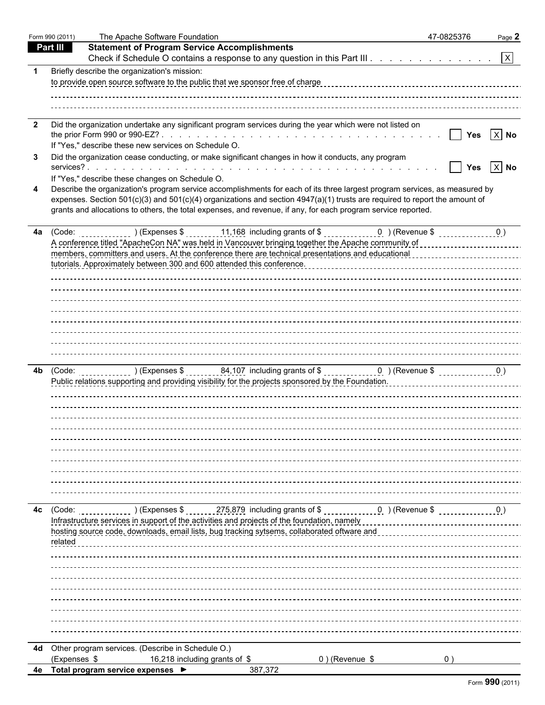|                         | Form 990 (2011) | The Apache Software Foundation                                                                                                                                                                                                                    | 47-0825376      | Page 2   |
|-------------------------|-----------------|---------------------------------------------------------------------------------------------------------------------------------------------------------------------------------------------------------------------------------------------------|-----------------|----------|
| <b>Part III</b>         |                 | <b>Statement of Program Service Accomplishments</b>                                                                                                                                                                                               |                 |          |
|                         |                 | Check if Schedule O contains a response to any question in this Part III. $\ldots$ $\vert x \vert$                                                                                                                                                |                 |          |
| -1                      |                 | Briefly describe the organization's mission:                                                                                                                                                                                                      |                 |          |
|                         |                 | to provide open source software to the public that we sponsor free of charge                                                                                                                                                                      |                 |          |
|                         |                 |                                                                                                                                                                                                                                                   |                 |          |
|                         |                 |                                                                                                                                                                                                                                                   |                 |          |
| $\overline{\mathbf{2}}$ |                 | Did the organization undertake any significant program services during the year which were not listed on                                                                                                                                          |                 |          |
|                         |                 | If "Yes," describe these new services on Schedule O.                                                                                                                                                                                              | <b>No. 1998</b> | $X$ No   |
| 3                       |                 | Did the organization cease conducting, or make significant changes in how it conducts, any program                                                                                                                                                |                 |          |
|                         |                 |                                                                                                                                                                                                                                                   | <b>Yes</b>      | $ X $ No |
|                         |                 | If "Yes," describe these changes on Schedule O.                                                                                                                                                                                                   |                 |          |
| 4                       |                 | Describe the organization's program service accomplishments for each of its three largest program services, as measured by                                                                                                                        |                 |          |
|                         |                 | expenses. Section $501(c)(3)$ and $501(c)(4)$ organizations and section $4947(a)(1)$ trusts are required to report the amount of<br>grants and allocations to others, the total expenses, and revenue, if any, for each program service reported. |                 |          |
|                         |                 |                                                                                                                                                                                                                                                   |                 |          |
|                         |                 | 4a $(Code:$ $(Code:$ $(Cose: 0))$ $(Expenses$ $\frac{11,168}{10,000})$ including grants of $\frac{1000}{10,0000}$ $(Coe)$ $(Coe)$ $(Coe)$                                                                                                         |                 |          |
|                         |                 |                                                                                                                                                                                                                                                   |                 |          |
|                         |                 | members, committers and users. At the conference there are technical presentations and educational concentrations and educational                                                                                                                 |                 |          |
|                         |                 |                                                                                                                                                                                                                                                   |                 |          |
|                         |                 |                                                                                                                                                                                                                                                   |                 |          |
|                         |                 |                                                                                                                                                                                                                                                   |                 |          |
|                         |                 |                                                                                                                                                                                                                                                   |                 |          |
|                         |                 |                                                                                                                                                                                                                                                   |                 |          |
|                         |                 |                                                                                                                                                                                                                                                   |                 |          |
|                         |                 |                                                                                                                                                                                                                                                   |                 |          |
|                         |                 |                                                                                                                                                                                                                                                   |                 |          |
| 4b                      |                 |                                                                                                                                                                                                                                                   |                 |          |
|                         |                 |                                                                                                                                                                                                                                                   |                 |          |
|                         |                 |                                                                                                                                                                                                                                                   |                 |          |
|                         |                 |                                                                                                                                                                                                                                                   |                 |          |
|                         |                 |                                                                                                                                                                                                                                                   |                 |          |
|                         |                 |                                                                                                                                                                                                                                                   |                 |          |
|                         |                 |                                                                                                                                                                                                                                                   |                 |          |
|                         |                 |                                                                                                                                                                                                                                                   |                 |          |
|                         |                 |                                                                                                                                                                                                                                                   |                 |          |
|                         |                 |                                                                                                                                                                                                                                                   |                 |          |
|                         |                 |                                                                                                                                                                                                                                                   |                 |          |
| 4с                      | (Code:          |                                                                                                                                                                                                                                                   |                 |          |
|                         |                 | Infrastructure services in support of the activities and projects of the foundation, namely                                                                                                                                                       |                 |          |
|                         | related         | hosting source code, downloads, email lists, bug tracking sytsems, collaborated oftware and                                                                                                                                                       |                 |          |
|                         |                 |                                                                                                                                                                                                                                                   |                 |          |
|                         |                 |                                                                                                                                                                                                                                                   |                 |          |
|                         |                 |                                                                                                                                                                                                                                                   |                 |          |
|                         |                 |                                                                                                                                                                                                                                                   |                 |          |
|                         |                 |                                                                                                                                                                                                                                                   |                 |          |
|                         |                 |                                                                                                                                                                                                                                                   |                 |          |
|                         |                 |                                                                                                                                                                                                                                                   |                 |          |
|                         |                 |                                                                                                                                                                                                                                                   |                 |          |
| 4d                      |                 | Other program services. (Describe in Schedule O.)                                                                                                                                                                                                 |                 |          |
|                         | (Expenses \$    | 0) (Revenue \$<br>16,218 including grants of \$                                                                                                                                                                                                   | 0)              |          |
|                         |                 | 4e Total program service expenses ▶<br>387,372                                                                                                                                                                                                    |                 |          |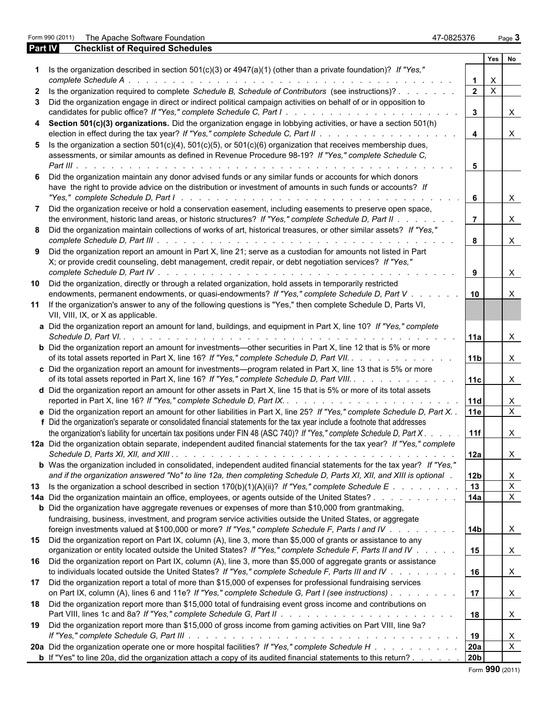Form 990 (2011) The Apache Software Foundation and the Apache Software Foundation 47-0825376 Page 3

|              | <b>Part IV</b><br><b>Checklist of Required Schedules</b>                                                                                                                                                                                                                                                                             |                         |              |                           |
|--------------|--------------------------------------------------------------------------------------------------------------------------------------------------------------------------------------------------------------------------------------------------------------------------------------------------------------------------------------|-------------------------|--------------|---------------------------|
|              |                                                                                                                                                                                                                                                                                                                                      |                         | Yes          | No                        |
|              | 1 Is the organization described in section $501(c)(3)$ or $4947(a)(1)$ (other than a private foundation)? If "Yes,"                                                                                                                                                                                                                  | $\mathbf{1}$            | $\mathsf{X}$ |                           |
| $\mathbf{2}$ | Is the organization required to complete Schedule B, Schedule of Contributors (see instructions)?                                                                                                                                                                                                                                    |                         | $2 \mid X$   |                           |
| 3            | Did the organization engage in direct or indirect political campaign activities on behalf of or in opposition to                                                                                                                                                                                                                     |                         |              |                           |
|              |                                                                                                                                                                                                                                                                                                                                      | $\mathbf{3}$            |              | $\pmb{\times}$            |
|              | 4 Section 501(c)(3) organizations. Did the organization engage in lobbying activities, or have a section 501(h)                                                                                                                                                                                                                      | $\overline{\mathbf{4}}$ |              | $\pmb{\times}$            |
|              | 5 Is the organization a section $501(c)(4)$ , $501(c)(5)$ , or $501(c)(6)$ organization that receives membership dues,                                                                                                                                                                                                               |                         |              |                           |
|              | assessments, or similar amounts as defined in Revenue Procedure 98-19? If "Yes," complete Schedule C,                                                                                                                                                                                                                                |                         |              |                           |
|              |                                                                                                                                                                                                                                                                                                                                      | 5                       |              |                           |
|              | Did the organization maintain any donor advised funds or any similar funds or accounts for which donors<br>have the right to provide advice on the distribution or investment of amounts in such funds or accounts? If                                                                                                               | 6                       |              | $\boldsymbol{\mathsf{X}}$ |
|              | Did the organization receive or hold a conservation easement, including easements to preserve open space,                                                                                                                                                                                                                            |                         |              |                           |
|              | the environment, historic land areas, or historic structures? If "Yes," complete Schedule D, Part II                                                                                                                                                                                                                                 | $\overline{7}$          |              | $\boldsymbol{\mathsf{X}}$ |
|              | 8 Did the organization maintain collections of works of art, historical treasures, or other similar assets? If "Yes,"                                                                                                                                                                                                                |                         |              |                           |
|              |                                                                                                                                                                                                                                                                                                                                      | 8                       |              | $\boldsymbol{\mathsf{X}}$ |
| 9            | Did the organization report an amount in Part X, line 21; serve as a custodian for amounts not listed in Part                                                                                                                                                                                                                        |                         |              |                           |
|              | X; or provide credit counseling, debt management, credit repair, or debt negotiation services? If "Yes,"                                                                                                                                                                                                                             |                         |              |                           |
|              |                                                                                                                                                                                                                                                                                                                                      | 9                       |              | $\boldsymbol{X}$          |
|              | 10 Did the organization, directly or through a related organization, hold assets in temporarily restricted                                                                                                                                                                                                                           |                         |              |                           |
|              | endowments, permanent endowments, or quasi-endowments? If "Yes," complete Schedule D, Part V                                                                                                                                                                                                                                         | 10                      |              | $\times$                  |
|              | 11 If the organization's answer to any of the following questions is "Yes," then complete Schedule D, Parts VI,<br>VII, VIII, IX, or X as applicable.                                                                                                                                                                                |                         |              |                           |
|              | a Did the organization report an amount for land, buildings, and equipment in Part X, line 10? If "Yes," complete                                                                                                                                                                                                                    |                         |              |                           |
|              |                                                                                                                                                                                                                                                                                                                                      | 11a                     |              | $\boldsymbol{\mathsf{X}}$ |
|              | <b>b</b> Did the organization report an amount for investments—other securities in Part X, line 12 that is 5% or more                                                                                                                                                                                                                |                         |              |                           |
|              | of its total assets reported in Part X, line 16? If "Yes," complete Schedule D, Part VII.                                                                                                                                                                                                                                            | 11b                     |              | $\boldsymbol{\mathsf{X}}$ |
|              | c Did the organization report an amount for investments-program related in Part X, line 13 that is 5% or more<br>of its total assets reported in Part X, line 16? If "Yes," complete Schedule D, Part VIII.                                                                                                                          | 11c                     |              | $\boldsymbol{\mathsf{X}}$ |
|              | d Did the organization report an amount for other assets in Part X, line 15 that is 5% or more of its total assets                                                                                                                                                                                                                   |                         |              |                           |
|              |                                                                                                                                                                                                                                                                                                                                      | 11d                     |              | X                         |
|              | e Did the organization report an amount for other liabilities in Part X, line 25? If "Yes," complete Schedule D, Part X. .                                                                                                                                                                                                           | 11e                     |              | $\overline{\mathsf{x}}$   |
|              | f Did the organization's separate or consolidated financial statements for the tax year include a footnote that addresses                                                                                                                                                                                                            |                         |              |                           |
|              | the organization's liability for uncertain tax positions under FIN 48 (ASC 740)? If "Yes," complete Schedule D, Part X                                                                                                                                                                                                               | 11f                     |              | $\times$                  |
|              | 12a Did the organization obtain separate, independent audited financial statements for the tax year? If "Yes," complete                                                                                                                                                                                                              |                         |              |                           |
|              |                                                                                                                                                                                                                                                                                                                                      | 12a                     |              | X                         |
|              | <b>b</b> Was the organization included in consolidated, independent audited financial statements for the tax year? If "Yes,"                                                                                                                                                                                                         |                         |              |                           |
|              | and if the organization answered "No" to line 12a, then completing Schedule D, Parts XI, XII, and XIII is optional.                                                                                                                                                                                                                  | 12 <sub>b</sub>         |              | X                         |
|              | 13 Is the organization a school described in section $170(b)(1)(A)(ii)?$ If "Yes," complete Schedule E.                                                                                                                                                                                                                              | 13                      |              | $\boldsymbol{\mathsf{X}}$ |
|              | 14a Did the organization maintain an office, employees, or agents outside of the United States?                                                                                                                                                                                                                                      | 14a                     |              | $\boldsymbol{\mathsf{X}}$ |
|              | <b>b</b> Did the organization have aggregate revenues or expenses of more than \$10,000 from grantmaking,                                                                                                                                                                                                                            |                         |              |                           |
|              | fundraising, business, investment, and program service activities outside the United States, or aggregate                                                                                                                                                                                                                            |                         |              |                           |
|              | foreign investments valued at \$100,000 or more? If "Yes," complete Schedule F, Parts I and IV.<br>$\mathbf{r}$ . The set of the set of the set of the set of the set of the set of the set of the set of the set of the set of the set of the set of the set of the set of the set of the set of the set of the set of the set of t | 14 <sub>b</sub>         |              | $\boldsymbol{\mathsf{X}}$ |
|              | 15 Did the organization report on Part IX, column (A), line 3, more than \$5,000 of grants or assistance to any                                                                                                                                                                                                                      |                         |              |                           |
|              | organization or entity located outside the United States? If "Yes," complete Schedule F, Parts II and IV                                                                                                                                                                                                                             | 15                      |              | X                         |
|              |                                                                                                                                                                                                                                                                                                                                      |                         |              |                           |
|              | 16 Did the organization report on Part IX, column (A), line 3, more than \$5,000 of aggregate grants or assistance                                                                                                                                                                                                                   |                         |              |                           |
|              | to individuals located outside the United States? If "Yes," complete Schedule F, Parts III and IV                                                                                                                                                                                                                                    | 16                      |              | X                         |
|              | 17 Did the organization report a total of more than \$15,000 of expenses for professional fundraising services<br>on Part IX, column (A), lines 6 and 11e? If "Yes," complete Schedule G, Part I (see instructions)                                                                                                                  | 17                      |              |                           |
|              |                                                                                                                                                                                                                                                                                                                                      |                         |              | X                         |
|              | 18 Did the organization report more than \$15,000 total of fundraising event gross income and contributions on                                                                                                                                                                                                                       | 18                      |              | X                         |
|              | 19 Did the organization report more than \$15,000 of gross income from gaming activities on Part VIII, line 9a?                                                                                                                                                                                                                      |                         |              |                           |
|              |                                                                                                                                                                                                                                                                                                                                      | 19                      |              | $\boldsymbol{\mathsf{X}}$ |
|              | 20a Did the organization operate one or more hospital facilities? If "Yes," complete Schedule H                                                                                                                                                                                                                                      | 20a                     |              | $\overline{\mathbf{x}}$   |
|              | <b>b</b> If "Yes" to line 20a, did the organization attach a copy of its audited financial statements to this return?                                                                                                                                                                                                                | 20 <sub>b</sub>         |              |                           |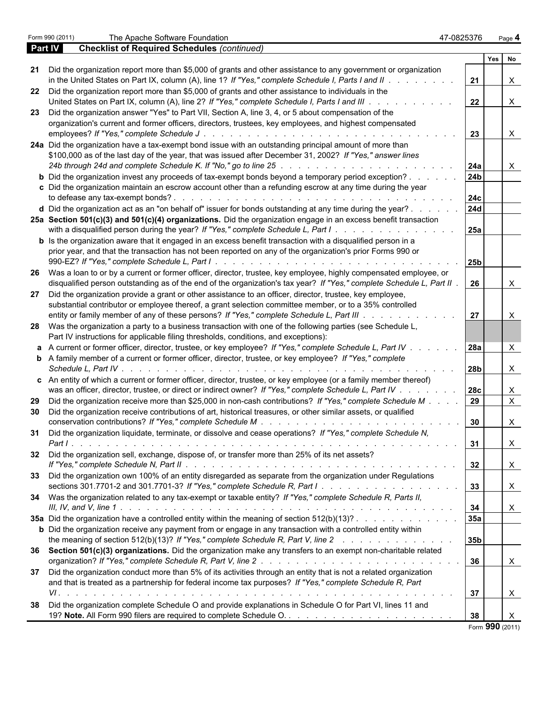|                | Form 990 (2011) | The Apache Software Foundation                                                                                                                                                                                               | 47-0825376      | Page 4                    |
|----------------|-----------------|------------------------------------------------------------------------------------------------------------------------------------------------------------------------------------------------------------------------------|-----------------|---------------------------|
| <b>Part IV</b> |                 | <b>Checklist of Required Schedules (continued)</b>                                                                                                                                                                           |                 |                           |
|                |                 |                                                                                                                                                                                                                              |                 | Yes No                    |
| 21             |                 | Did the organization report more than \$5,000 of grants and other assistance to any government or organization                                                                                                               |                 |                           |
|                |                 | in the United States on Part IX, column (A), line 1? If "Yes," complete Schedule I, Parts I and II $\ldots$                                                                                                                  | 21              | $\mathsf{X}$              |
|                |                 | 22 Did the organization report more than \$5,000 of grants and other assistance to individuals in the                                                                                                                        |                 |                           |
|                |                 | United States on Part IX, column (A), line 2? If "Yes," complete Schedule I, Parts I and III                                                                                                                                 | 22              | $\boldsymbol{\mathsf{X}}$ |
|                |                 | 23 Did the organization answer "Yes" to Part VII, Section A, line 3, 4, or 5 about compensation of the                                                                                                                       |                 |                           |
|                |                 | organization's current and former officers, directors, trustees, key employees, and highest compensated                                                                                                                      |                 |                           |
|                |                 |                                                                                                                                                                                                                              | 23              | $\mathsf{X}$              |
|                |                 | 24a Did the organization have a tax-exempt bond issue with an outstanding principal amount of more than                                                                                                                      |                 |                           |
|                |                 | \$100,000 as of the last day of the year, that was issued after December 31, 2002? If "Yes," answer lines                                                                                                                    |                 |                           |
|                |                 |                                                                                                                                                                                                                              | 24a             | X                         |
|                |                 | <b>b</b> Did the organization invest any proceeds of tax-exempt bonds beyond a temporary period exception?                                                                                                                   | 24 <sub>b</sub> |                           |
|                |                 | c Did the organization maintain an escrow account other than a refunding escrow at any time during the year                                                                                                                  |                 |                           |
|                |                 |                                                                                                                                                                                                                              | 24c             |                           |
|                |                 | d Did the organization act as an "on behalf of" issuer for bonds outstanding at any time during the year?                                                                                                                    | 24d             |                           |
|                |                 | 25a Section 501(c)(3) and 501(c)(4) organizations. Did the organization engage in an excess benefit transaction                                                                                                              |                 |                           |
|                |                 | with a disqualified person during the year? If "Yes," complete Schedule L, Part $1 \ldots \ldots \ldots \ldots$                                                                                                              | <b>25a</b>      |                           |
|                |                 | <b>b</b> Is the organization aware that it engaged in an excess benefit transaction with a disqualified person in a                                                                                                          |                 |                           |
|                |                 | prior year, and that the transaction has not been reported on any of the organization's prior Forms 990 or                                                                                                                   |                 |                           |
|                |                 |                                                                                                                                                                                                                              | 25 <sub>b</sub> |                           |
|                |                 |                                                                                                                                                                                                                              |                 |                           |
|                |                 | 26 Was a loan to or by a current or former officer, director, trustee, key employee, highly compensated employee, or                                                                                                         | -26             |                           |
|                |                 | disqualified person outstanding as of the end of the organization's tax year? If "Yes," complete Schedule L, Part II                                                                                                         |                 | X                         |
|                |                 | 27 Did the organization provide a grant or other assistance to an officer, director, trustee, key employee,<br>substantial contributor or employee thereof, a grant selection committee member, or to a 35% controlled       |                 |                           |
|                |                 |                                                                                                                                                                                                                              | 27              |                           |
|                |                 | entity or family member of any of these persons? If "Yes," complete Schedule L, Part III                                                                                                                                     |                 | $\boldsymbol{\mathsf{X}}$ |
|                |                 | 28 Was the organization a party to a business transaction with one of the following parties (see Schedule L,                                                                                                                 |                 |                           |
|                |                 | Part IV instructions for applicable filing thresholds, conditions, and exceptions):                                                                                                                                          |                 |                           |
|                |                 | a A current or former officer, director, trustee, or key employee? If "Yes," complete Schedule L, Part IV<br><b>b</b> A family member of a current or former officer, director, trustee, or key employee? If "Yes," complete | <b>28a</b>      | X                         |
|                |                 |                                                                                                                                                                                                                              | 28 <sub>b</sub> | X                         |
|                |                 | c An entity of which a current or former officer, director, trustee, or key employee (or a family member thereof)                                                                                                            |                 |                           |
|                |                 | was an officer, director, trustee, or direct or indirect owner? If "Yes," complete Schedule L, Part IV                                                                                                                       | <b>28c</b>      | X                         |
|                |                 | 29 Did the organization receive more than \$25,000 in non-cash contributions? If "Yes," complete Schedule M                                                                                                                  | 29              | $\overline{X}$            |
|                |                 | 30 Did the organization receive contributions of art, historical treasures, or other similar assets, or qualified                                                                                                            |                 |                           |
|                |                 |                                                                                                                                                                                                                              | 30              | X                         |
|                |                 | 31 Did the organization liquidate, terminate, or dissolve and cease operations? If "Yes," complete Schedule N,                                                                                                               |                 |                           |
|                |                 |                                                                                                                                                                                                                              | 31              | $\boldsymbol{\mathsf{X}}$ |
|                |                 | 32 Did the organization sell, exchange, dispose of, or transfer more than 25% of its net assets?                                                                                                                             |                 |                           |
|                |                 |                                                                                                                                                                                                                              | 32              | $\mathsf{X}$              |
|                |                 | 33 Did the organization own 100% of an entity disregarded as separate from the organization under Regulations                                                                                                                |                 |                           |
|                |                 |                                                                                                                                                                                                                              | 33              | $\mathsf{X}$              |
|                |                 |                                                                                                                                                                                                                              |                 |                           |
|                |                 | 34 Was the organization related to any tax-exempt or taxable entity? If "Yes," complete Schedule R, Parts II,                                                                                                                |                 |                           |
|                |                 |                                                                                                                                                                                                                              | 34              | $\mathsf{X}$              |
|                |                 | 35a Did the organization have a controlled entity within the meaning of section 512(b)(13)?                                                                                                                                  | 35a             |                           |
|                |                 | <b>b</b> Did the organization receive any payment from or engage in any transaction with a controlled entity within                                                                                                          |                 |                           |
|                |                 | the meaning of section 512(b)(13)? If "Yes," complete Schedule R, Part V, line 2                                                                                                                                             | 35 <sub>b</sub> |                           |
|                |                 | 36 Section 501(c)(3) organizations. Did the organization make any transfers to an exempt non-charitable related                                                                                                              | 36              | $\mathsf{X}$              |
|                |                 |                                                                                                                                                                                                                              |                 |                           |
|                |                 | 37 Did the organization conduct more than 5% of its activities through an entity that is not a related organization                                                                                                          |                 |                           |
|                |                 | and that is treated as a partnership for federal income tax purposes? If "Yes," complete Schedule R, Part                                                                                                                    |                 |                           |
|                |                 |                                                                                                                                                                                                                              | 37              | $\mathsf{X}$              |
|                |                 | 38 Did the organization complete Schedule O and provide explanations in Schedule O for Part VI, lines 11 and                                                                                                                 |                 |                           |
|                |                 |                                                                                                                                                                                                                              | 38              | $\mathsf{X}$              |
|                |                 |                                                                                                                                                                                                                              |                 | Form 990 (2011)           |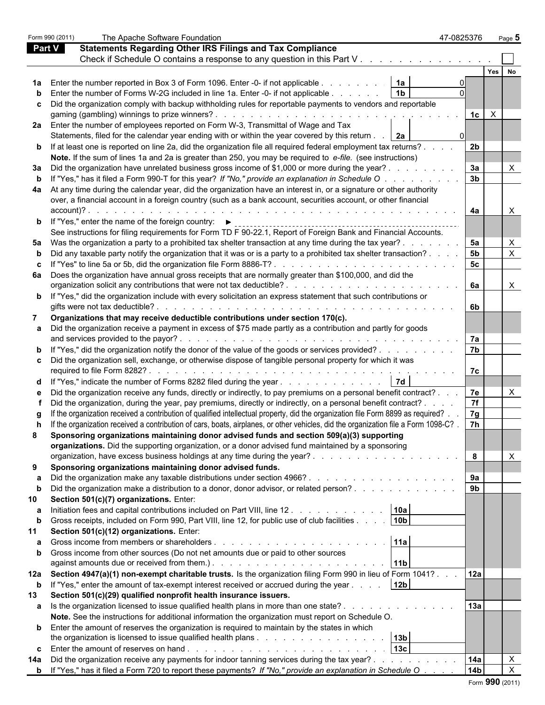|               | Form 990 (2011) | The Apache Software Foundation                                                                                                                                                                                                         | 47-0825376     |                    | Page 5                    |  |
|---------------|-----------------|----------------------------------------------------------------------------------------------------------------------------------------------------------------------------------------------------------------------------------------|----------------|--------------------|---------------------------|--|
| <b>Part V</b> |                 | <b>Statements Regarding Other IRS Filings and Tax Compliance</b>                                                                                                                                                                       |                |                    |                           |  |
|               |                 |                                                                                                                                                                                                                                        |                |                    |                           |  |
|               |                 |                                                                                                                                                                                                                                        |                | Yes                |                           |  |
|               |                 | Enter the number reported in Box 3 of Form 1096. Enter -0- if not applicable<br>1a                                                                                                                                                     |                |                    |                           |  |
|               |                 | Enter the number of Forms W-2G included in line 1a. Enter -0- if not applicable<br>$\blacksquare$ 1b                                                                                                                                   |                |                    |                           |  |
|               |                 | c Did the organization comply with backup withholding rules for reportable payments to vendors and reportable                                                                                                                          |                |                    |                           |  |
|               |                 |                                                                                                                                                                                                                                        |                | 1c<br>$\mathsf{X}$ |                           |  |
|               |                 | 2a Enter the number of employees reported on Form W-3, Transmittal of Wage and Tax                                                                                                                                                     |                |                    |                           |  |
|               |                 | Statements, filed for the calendar year ending with or within the year covered by this return<br>  2a                                                                                                                                  |                |                    |                           |  |
|               |                 | <b>b</b> If at least one is reported on line 2a, did the organization file all required federal employment tax returns?                                                                                                                | 2 <sub>b</sub> |                    |                           |  |
|               |                 | Note. If the sum of lines 1a and 2a is greater than 250, you may be required to e-file. (see instructions)                                                                                                                             |                |                    |                           |  |
|               |                 | 3a Did the organization have unrelated business gross income of \$1,000 or more during the year?.                                                                                                                                      | За             |                    | X                         |  |
|               |                 | If "Yes," has it filed a Form 990-T for this year? If "No," provide an explanation in Schedule O.                                                                                                                                      | 3 <sub>b</sub> |                    |                           |  |
| b             |                 |                                                                                                                                                                                                                                        |                |                    |                           |  |
| 4a            |                 | At any time during the calendar year, did the organization have an interest in, or a signature or other authority                                                                                                                      |                |                    |                           |  |
|               |                 | over, a financial account in a foreign country (such as a bank account, securities account, or other financial                                                                                                                         |                |                    |                           |  |
|               | $account$ $?$ . |                                                                                                                                                                                                                                        | 4a             |                    |                           |  |
|               |                 | <b>b</b> If "Yes," enter the name of the foreign country: $\blacktriangleright$                                                                                                                                                        |                |                    |                           |  |
|               |                 | See instructions for filing requirements for Form TD F 90-22.1, Report of Foreign Bank and Financial Accounts.                                                                                                                         |                |                    |                           |  |
|               |                 | 5a Was the organization a party to a prohibited tax shelter transaction at any time during the tax year?                                                                                                                               | 5a             |                    | $\times$                  |  |
|               |                 | Did any taxable party notify the organization that it was or is a party to a prohibited tax shelter transaction?.                                                                                                                      | 5 <sub>b</sub> |                    | $\pmb{\times}$            |  |
|               |                 |                                                                                                                                                                                                                                        | 5 <sub>c</sub> |                    |                           |  |
| 6а            |                 | Does the organization have annual gross receipts that are normally greater than \$100,000, and did the                                                                                                                                 |                |                    |                           |  |
|               |                 |                                                                                                                                                                                                                                        | 6а             |                    | X                         |  |
|               |                 | <b>b</b> If "Yes," did the organization include with every solicitation an express statement that such contributions or                                                                                                                |                |                    |                           |  |
|               |                 | gifts were not tax deductible?<br>de la caractería de la caractería de la caractería de la caractería de la caractería                                                                                                                 | 6b             |                    |                           |  |
| 7             |                 | Organizations that may receive deductible contributions under section 170(c).                                                                                                                                                          |                |                    |                           |  |
|               |                 | Did the organization receive a payment in excess of \$75 made partly as a contribution and partly for goods                                                                                                                            |                |                    |                           |  |
|               |                 | and services provided to the payor?.<br>the contract of the contract of the contract of the contract of the contract of                                                                                                                | 7а             |                    |                           |  |
|               |                 | <b>b</b> If "Yes," did the organization notify the donor of the value of the goods or services provided?                                                                                                                               | 7 <sub>b</sub> |                    |                           |  |
|               |                 | c Did the organization sell, exchange, or otherwise dispose of tangible personal property for which it was                                                                                                                             |                |                    |                           |  |
|               |                 |                                                                                                                                                                                                                                        | 7c             |                    |                           |  |
|               |                 | <b>7d</b><br>d If "Yes," indicate the number of Forms 8282 filed during the year                                                                                                                                                       |                |                    |                           |  |
|               |                 | Did the organization receive any funds, directly or indirectly, to pay premiums on a personal benefit contract?                                                                                                                        | 7e             |                    | $\times$                  |  |
|               |                 | Did the organization, during the year, pay premiums, directly or indirectly, on a personal benefit contract?.                                                                                                                          | 7f             |                    |                           |  |
|               |                 | If the organization received a contribution of qualified intellectual property, did the organization file Form 8899 as required?.                                                                                                      | 7g             |                    |                           |  |
|               |                 | If the organization received a contribution of cars, boats, airplanes, or other vehicles, did the organization file a Form 1098-C?                                                                                                     | <b>7h</b>      |                    |                           |  |
| 8             |                 | Sponsoring organizations maintaining donor advised funds and section 509(a)(3) supporting                                                                                                                                              |                |                    |                           |  |
|               |                 | organizations. Did the supporting organization, or a donor advised fund maintained by a sponsoring                                                                                                                                     |                |                    |                           |  |
|               |                 |                                                                                                                                                                                                                                        | 8              |                    | $\times$                  |  |
| 9             |                 | Sponsoring organizations maintaining donor advised funds.                                                                                                                                                                              |                |                    |                           |  |
|               |                 |                                                                                                                                                                                                                                        | 9а             |                    |                           |  |
| b             |                 | Did the organization make a distribution to a donor, donor advisor, or related person?                                                                                                                                                 | 9 <sub>b</sub> |                    |                           |  |
|               |                 | Section 501(c)(7) organizations. Enter:                                                                                                                                                                                                |                |                    |                           |  |
| 10            |                 |                                                                                                                                                                                                                                        |                |                    |                           |  |
| а             |                 | Initiation fees and capital contributions included on Part VIII, line 12<br> 10a                                                                                                                                                       |                |                    |                           |  |
| b             |                 | 10 <sub>b</sub><br>Gross receipts, included on Form 990, Part VIII, line 12, for public use of club facilities                                                                                                                         |                |                    |                           |  |
| 11            |                 | Section 501(c)(12) organizations. Enter:                                                                                                                                                                                               |                |                    |                           |  |
| a             |                 | 11a                                                                                                                                                                                                                                    |                |                    |                           |  |
| $\mathbf b$   |                 | Gross income from other sources (Do not net amounts due or paid to other sources                                                                                                                                                       |                |                    |                           |  |
|               |                 | against amounts due or received from them.). The subset of the state of the state of the state of the state of the state of the state of the state of the state of the state of the state of the state of the state of the sta<br> 11b |                |                    |                           |  |
|               |                 | 12a Section 4947(a)(1) non-exempt charitable trusts. Is the organization filing Form 990 in lieu of Form 1041?                                                                                                                         | 12a            |                    |                           |  |
| $\mathbf b$   |                 | If "Yes," enter the amount of tax-exempt interest received or accrued during the year<br>12 <sub>b</sub>                                                                                                                               |                |                    |                           |  |
| 13            |                 | Section 501(c)(29) qualified nonprofit health insurance issuers.                                                                                                                                                                       |                |                    |                           |  |
| a             |                 | Is the organization licensed to issue qualified health plans in more than one state?                                                                                                                                                   | 13a            |                    |                           |  |
|               |                 | Note. See the instructions for additional information the organization must report on Schedule O.                                                                                                                                      |                |                    |                           |  |
|               |                 | <b>b</b> Enter the amount of reserves the organization is required to maintain by the states in which                                                                                                                                  |                |                    |                           |  |
|               |                 | 13b                                                                                                                                                                                                                                    |                |                    |                           |  |
| C             |                 | 13c                                                                                                                                                                                                                                    |                |                    |                           |  |
| 14a           |                 | Did the organization receive any payments for indoor tanning services during the tax year?                                                                                                                                             | 14a            |                    | X                         |  |
|               |                 | <b>b</b> If "Yes," has it filed a Form 720 to report these payments? If "No," provide an explanation in Schedule O                                                                                                                     | 14b            |                    | $\boldsymbol{\mathsf{X}}$ |  |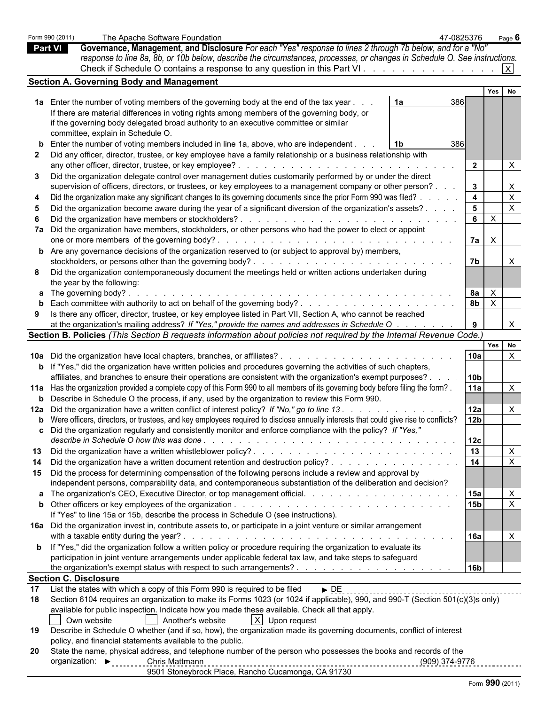|                | Form 990 (2011) | The Apache Software Foundation<br>47-0825376                                                                                                 |                         |              | Page $6$                  |  |
|----------------|-----------------|----------------------------------------------------------------------------------------------------------------------------------------------|-------------------------|--------------|---------------------------|--|
| <b>Part VI</b> |                 | Governance, Management, and Disclosure For each "Yes" response to lines 2 through 7b below, and for a "No"                                   |                         |              |                           |  |
|                |                 | response to line 8a, 8b, or 10b below, describe the circumstances, processes, or changes in Schedule O. See instructions.                    |                         |              |                           |  |
|                |                 | Check if Schedule O contains a response to any question in this Part VI.                                                                     |                         |              |                           |  |
|                |                 | <b>Section A. Governing Body and Management</b>                                                                                              |                         |              |                           |  |
|                |                 |                                                                                                                                              |                         | Yes          | No                        |  |
|                |                 | 1a Enter the number of voting members of the governing body at the end of the tax year<br>1a<br>386                                          |                         |              |                           |  |
|                |                 | If there are material differences in voting rights among members of the governing body, or                                                   |                         |              |                           |  |
|                |                 | if the governing body delegated broad authority to an executive committee or similar                                                         |                         |              |                           |  |
|                |                 | committee, explain in Schedule O.                                                                                                            |                         |              |                           |  |
|                |                 | <b>b</b> Enter the number of voting members included in line 1a, above, who are independent.<br>386<br>1b                                    |                         |              |                           |  |
| $\mathbf{2}$   |                 | Did any officer, director, trustee, or key employee have a family relationship or a business relationship with                               |                         |              |                           |  |
|                |                 |                                                                                                                                              | $2^{\circ}$             |              | X                         |  |
| 3              |                 | Did the organization delegate control over management duties customarily performed by or under the direct                                    |                         |              |                           |  |
|                |                 | supervision of officers, directors, or trustees, or key employees to a management company or other person?.                                  | $3\phantom{a}$          |              | $\mathsf{X}$              |  |
|                |                 | Did the organization make any significant changes to its governing documents since the prior Form 990 was filed?.                            | $\overline{\mathbf{4}}$ |              | $\mathsf{X}$              |  |
|                |                 | Did the organization become aware during the year of a significant diversion of the organization's assets?                                   | 5 <sup>5</sup>          |              | $\mathsf{X}$              |  |
|                |                 |                                                                                                                                              | $6\overline{6}$         | $\mathsf{X}$ |                           |  |
|                |                 | 7a Did the organization have members, stockholders, or other persons who had the power to elect or appoint                                   |                         |              |                           |  |
|                |                 |                                                                                                                                              | $7a \times$             |              |                           |  |
|                |                 | <b>b</b> Are any governance decisions of the organization reserved to (or subject to approval by) members,                                   |                         |              |                           |  |
|                |                 |                                                                                                                                              | 7 <sub>b</sub>          |              | $\times$                  |  |
| 8              |                 | Did the organization contemporaneously document the meetings held or written actions undertaken during                                       |                         |              |                           |  |
|                |                 | the year by the following:                                                                                                                   |                         |              |                           |  |
|                |                 | <b>a</b> The governing body?.                                                                                                                | 8a                      | $\times$     |                           |  |
|                |                 |                                                                                                                                              | 8 <sub>b</sub>          | $\mathsf{X}$ |                           |  |
|                |                 | Is there any officer, director, trustee, or key employee listed in Part VII, Section A, who cannot be reached                                |                         |              |                           |  |
|                |                 | at the organization's mailing address? If "Yes," provide the names and addresses in Schedule O.                                              |                         |              | X.                        |  |
|                |                 | Section B. Policies (This Section B requests information about policies not required by the Internal Revenue Code.)                          |                         |              |                           |  |
|                |                 |                                                                                                                                              |                         | Yes          | No                        |  |
|                |                 |                                                                                                                                              | 10a                     |              | $\mathsf{X}$              |  |
|                |                 | <b>b</b> If "Yes," did the organization have written policies and procedures governing the activities of such chapters,                      |                         |              |                           |  |
|                |                 | affiliates, and branches to ensure their operations are consistent with the organization's exempt purposes?.                                 | 10 <sub>b</sub>         |              |                           |  |
|                |                 | 11a Has the organization provided a complete copy of this Form 990 to all members of its governing body before filing the form?.             | 11a                     |              | $\mathsf{X}$              |  |
|                |                 | <b>b</b> Describe in Schedule O the process, if any, used by the organization to review this Form 990.                                       |                         |              |                           |  |
|                |                 | 12a Did the organization have a written conflict of interest policy? If "No," go to line 13.                                                 | 12a                     |              | $\boldsymbol{\mathsf{X}}$ |  |
|                |                 | <b>b</b> Were officers, directors, or trustees, and key employees required to disclose annually interests that could give rise to conflicts? | 12 <sub>b</sub>         |              |                           |  |
|                |                 | c Did the organization regularly and consistently monitor and enforce compliance with the policy? If "Yes,"                                  |                         |              |                           |  |
|                |                 |                                                                                                                                              | 12c                     |              |                           |  |
| 13             |                 |                                                                                                                                              | $\vert$ 13              |              | $\mathsf{X}$              |  |
| 14             |                 | Did the organization have a written document retention and destruction policy?                                                               |                         |              | $\mathsf{X}$              |  |
|                |                 | 15 Did the process for determining compensation of the following persons include a review and approval by                                    |                         |              |                           |  |
|                |                 | independent persons, comparability data, and contemporaneous substantiation of the deliberation and decision?                                |                         |              |                           |  |
|                |                 |                                                                                                                                              | 15a                     |              | X                         |  |
|                |                 |                                                                                                                                              | 15 <sub>b</sub>         |              | $\overline{X}$            |  |
|                |                 | If "Yes" to line 15a or 15b, describe the process in Schedule O (see instructions).                                                          |                         |              |                           |  |
|                |                 | 16a Did the organization invest in, contribute assets to, or participate in a joint venture or similar arrangement                           |                         |              |                           |  |
|                |                 |                                                                                                                                              | <b>16a</b>              |              | $\boldsymbol{\mathsf{X}}$ |  |
|                |                 | <b>b</b> If "Yes," did the organization follow a written policy or procedure requiring the organization to evaluate its                      |                         |              |                           |  |
|                |                 | participation in joint venture arrangements under applicable federal tax law, and take steps to safeguard                                    |                         |              |                           |  |
|                |                 |                                                                                                                                              | 16 <sub>b</sub>         |              |                           |  |
|                |                 | <b>Section C. Disclosure</b>                                                                                                                 |                         |              |                           |  |
| 17             |                 | List the states with which a copy of this Form 990 is required to be filed<br>$\triangleright$ DE                                            |                         |              |                           |  |
| 18             |                 | Section 6104 requires an organization to make its Forms 1023 (or 1024 if applicable), 990, and 990-T (Section 501(c)(3)s only)               |                         |              |                           |  |
|                |                 | available for public inspection. Indicate how you made these available. Check all that apply.                                                |                         |              |                           |  |
|                |                 | $ X $ Upon request<br>Another's website<br>Own website                                                                                       |                         |              |                           |  |
| 19             |                 | Describe in Schedule O whether (and if so, how), the organization made its governing documents, conflict of interest                         |                         |              |                           |  |
|                |                 | policy, and financial statements available to the public.                                                                                    |                         |              |                           |  |
| <b>20</b>      |                 | State the name, physical address, and telephone number of the person who possesses the books and records of the                              |                         |              |                           |  |
|                |                 | organization: ▶ _ _ _ _ _ _ Chris Mattmann                                                                                                   |                         |              |                           |  |
|                |                 | 9501 Stoneybrock Place, Rancho Cucamonga, CA 91730                                                                                           |                         |              |                           |  |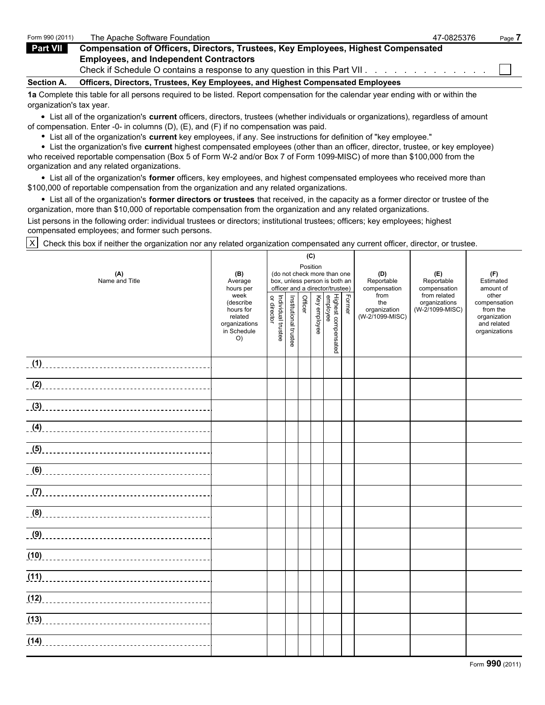| Form 990 (2011)   | The Apache Software Foundation                                                           | 47-0825376 | Page 7 |
|-------------------|------------------------------------------------------------------------------------------|------------|--------|
| Part VII          | <b>Compensation of Officers, Directors, Trustees, Key Employees, Highest Compensated</b> |            |        |
|                   | <b>Employees, and Independent Contractors</b>                                            |            |        |
|                   | Check if Schedule O contains a response to any question in this Part VII.                |            |        |
| <b>Section A.</b> | Officers, Directors, Trustees, Key Employees, and Highest Compensated Employees          |            |        |
|                   |                                                                                          |            |        |

**1a** Complete this table for all persons required to be listed. Report compensation for the calendar year ending with or within the organization's tax year.

List all of the organization's **current** officers, directors, trustees (whether individuals or organizations), regardless of amount of compensation. Enter -0- in columns (D), (E), and (F) if no compensation was paid.

List all of the organization's **current** key employees, if any. See instructions for definition of "key employee."

List the organization's five **current** highest compensated employees (other than an officer, director, trustee, or key employee) who received reportable compensation (Box 5 of Form W-2 and/or Box 7 of Form 1099-MISC) of more than \$100,000 from the organization and any related organizations.

List all of the organization's **former** officers, key employees, and highest compensated employees who received more than \$100,000 of reportable compensation from the organization and any related organizations.

List all of the organization's **former directors or trustees** that received, in the capacity as a former director or trustee of the organization, more than \$10,000 of reportable compensation from the organization and any related organizations.

List persons in the following order: individual trustees or directors; institutional trustees; officers; key employees; highest compensated employees; and former such persons.

 $X$  Check this box if neither the organization nor any related organization compensated any current officer, director, or trustee.

|                       |                                                                                 |                                   |                       | (C)     |          |                                                                                                 |        |                                                |                                                  |                                                                                   |
|-----------------------|---------------------------------------------------------------------------------|-----------------------------------|-----------------------|---------|----------|-------------------------------------------------------------------------------------------------|--------|------------------------------------------------|--------------------------------------------------|-----------------------------------------------------------------------------------|
| (A)<br>Name and Title | (B)<br>Average<br>hours per                                                     |                                   |                       |         | Position | (do not check more than one<br>box, unless person is both an<br>officer and a director/trustee) |        | (D)<br>Reportable<br>compensation              | (E)<br>Reportable<br>compensation                | (F)<br>Estimated<br>amount of                                                     |
|                       | week<br>(describe<br>hours for<br>related<br>organizations<br>in Schedule<br>O) | Individual trustee<br>or director | Institutional trustee | Officer |          | i<br>  Highest compensated<br> <br>  Key employee                                               | Former | from<br>the<br>organization<br>(W-2/1099-MISC) | from related<br>organizations<br>(W-2/1099-MISC) | other<br>compensation<br>from the<br>organization<br>and related<br>organizations |
|                       |                                                                                 |                                   |                       |         |          |                                                                                                 |        |                                                |                                                  |                                                                                   |
|                       |                                                                                 |                                   |                       |         |          |                                                                                                 |        |                                                |                                                  |                                                                                   |
|                       |                                                                                 |                                   |                       |         |          |                                                                                                 |        |                                                |                                                  |                                                                                   |
|                       |                                                                                 |                                   |                       |         |          |                                                                                                 |        |                                                |                                                  |                                                                                   |
|                       |                                                                                 |                                   |                       |         |          |                                                                                                 |        |                                                |                                                  |                                                                                   |
|                       |                                                                                 |                                   |                       |         |          |                                                                                                 |        |                                                |                                                  |                                                                                   |
|                       |                                                                                 |                                   |                       |         |          |                                                                                                 |        |                                                |                                                  |                                                                                   |
|                       |                                                                                 |                                   |                       |         |          |                                                                                                 |        |                                                |                                                  |                                                                                   |
|                       |                                                                                 |                                   |                       |         |          |                                                                                                 |        |                                                |                                                  |                                                                                   |
|                       |                                                                                 |                                   |                       |         |          |                                                                                                 |        |                                                |                                                  |                                                                                   |
|                       |                                                                                 |                                   |                       |         |          |                                                                                                 |        |                                                |                                                  |                                                                                   |
|                       |                                                                                 |                                   |                       |         |          |                                                                                                 |        |                                                |                                                  |                                                                                   |
|                       |                                                                                 |                                   |                       |         |          |                                                                                                 |        |                                                |                                                  |                                                                                   |
|                       |                                                                                 |                                   |                       |         |          |                                                                                                 |        |                                                |                                                  |                                                                                   |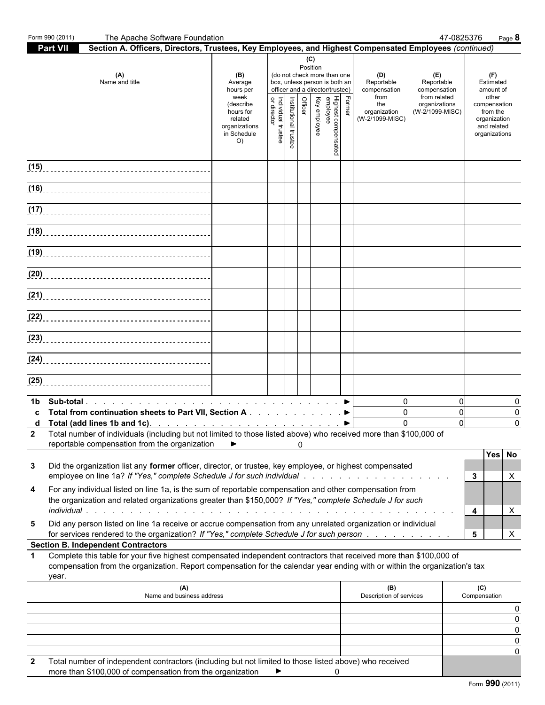| Part VII<br>Section A. Officers, Directors, Trustees, Key Employees, and Highest Compensated Employees (continued)<br>(C)<br>Position<br>(A)<br>(B)<br>(do not check more than one<br>(D)<br>(E)<br>(F)<br>Name and title<br>box, unless person is both an<br>Average<br>Reportable<br>Reportable<br>Estimated<br>officer and a director/trustee)<br>compensation<br>hours per<br>compensation<br>amount of<br>from related<br>other<br>week<br>from<br>Officer<br>Highest compensated<br>employee<br>Key employee<br>Former<br>Institutional trustee<br>Individual trustee<br>or director<br>organizations<br>(describe<br>the<br>compensation<br>(W-2/1099-MISC)<br>hours for<br>organization<br>from the<br>(W-2/1099-MISC)<br>related<br>organization<br>organizations<br>and related<br>in Schedule<br>organizations<br>O)<br>$\Omega$<br>$\Omega$<br>1b.<br>$\Omega$<br>$\mathbf 0$<br>Total from continuation sheets to Part VII, Section A ▶<br>C.<br>$\Omega$<br>2 Total number of individuals (including but not limited to those listed above) who received more than \$100,000 of<br>reportable compensation from the organization<br>▶<br>0<br>Did the organization list any former officer, director, or trustee, key employee, or highest compensated<br>3<br>employee on line 1a? If "Yes," complete Schedule J for such individual response to the content of the content of<br>3<br>Х<br>For any individual listed on line 1a, is the sum of reportable compensation and other compensation from<br>4<br>the organization and related organizations greater than \$150,000? If "Yes," complete Schedule J for such<br>4<br>X<br>Did any person listed on line 1a receive or accrue compensation from any unrelated organization or individual<br>5<br>for services rendered to the organization? If "Yes," complete Schedule J for such person<br>5<br>X<br><b>Section B. Independent Contractors</b><br>Complete this table for your five highest compensated independent contractors that received more than \$100,000 of<br>1.<br>compensation from the organization. Report compensation for the calendar year ending with or within the organization's tax<br>year.<br>(A)<br>(B)<br>(C)<br>Name and business address<br>Description of services<br>Compensation<br>Total number of independent contractors (including but not limited to those listed above) who received<br>2<br>more than \$100,000 of compensation from the organization | Form 990 (2011) | The Apache Software Foundation |  |  |   | 47-0825376 | $Page$ 8    |
|---------------------------------------------------------------------------------------------------------------------------------------------------------------------------------------------------------------------------------------------------------------------------------------------------------------------------------------------------------------------------------------------------------------------------------------------------------------------------------------------------------------------------------------------------------------------------------------------------------------------------------------------------------------------------------------------------------------------------------------------------------------------------------------------------------------------------------------------------------------------------------------------------------------------------------------------------------------------------------------------------------------------------------------------------------------------------------------------------------------------------------------------------------------------------------------------------------------------------------------------------------------------------------------------------------------------------------------------------------------------------------------------------------------------------------------------------------------------------------------------------------------------------------------------------------------------------------------------------------------------------------------------------------------------------------------------------------------------------------------------------------------------------------------------------------------------------------------------------------------------------------------------------------------------------------------------------------------------------------------------------------------------------------------------------------------------------------------------------------------------------------------------------------------------------------------------------------------------------------------------------------------------------------------------------------------------------------------------------------------------------------------------------------------------------------------------------------------------|-----------------|--------------------------------|--|--|---|------------|-------------|
| (15)                                                                                                                                                                                                                                                                                                                                                                                                                                                                                                                                                                                                                                                                                                                                                                                                                                                                                                                                                                                                                                                                                                                                                                                                                                                                                                                                                                                                                                                                                                                                                                                                                                                                                                                                                                                                                                                                                                                                                                                                                                                                                                                                                                                                                                                                                                                                                                                                                                                                |                 |                                |  |  |   |            |             |
|                                                                                                                                                                                                                                                                                                                                                                                                                                                                                                                                                                                                                                                                                                                                                                                                                                                                                                                                                                                                                                                                                                                                                                                                                                                                                                                                                                                                                                                                                                                                                                                                                                                                                                                                                                                                                                                                                                                                                                                                                                                                                                                                                                                                                                                                                                                                                                                                                                                                     |                 |                                |  |  |   |            |             |
|                                                                                                                                                                                                                                                                                                                                                                                                                                                                                                                                                                                                                                                                                                                                                                                                                                                                                                                                                                                                                                                                                                                                                                                                                                                                                                                                                                                                                                                                                                                                                                                                                                                                                                                                                                                                                                                                                                                                                                                                                                                                                                                                                                                                                                                                                                                                                                                                                                                                     |                 |                                |  |  |   |            |             |
|                                                                                                                                                                                                                                                                                                                                                                                                                                                                                                                                                                                                                                                                                                                                                                                                                                                                                                                                                                                                                                                                                                                                                                                                                                                                                                                                                                                                                                                                                                                                                                                                                                                                                                                                                                                                                                                                                                                                                                                                                                                                                                                                                                                                                                                                                                                                                                                                                                                                     |                 |                                |  |  |   |            |             |
|                                                                                                                                                                                                                                                                                                                                                                                                                                                                                                                                                                                                                                                                                                                                                                                                                                                                                                                                                                                                                                                                                                                                                                                                                                                                                                                                                                                                                                                                                                                                                                                                                                                                                                                                                                                                                                                                                                                                                                                                                                                                                                                                                                                                                                                                                                                                                                                                                                                                     |                 |                                |  |  |   |            |             |
|                                                                                                                                                                                                                                                                                                                                                                                                                                                                                                                                                                                                                                                                                                                                                                                                                                                                                                                                                                                                                                                                                                                                                                                                                                                                                                                                                                                                                                                                                                                                                                                                                                                                                                                                                                                                                                                                                                                                                                                                                                                                                                                                                                                                                                                                                                                                                                                                                                                                     |                 |                                |  |  |   |            |             |
|                                                                                                                                                                                                                                                                                                                                                                                                                                                                                                                                                                                                                                                                                                                                                                                                                                                                                                                                                                                                                                                                                                                                                                                                                                                                                                                                                                                                                                                                                                                                                                                                                                                                                                                                                                                                                                                                                                                                                                                                                                                                                                                                                                                                                                                                                                                                                                                                                                                                     |                 |                                |  |  |   |            |             |
|                                                                                                                                                                                                                                                                                                                                                                                                                                                                                                                                                                                                                                                                                                                                                                                                                                                                                                                                                                                                                                                                                                                                                                                                                                                                                                                                                                                                                                                                                                                                                                                                                                                                                                                                                                                                                                                                                                                                                                                                                                                                                                                                                                                                                                                                                                                                                                                                                                                                     |                 |                                |  |  |   |            |             |
|                                                                                                                                                                                                                                                                                                                                                                                                                                                                                                                                                                                                                                                                                                                                                                                                                                                                                                                                                                                                                                                                                                                                                                                                                                                                                                                                                                                                                                                                                                                                                                                                                                                                                                                                                                                                                                                                                                                                                                                                                                                                                                                                                                                                                                                                                                                                                                                                                                                                     |                 |                                |  |  |   |            |             |
|                                                                                                                                                                                                                                                                                                                                                                                                                                                                                                                                                                                                                                                                                                                                                                                                                                                                                                                                                                                                                                                                                                                                                                                                                                                                                                                                                                                                                                                                                                                                                                                                                                                                                                                                                                                                                                                                                                                                                                                                                                                                                                                                                                                                                                                                                                                                                                                                                                                                     |                 |                                |  |  |   |            |             |
|                                                                                                                                                                                                                                                                                                                                                                                                                                                                                                                                                                                                                                                                                                                                                                                                                                                                                                                                                                                                                                                                                                                                                                                                                                                                                                                                                                                                                                                                                                                                                                                                                                                                                                                                                                                                                                                                                                                                                                                                                                                                                                                                                                                                                                                                                                                                                                                                                                                                     |                 |                                |  |  |   |            |             |
|                                                                                                                                                                                                                                                                                                                                                                                                                                                                                                                                                                                                                                                                                                                                                                                                                                                                                                                                                                                                                                                                                                                                                                                                                                                                                                                                                                                                                                                                                                                                                                                                                                                                                                                                                                                                                                                                                                                                                                                                                                                                                                                                                                                                                                                                                                                                                                                                                                                                     |                 |                                |  |  |   |            |             |
|                                                                                                                                                                                                                                                                                                                                                                                                                                                                                                                                                                                                                                                                                                                                                                                                                                                                                                                                                                                                                                                                                                                                                                                                                                                                                                                                                                                                                                                                                                                                                                                                                                                                                                                                                                                                                                                                                                                                                                                                                                                                                                                                                                                                                                                                                                                                                                                                                                                                     |                 |                                |  |  |   |            |             |
|                                                                                                                                                                                                                                                                                                                                                                                                                                                                                                                                                                                                                                                                                                                                                                                                                                                                                                                                                                                                                                                                                                                                                                                                                                                                                                                                                                                                                                                                                                                                                                                                                                                                                                                                                                                                                                                                                                                                                                                                                                                                                                                                                                                                                                                                                                                                                                                                                                                                     |                 |                                |  |  |   |            | 0<br>0<br>0 |
|                                                                                                                                                                                                                                                                                                                                                                                                                                                                                                                                                                                                                                                                                                                                                                                                                                                                                                                                                                                                                                                                                                                                                                                                                                                                                                                                                                                                                                                                                                                                                                                                                                                                                                                                                                                                                                                                                                                                                                                                                                                                                                                                                                                                                                                                                                                                                                                                                                                                     |                 |                                |  |  |   |            |             |
|                                                                                                                                                                                                                                                                                                                                                                                                                                                                                                                                                                                                                                                                                                                                                                                                                                                                                                                                                                                                                                                                                                                                                                                                                                                                                                                                                                                                                                                                                                                                                                                                                                                                                                                                                                                                                                                                                                                                                                                                                                                                                                                                                                                                                                                                                                                                                                                                                                                                     |                 |                                |  |  |   |            | Yes No      |
|                                                                                                                                                                                                                                                                                                                                                                                                                                                                                                                                                                                                                                                                                                                                                                                                                                                                                                                                                                                                                                                                                                                                                                                                                                                                                                                                                                                                                                                                                                                                                                                                                                                                                                                                                                                                                                                                                                                                                                                                                                                                                                                                                                                                                                                                                                                                                                                                                                                                     |                 |                                |  |  |   |            |             |
|                                                                                                                                                                                                                                                                                                                                                                                                                                                                                                                                                                                                                                                                                                                                                                                                                                                                                                                                                                                                                                                                                                                                                                                                                                                                                                                                                                                                                                                                                                                                                                                                                                                                                                                                                                                                                                                                                                                                                                                                                                                                                                                                                                                                                                                                                                                                                                                                                                                                     |                 |                                |  |  |   |            |             |
|                                                                                                                                                                                                                                                                                                                                                                                                                                                                                                                                                                                                                                                                                                                                                                                                                                                                                                                                                                                                                                                                                                                                                                                                                                                                                                                                                                                                                                                                                                                                                                                                                                                                                                                                                                                                                                                                                                                                                                                                                                                                                                                                                                                                                                                                                                                                                                                                                                                                     |                 |                                |  |  |   |            |             |
|                                                                                                                                                                                                                                                                                                                                                                                                                                                                                                                                                                                                                                                                                                                                                                                                                                                                                                                                                                                                                                                                                                                                                                                                                                                                                                                                                                                                                                                                                                                                                                                                                                                                                                                                                                                                                                                                                                                                                                                                                                                                                                                                                                                                                                                                                                                                                                                                                                                                     |                 |                                |  |  |   |            |             |
|                                                                                                                                                                                                                                                                                                                                                                                                                                                                                                                                                                                                                                                                                                                                                                                                                                                                                                                                                                                                                                                                                                                                                                                                                                                                                                                                                                                                                                                                                                                                                                                                                                                                                                                                                                                                                                                                                                                                                                                                                                                                                                                                                                                                                                                                                                                                                                                                                                                                     |                 |                                |  |  |   |            |             |
|                                                                                                                                                                                                                                                                                                                                                                                                                                                                                                                                                                                                                                                                                                                                                                                                                                                                                                                                                                                                                                                                                                                                                                                                                                                                                                                                                                                                                                                                                                                                                                                                                                                                                                                                                                                                                                                                                                                                                                                                                                                                                                                                                                                                                                                                                                                                                                                                                                                                     |                 |                                |  |  |   |            | 0<br>0      |
|                                                                                                                                                                                                                                                                                                                                                                                                                                                                                                                                                                                                                                                                                                                                                                                                                                                                                                                                                                                                                                                                                                                                                                                                                                                                                                                                                                                                                                                                                                                                                                                                                                                                                                                                                                                                                                                                                                                                                                                                                                                                                                                                                                                                                                                                                                                                                                                                                                                                     |                 |                                |  |  |   |            | 0<br>O      |
| ▶                                                                                                                                                                                                                                                                                                                                                                                                                                                                                                                                                                                                                                                                                                                                                                                                                                                                                                                                                                                                                                                                                                                                                                                                                                                                                                                                                                                                                                                                                                                                                                                                                                                                                                                                                                                                                                                                                                                                                                                                                                                                                                                                                                                                                                                                                                                                                                                                                                                                   |                 |                                |  |  | 0 |            |             |

Form **990** (2011)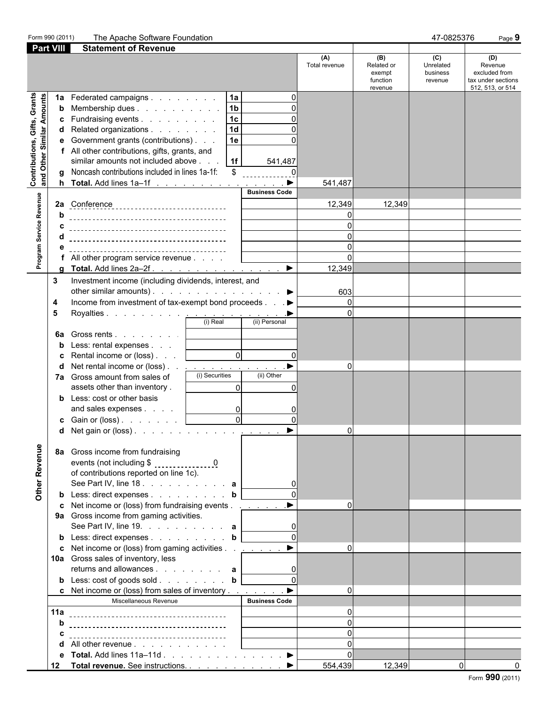| Form 990 (2011)                                           |                   | The Apache Software Foundation                                                                                                                                                                                                                                                                                                                                             |                                   |                                                    | 47-0825376                              | Page 9                                                                    |
|-----------------------------------------------------------|-------------------|----------------------------------------------------------------------------------------------------------------------------------------------------------------------------------------------------------------------------------------------------------------------------------------------------------------------------------------------------------------------------|-----------------------------------|----------------------------------------------------|-----------------------------------------|---------------------------------------------------------------------------|
| <b>Part VIII</b>                                          |                   | <b>Statement of Revenue</b>                                                                                                                                                                                                                                                                                                                                                |                                   |                                                    |                                         |                                                                           |
|                                                           |                   |                                                                                                                                                                                                                                                                                                                                                                            | (A)<br>Total revenue              | (B)<br>Related or<br>exempt<br>function<br>revenue | (C)<br>Unrelated<br>business<br>revenue | (D)<br>Revenue<br>excluded from<br>tax under sections<br>512, 513, or 514 |
| Contributions, Gifts, Grants<br>and Other Similar Amounts | 1a<br>b<br>C<br>d | 1a <br>Federated campaigns<br>1 <sub>b</sub><br>Membership dues<br>1 <sub>c</sub><br>Fundraising events<br>1 <sub>d</sub><br>Related organizations<br>1e<br>e Government grants (contributions)<br>f All other contributions, gifts, grants, and<br>similar amounts not included above<br>1f<br>541,487<br>Noncash contributions included in lines 1a-1f:<br>$\sqrt[6]{2}$ |                                   |                                                    |                                         |                                                                           |
|                                                           | h.                | Total. Add lines 1a-1f                                                                                                                                                                                                                                                                                                                                                     | ▶<br>541,487                      |                                                    |                                         |                                                                           |
|                                                           |                   | <b>Business Code</b>                                                                                                                                                                                                                                                                                                                                                       |                                   |                                                    |                                         |                                                                           |
|                                                           |                   |                                                                                                                                                                                                                                                                                                                                                                            | 12,349                            | 12,349                                             |                                         |                                                                           |
|                                                           | b                 |                                                                                                                                                                                                                                                                                                                                                                            | $\Omega$                          |                                                    |                                         |                                                                           |
|                                                           |                   |                                                                                                                                                                                                                                                                                                                                                                            | O                                 |                                                    |                                         |                                                                           |
|                                                           |                   |                                                                                                                                                                                                                                                                                                                                                                            | $\Omega$                          |                                                    |                                         |                                                                           |
|                                                           | е                 |                                                                                                                                                                                                                                                                                                                                                                            | $\Omega$<br>$\Omega$              |                                                    |                                         |                                                                           |
| Program Service Revenue                                   |                   | All other program service revenue<br>Total. Add lines 2a–2f. ▶                                                                                                                                                                                                                                                                                                             | 12,349                            |                                                    |                                         |                                                                           |
|                                                           | 3                 | Investment income (including dividends, interest, and<br>other similar amounts). $\ldots$ $\ldots$ $\ldots$ $\ldots$ $\ldots$                                                                                                                                                                                                                                              | 603                               |                                                    |                                         |                                                                           |
|                                                           | 4                 | Income from investment of tax-exempt bond proceeds ▶                                                                                                                                                                                                                                                                                                                       | $\Omega$                          |                                                    |                                         |                                                                           |
|                                                           | 5                 |                                                                                                                                                                                                                                                                                                                                                                            | $\Omega$                          |                                                    |                                         |                                                                           |
|                                                           | 6a<br>b           | Gross rents  <br>Less: rental expenses<br>$\overline{0}$<br>Rental income or (loss)  <br>Net rental income or (loss)                                                                                                                                                                                                                                                       | $\Omega$<br>$\mathbf{0}$          |                                                    |                                         |                                                                           |
|                                                           |                   | (i) Securities<br>(ii) Other<br>7a Gross amount from sales of<br>assets other than inventory.<br>$\Omega$                                                                                                                                                                                                                                                                  | U                                 |                                                    |                                         |                                                                           |
|                                                           |                   | <b>b</b> Less: cost or other basis<br>and sales expenses                                                                                                                                                                                                                                                                                                                   | 0                                 |                                                    |                                         |                                                                           |
|                                                           |                   | $\overline{0}$<br>$\Omega$<br><b>c</b> Gain or (loss) $\ldots$ $\ldots$ $\ldots$                                                                                                                                                                                                                                                                                           | $\Omega$                          |                                                    |                                         |                                                                           |
|                                                           | d                 | Net gain or (loss) $\ldots$ $\ldots$ $\ldots$                                                                                                                                                                                                                                                                                                                              | $\blacktriangleright$<br>$\Omega$ |                                                    |                                         |                                                                           |
| Other Revenue                                             |                   | 8a Gross income from fundraising<br>of contributions reported on line 1c).<br>See Part IV, line 18. a                                                                                                                                                                                                                                                                      |                                   |                                                    |                                         |                                                                           |
|                                                           |                   | <b>b</b> Less: direct expenses <b>b</b><br>c Net income or (loss) from fundraising events ▶                                                                                                                                                                                                                                                                                | $\Omega$                          |                                                    |                                         |                                                                           |
|                                                           |                   | 9a Gross income from gaming activities.<br>See Part IV, line 19. $\ldots$ $\ldots$ $\ldots$ $\ldots$ a                                                                                                                                                                                                                                                                     |                                   |                                                    |                                         |                                                                           |
|                                                           |                   | <b>b</b> Less: direct expenses <b>b</b>                                                                                                                                                                                                                                                                                                                                    | $\Omega$                          |                                                    |                                         |                                                                           |
|                                                           |                   | c Net income or (loss) from gaming activities $\ldots$ $\ldots$<br>10a Gross sales of inventory, less                                                                                                                                                                                                                                                                      | $\Omega$                          |                                                    |                                         |                                                                           |
|                                                           |                   | returns and allowances $\ldots$ $\ldots$ $\ldots$ a<br><b>b</b> Less: cost of goods sold <b>b</b>                                                                                                                                                                                                                                                                          |                                   |                                                    |                                         |                                                                           |
|                                                           |                   | c Net income or (loss) from sales of inventory $\dots$ $\dots$ $\dots$                                                                                                                                                                                                                                                                                                     | $\Omega$                          |                                                    |                                         |                                                                           |
|                                                           |                   | Miscellaneous Revenue<br><b>Business Code</b>                                                                                                                                                                                                                                                                                                                              |                                   |                                                    |                                         |                                                                           |
|                                                           |                   |                                                                                                                                                                                                                                                                                                                                                                            | $\Omega$                          |                                                    |                                         |                                                                           |
|                                                           | b                 |                                                                                                                                                                                                                                                                                                                                                                            | $\Omega$                          |                                                    |                                         |                                                                           |
|                                                           |                   |                                                                                                                                                                                                                                                                                                                                                                            | $\Omega$                          |                                                    |                                         |                                                                           |
|                                                           | d                 | All other revenue                                                                                                                                                                                                                                                                                                                                                          | $\Omega$                          |                                                    |                                         |                                                                           |
|                                                           | е                 | Total. Add lines $11a-11d$ . $\blacktriangleright$                                                                                                                                                                                                                                                                                                                         | $\Omega$                          |                                                    |                                         |                                                                           |
|                                                           |                   | 12 Total revenue. See instructions. ▶                                                                                                                                                                                                                                                                                                                                      | 554,439                           | 12,349                                             |                                         | $\Omega$<br>0                                                             |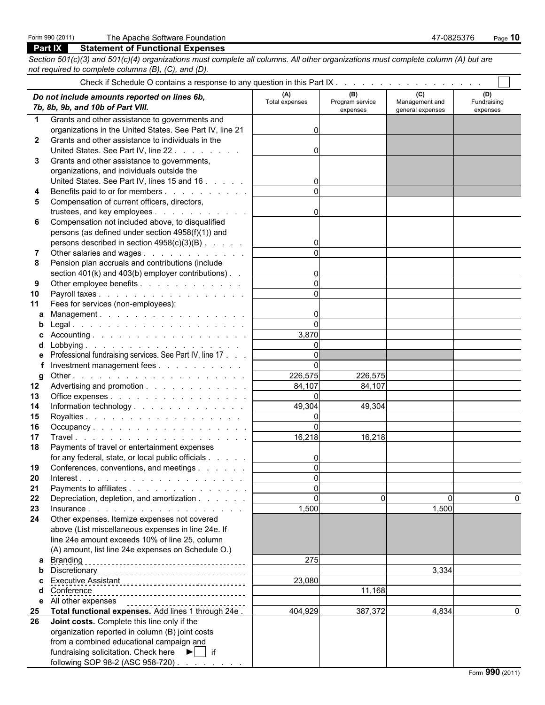## **Part IX Statement of Functional Expenses**

*Section 501(c)(3) and 501(c)(4) organizations must complete all columns. All other organizations must complete column (A) but are not required to complete columns (B), (C), and (D).*

|                 | Do not include amounts reported on lines 6b,<br>7b, 8b, 9b, and 10b of Part VIII. | (A)<br>Total expenses | (B)<br>Program service<br>expenses | (C)<br>Management and<br>general expenses | (D)<br>Fundraising<br>expenses |
|-----------------|-----------------------------------------------------------------------------------|-----------------------|------------------------------------|-------------------------------------------|--------------------------------|
| 1.              | Grants and other assistance to governments and                                    |                       |                                    |                                           |                                |
|                 | organizations in the United States. See Part IV, line 21                          | 0                     |                                    |                                           |                                |
| $\mathbf{2}$    | Grants and other assistance to individuals in the                                 |                       |                                    |                                           |                                |
|                 | United States. See Part IV, line 22.                                              | 0                     |                                    |                                           |                                |
| 3               | Grants and other assistance to governments,                                       |                       |                                    |                                           |                                |
|                 | organizations, and individuals outside the                                        |                       |                                    |                                           |                                |
|                 | United States. See Part IV, lines 15 and 16                                       |                       |                                    |                                           |                                |
| 4               | Benefits paid to or for members                                                   | $\Omega$              |                                    |                                           |                                |
| 5               | Compensation of current officers, directors,                                      |                       |                                    |                                           |                                |
|                 | trustees, and key employees                                                       | 0                     |                                    |                                           |                                |
| 6               | Compensation not included above, to disqualified                                  |                       |                                    |                                           |                                |
|                 | persons (as defined under section 4958(f)(1)) and                                 |                       |                                    |                                           |                                |
|                 | persons described in section 4958(c)(3)(B)                                        |                       |                                    |                                           |                                |
| 7               | Other salaries and wages                                                          | $\Omega$              |                                    |                                           |                                |
| 8               | Pension plan accruals and contributions (include                                  |                       |                                    |                                           |                                |
|                 | section 401(k) and 403(b) employer contributions). .                              |                       |                                    |                                           |                                |
| 9               | Other employee benefits                                                           | $\mathbf 0$           |                                    |                                           |                                |
| 10              | Payroll taxes                                                                     | $\Omega$              |                                    |                                           |                                |
| 11              | Fees for services (non-employees):                                                |                       |                                    |                                           |                                |
| a               | Management.                                                                       | 0                     |                                    |                                           |                                |
| b               |                                                                                   | 0                     |                                    |                                           |                                |
|                 |                                                                                   | 3,870                 |                                    |                                           |                                |
|                 |                                                                                   | 0                     |                                    |                                           |                                |
|                 | Professional fundraising services. See Part IV, line 17                           | $\mathbf 0$           |                                    |                                           |                                |
|                 | Investment management fees                                                        | $\Omega$              |                                    |                                           |                                |
| g               |                                                                                   | 226,575               | 226,575                            |                                           |                                |
| 12 <sup>°</sup> | Advertising and promotion                                                         | 84,107                | 84,107                             |                                           |                                |
| 13              | Office expenses                                                                   | $\Omega$              |                                    |                                           |                                |
| 14              | Information technology                                                            | 49,304                | 49,304                             |                                           |                                |
| 15              |                                                                                   | $\mathbf 0$           |                                    |                                           |                                |
| 16              | Occupancy.                                                                        | $\mathbf 0$<br>16,218 |                                    |                                           |                                |
| 17              |                                                                                   |                       | 16,218                             |                                           |                                |
| 18              | Payments of travel or entertainment expenses                                      |                       |                                    |                                           |                                |
|                 | for any federal, state, or local public officials                                 | 0<br>$\mathbf{0}$     |                                    |                                           |                                |
| 19              | Conferences, conventions, and meetings                                            |                       |                                    |                                           |                                |
| 20              | Payments to affiliates                                                            | U.<br>0               |                                    |                                           |                                |
| 21<br>22        |                                                                                   | 0                     | 0                                  | 0                                         | 0                              |
| 23              | Depreciation, depletion, and amortization                                         | 1,500                 |                                    | 1,500                                     |                                |
| 24              | Other expenses. Itemize expenses not covered                                      |                       |                                    |                                           |                                |
|                 | above (List miscellaneous expenses in line 24e. If                                |                       |                                    |                                           |                                |
|                 | line 24e amount exceeds 10% of line 25, column                                    |                       |                                    |                                           |                                |
|                 | (A) amount, list line 24e expenses on Schedule O.)                                |                       |                                    |                                           |                                |
|                 | <b>a</b> Branding                                                                 | 275                   |                                    |                                           |                                |
| b               |                                                                                   |                       |                                    | 3,334                                     |                                |
|                 |                                                                                   | 23,080                |                                    |                                           |                                |
|                 | Conference                                                                        |                       | 11,168                             |                                           |                                |
|                 | e All other expenses<br>___________________________________                       |                       |                                    |                                           |                                |
| 25              | Total functional expenses. Add lines 1 through 24e.                               | 404,929               | 387,372                            | 4,834                                     | $\mathbf{0}$                   |
| 26              | Joint costs. Complete this line only if the                                       |                       |                                    |                                           |                                |
|                 | organization reported in column (B) joint costs                                   |                       |                                    |                                           |                                |
|                 | from a combined educational campaign and                                          |                       |                                    |                                           |                                |
|                 | fundraising solicitation. Check here $\blacktriangleright$   if                   |                       |                                    |                                           |                                |
|                 | following SOP 98-2 (ASC 958-720)                                                  |                       |                                    |                                           |                                |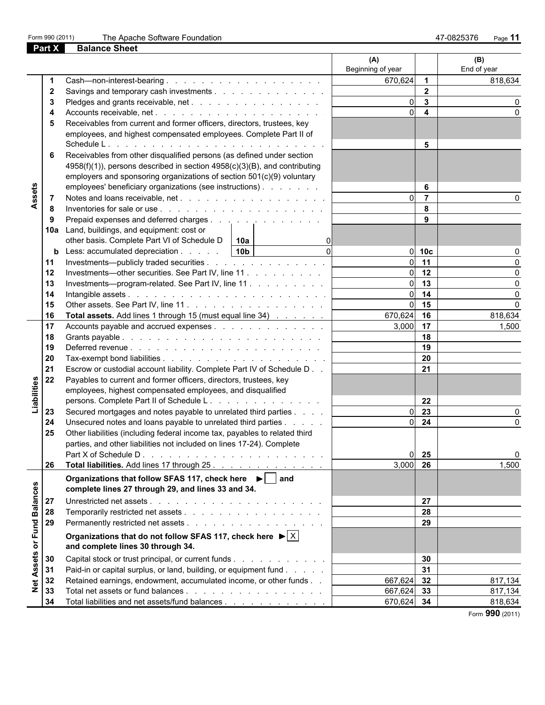| Form 990 (2011) |  |  |
|-----------------|--|--|
|-----------------|--|--|

Fine Apache Software Foundation **1990 (2012)** The Apache Software Foundation **47-0825376** Page 11

|                 | Part X | <b>Balance Sheet</b>                                                                   |                          |                         |                    |
|-----------------|--------|----------------------------------------------------------------------------------------|--------------------------|-------------------------|--------------------|
|                 |        |                                                                                        | (A)<br>Beginning of year |                         | (B)<br>End of year |
|                 | -1     |                                                                                        | 670,624                  | $\mathbf 1$             | 818,634            |
|                 | 2      | Savings and temporary cash investments                                                 |                          | $\overline{2}$          |                    |
|                 | 3      | Pledges and grants receivable, net                                                     |                          | $\mathbf{3}$            | $\Omega$           |
|                 | 4      |                                                                                        | ΩI                       | $\overline{\mathbf{4}}$ | $\Omega$           |
|                 | 5      | Receivables from current and former officers, directors, trustees, key                 |                          |                         |                    |
| Assets          |        | employees, and highest compensated employees. Complete Part II of                      |                          |                         |                    |
|                 |        |                                                                                        |                          | 5                       |                    |
|                 | 6      | Receivables from other disqualified persons (as defined under section                  |                          |                         |                    |
|                 |        | 4958(f)(1)), persons described in section 4958(c)(3)(B), and contributing              |                          |                         |                    |
|                 |        | employers and sponsoring organizations of section 501(c)(9) voluntary                  |                          |                         |                    |
|                 |        | employees' beneficiary organizations (see instructions)                                |                          | 6                       |                    |
|                 |        |                                                                                        |                          | $\overline{7}$          |                    |
|                 | -7     |                                                                                        |                          |                         |                    |
|                 | 8      |                                                                                        |                          | 8                       |                    |
|                 | 9      | Prepaid expenses and deferred charges                                                  |                          | 9                       |                    |
|                 |        | 10a Land, buildings, and equipment: cost or                                            |                          |                         |                    |
|                 |        | other basis. Complete Part VI of Schedule D<br>10a                                     |                          |                         |                    |
|                 |        | <b>b</b> Less: accumulated depreciation 10b<br>ി                                       |                          | $0$ 10 $c$              |                    |
|                 | 11     | Investments—publicly traded securities                                                 |                          | 11                      | $\Omega$           |
|                 | 12     | Investments—other securities. See Part IV, line 11                                     |                          | 12                      | $\mathbf{0}$       |
|                 | 13     | Investments—program-related. See Part IV, line 11                                      |                          | 13                      | $\mathbf{0}$       |
|                 | 14     |                                                                                        | $\Omega$                 | 14                      | $\mathbf{0}$       |
|                 | 15     |                                                                                        |                          | 15                      | $\Omega$           |
|                 | 16     | Total assets. Add lines 1 through 15 (must equal line 34)                              | 670,624                  | 16                      | 818,634            |
|                 | 17     | Accounts payable and accrued expenses                                                  | 3,000                    | 17                      | 1,500              |
|                 | 18     |                                                                                        |                          | 18                      |                    |
|                 |        |                                                                                        |                          | 19                      |                    |
|                 | 19     |                                                                                        |                          |                         |                    |
|                 | 20     |                                                                                        |                          | 20                      |                    |
|                 | 21     | Escrow or custodial account liability. Complete Part IV of Schedule D. .               |                          | 21                      |                    |
|                 | 22     | Payables to current and former officers, directors, trustees, key                      |                          |                         |                    |
| Liabilities     |        | employees, highest compensated employees, and disqualified                             |                          |                         |                    |
|                 |        | persons. Complete Part II of Schedule L.                                               |                          | 22                      |                    |
|                 | 23     | Secured mortgages and notes payable to unrelated third parties                         |                          | 23                      |                    |
|                 | 24     | Unsecured notes and loans payable to unrelated third parties                           | ΩI                       | 24                      | $\mathbf{0}$       |
|                 | 25     | Other liabilities (including federal income tax, payables to related third             |                          |                         |                    |
|                 |        | parties, and other liabilities not included on lines 17-24). Complete                  |                          |                         |                    |
|                 |        | Part X of Schedule D.                                                                  | 0                        | 25                      | $\mathbf{0}$       |
|                 | 26     | Total liabilities. Add lines 17 through 25.                                            | $3,000$ 26               |                         | 1,500              |
|                 |        | Organizations that follow SFAS 117, check here ► and                                   |                          |                         |                    |
| <b>Balances</b> |        | complete lines 27 through 29, and lines 33 and 34.                                     |                          |                         |                    |
|                 | 27     |                                                                                        |                          | 27                      |                    |
|                 |        |                                                                                        |                          |                         |                    |
|                 | 28     |                                                                                        |                          | 28                      |                    |
|                 | 29     |                                                                                        |                          | 29                      |                    |
| or Fund         |        | Organizations that do not follow SFAS 117, check here $\blacktriangleright$ $ \times $ |                          |                         |                    |
|                 |        | and complete lines 30 through 34.                                                      |                          |                         |                    |
| Assets          | 30     | Capital stock or trust principal, or current funds                                     |                          | 30                      |                    |
|                 | 31     | Paid-in or capital surplus, or land, building, or equipment fund                       |                          | 31                      |                    |
| Net             | 32     | Retained earnings, endowment, accumulated income, or other funds                       | 667,624                  | 32                      | 817,134            |
|                 | 33     |                                                                                        | 667,624 33               |                         | 817,134            |
|                 | 34     | Total liabilities and net assets/fund balances                                         | 670,624 34               |                         | 818,634            |

Form **990** (2011)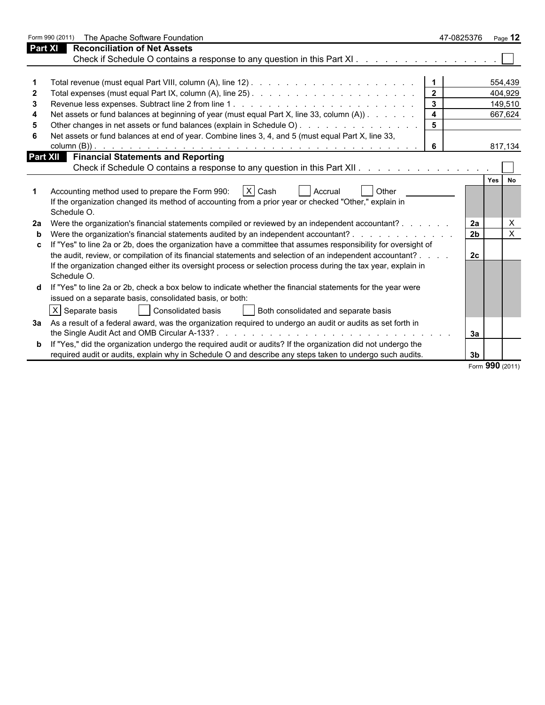|    | Form 990 (2011)<br>The Apache Software Foundation                                                                     |                         | 47-0825376      |     | Page $12$    |
|----|-----------------------------------------------------------------------------------------------------------------------|-------------------------|-----------------|-----|--------------|
|    | Part XI<br><b>Reconciliation of Net Assets</b>                                                                        |                         |                 |     |              |
|    |                                                                                                                       |                         |                 |     |              |
|    |                                                                                                                       |                         |                 |     |              |
|    |                                                                                                                       |                         |                 |     | 554,439      |
|    |                                                                                                                       |                         |                 |     | 404,929      |
|    |                                                                                                                       | $\mathbf{3}$            |                 |     | 149,510      |
|    | Net assets or fund balances at beginning of year (must equal Part X, line 33, column (A))                             | $\overline{\mathbf{4}}$ |                 |     | 667,624      |
|    | Other changes in net assets or fund balances (explain in Schedule O)                                                  | 5                       |                 |     |              |
|    | Net assets or fund balances at end of year. Combine lines 3, 4, and 5 (must equal Part X, line 33,                    |                         |                 |     |              |
|    |                                                                                                                       | 6                       |                 |     | 817,134      |
|    | <b>Financial Statements and Reporting</b><br>Part XII                                                                 |                         |                 |     |              |
|    |                                                                                                                       |                         |                 |     |              |
|    |                                                                                                                       |                         |                 | Yes | No           |
|    | Accounting method used to prepare the Form 990:<br>$ X $ Cash<br>Other<br>Accrual                                     |                         |                 |     |              |
|    | If the organization changed its method of accounting from a prior year or checked "Other," explain in                 |                         |                 |     |              |
|    | Schedule O.                                                                                                           |                         |                 |     |              |
| 2a | Were the organization's financial statements compiled or reviewed by an independent accountant?                       |                         | 2a              |     | X            |
| b  | Were the organization's financial statements audited by an independent accountant? .                                  |                         | 2 <sub>b</sub>  |     | $\mathsf{X}$ |
|    | If "Yes" to line 2a or 2b, does the organization have a committee that assumes responsibility for oversight of        |                         |                 |     |              |
|    | the audit, review, or compilation of its financial statements and selection of an independent accountant?             |                         | 2 <sub>c</sub>  |     |              |
|    | If the organization changed either its oversight process or selection process during the tax year, explain in         |                         |                 |     |              |
|    | Schedule O.                                                                                                           |                         |                 |     |              |
| d  | If "Yes" to line 2a or 2b, check a box below to indicate whether the financial statements for the year were           |                         |                 |     |              |
|    | issued on a separate basis, consolidated basis, or both:                                                              |                         |                 |     |              |
|    | X Separate basis<br>Consolidated basis<br>Both consolidated and separate basis                                        |                         |                 |     |              |
|    |                                                                                                                       |                         |                 |     |              |
|    | 3a As a result of a federal award, was the organization required to undergo an audit or audits as set forth in        |                         |                 |     |              |
|    |                                                                                                                       |                         | 3a              |     |              |
|    | <b>b</b> If "Yes," did the organization undergo the required audit or audits? If the organization did not undergo the |                         |                 |     |              |
|    | required audit or audits, explain why in Schedule O and describe any steps taken to undergo such audits.              |                         | 3 <sub>b</sub>  |     |              |
|    |                                                                                                                       |                         | Form 990 (2011) |     |              |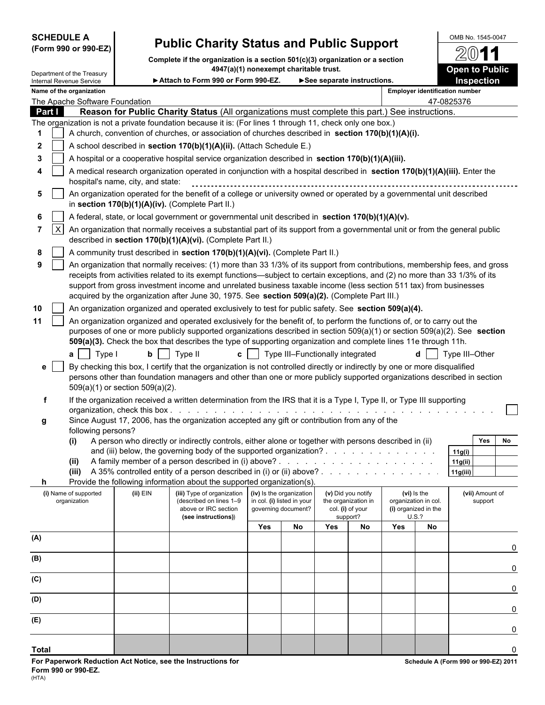# SCHEDULE A **OMB No. 1545-0047**<br>(Form 990 or 990-EZ) **Public Charity Status and Public Support** ( കണ്ണി കണ്ണ

**Complete if the organization is a section 501(c)(3) organization or a section**

|              | Department of the Treasury            |                                   | 4947(a)(1) nonexempt charitable trust.                                                                                                                                                                                                                                                                                                            |     |                                                                               |                            |                                                               |     |                                                             | <b>Open to Public</b>                 |
|--------------|---------------------------------------|-----------------------------------|---------------------------------------------------------------------------------------------------------------------------------------------------------------------------------------------------------------------------------------------------------------------------------------------------------------------------------------------------|-----|-------------------------------------------------------------------------------|----------------------------|---------------------------------------------------------------|-----|-------------------------------------------------------------|---------------------------------------|
|              | Internal Revenue Service              |                                   | Attach to Form 990 or Form 990-EZ.                                                                                                                                                                                                                                                                                                                |     |                                                                               | See separate instructions. |                                                               |     |                                                             | <b>Inspection</b>                     |
|              | Name of the organization              |                                   |                                                                                                                                                                                                                                                                                                                                                   |     |                                                                               |                            |                                                               |     |                                                             | <b>Employer identification number</b> |
|              | The Apache Software Foundation        |                                   |                                                                                                                                                                                                                                                                                                                                                   |     |                                                                               |                            |                                                               |     |                                                             | 47-0825376                            |
| Part I       |                                       |                                   | Reason for Public Charity Status (All organizations must complete this part.) See instructions.                                                                                                                                                                                                                                                   |     |                                                                               |                            |                                                               |     |                                                             |                                       |
|              |                                       |                                   | The organization is not a private foundation because it is: (For lines 1 through 11, check only one box.)<br>A church, convention of churches, or association of churches described in section 170(b)(1)(A)(i).                                                                                                                                   |     |                                                                               |                            |                                                               |     |                                                             |                                       |
|              |                                       |                                   |                                                                                                                                                                                                                                                                                                                                                   |     |                                                                               |                            |                                                               |     |                                                             |                                       |
| $\mathbf{2}$ |                                       |                                   | A school described in section 170(b)(1)(A)(ii). (Attach Schedule E.)                                                                                                                                                                                                                                                                              |     |                                                                               |                            |                                                               |     |                                                             |                                       |
| 3            |                                       |                                   | A hospital or a cooperative hospital service organization described in section 170(b)(1)(A)(iii).                                                                                                                                                                                                                                                 |     |                                                                               |                            |                                                               |     |                                                             |                                       |
|              |                                       | hospital's name, city, and state: | A medical research organization operated in conjunction with a hospital described in section 170(b)(1)(A)(iii). Enter the                                                                                                                                                                                                                         |     |                                                                               |                            |                                                               |     |                                                             |                                       |
| 5            |                                       |                                   | An organization operated for the benefit of a college or university owned or operated by a governmental unit described<br>in section $170(b)(1)(A)(iv)$ . (Complete Part II.)                                                                                                                                                                     |     |                                                                               |                            |                                                               |     |                                                             |                                       |
| 6            |                                       |                                   | A federal, state, or local government or governmental unit described in section 170(b)(1)(A)(v).                                                                                                                                                                                                                                                  |     |                                                                               |                            |                                                               |     |                                                             |                                       |
| 7            | $\vert x \vert$                       |                                   | An organization that normally receives a substantial part of its support from a governmental unit or from the general public<br>described in section 170(b)(1)(A)(vi). (Complete Part II.)                                                                                                                                                        |     |                                                                               |                            |                                                               |     |                                                             |                                       |
| 8            |                                       |                                   | A community trust described in section 170(b)(1)(A)(vi). (Complete Part II.)                                                                                                                                                                                                                                                                      |     |                                                                               |                            |                                                               |     |                                                             |                                       |
| 9            |                                       |                                   | An organization that normally receives: (1) more than 33 1/3% of its support from contributions, membership fees, and gross                                                                                                                                                                                                                       |     |                                                                               |                            |                                                               |     |                                                             |                                       |
|              |                                       |                                   | receipts from activities related to its exempt functions—subject to certain exceptions, and (2) no more than 33 1/3% of its<br>support from gross investment income and unrelated business taxable income (less section 511 tax) from businesses<br>acquired by the organization after June 30, 1975. See section 509(a)(2). (Complete Part III.) |     |                                                                               |                            |                                                               |     |                                                             |                                       |
| 10           |                                       |                                   | An organization organized and operated exclusively to test for public safety. See section 509(a)(4).                                                                                                                                                                                                                                              |     |                                                                               |                            |                                                               |     |                                                             |                                       |
| 11           |                                       |                                   | An organization organized and operated exclusively for the benefit of, to perform the functions of, or to carry out the                                                                                                                                                                                                                           |     |                                                                               |                            |                                                               |     |                                                             |                                       |
|              |                                       |                                   | purposes of one or more publicly supported organizations described in section $509(a)(1)$ or section $509(a)(2)$ . See section<br>509(a)(3). Check the box that describes the type of supporting organization and complete lines 11e through 11h.                                                                                                 |     |                                                                               |                            |                                                               |     |                                                             |                                       |
|              | $a$ Type I                            |                                   | Type II<br>c <sub>1</sub>                                                                                                                                                                                                                                                                                                                         |     | Type III-Functionally integrated                                              |                            |                                                               |     |                                                             | Type III-Other                        |
| е            |                                       |                                   | By checking this box, I certify that the organization is not controlled directly or indirectly by one or more disqualified<br>persons other than foundation managers and other than one or more publicly supported organizations described in section                                                                                             |     |                                                                               |                            |                                                               |     |                                                             |                                       |
|              |                                       | 509(a)(1) or section 509(a)(2).   |                                                                                                                                                                                                                                                                                                                                                   |     |                                                                               |                            |                                                               |     |                                                             |                                       |
| f            |                                       |                                   | If the organization received a written determination from the IRS that it is a Type I, Type II, or Type III supporting                                                                                                                                                                                                                            |     |                                                                               |                            |                                                               |     |                                                             |                                       |
| g            |                                       |                                   | Since August 17, 2006, has the organization accepted any gift or contribution from any of the                                                                                                                                                                                                                                                     |     |                                                                               |                            |                                                               |     |                                                             |                                       |
|              | following persons?                    |                                   |                                                                                                                                                                                                                                                                                                                                                   |     |                                                                               |                            |                                                               |     |                                                             |                                       |
|              | (i)                                   |                                   | A person who directly or indirectly controls, either alone or together with persons described in (ii)                                                                                                                                                                                                                                             |     |                                                                               |                            |                                                               |     |                                                             | <b>Yes</b><br>No                      |
|              | (ii)                                  |                                   | and (iii) below, the governing body of the supported organization?                                                                                                                                                                                                                                                                                |     |                                                                               |                            |                                                               |     |                                                             | 11g(i)<br>11g(ii)                     |
|              |                                       |                                   | (iii) A 35% controlled entity of a person described in (i) or (ii) above? .                                                                                                                                                                                                                                                                       |     |                                                                               |                            |                                                               |     |                                                             | 11g(iii)                              |
| h.           |                                       |                                   | Provide the following information about the supported organization(s).                                                                                                                                                                                                                                                                            |     |                                                                               |                            |                                                               |     |                                                             |                                       |
|              | (i) Name of supported<br>organization | (ii) EIN                          | (iii) Type of organization<br>(described on lines 1-9<br>above or IRC section                                                                                                                                                                                                                                                                     |     | (iv) Is the organization<br>in col. (i) listed in your<br>governing document? |                            | (v) Did you notify<br>the organization in<br>col. (i) of your |     | (vi) is the<br>organization in col.<br>(i) organized in the | (vii) Amount of<br>support            |
|              |                                       |                                   | (see instructions))                                                                                                                                                                                                                                                                                                                               |     |                                                                               |                            | support?                                                      |     | U.S.?                                                       |                                       |
|              |                                       |                                   |                                                                                                                                                                                                                                                                                                                                                   | Yes | No                                                                            | Yes                        | No                                                            | Yes | No                                                          |                                       |
| (A)          |                                       |                                   |                                                                                                                                                                                                                                                                                                                                                   |     |                                                                               |                            |                                                               |     |                                                             |                                       |
| (B)          |                                       |                                   |                                                                                                                                                                                                                                                                                                                                                   |     |                                                                               |                            |                                                               |     |                                                             | 0                                     |
|              |                                       |                                   |                                                                                                                                                                                                                                                                                                                                                   |     |                                                                               |                            |                                                               |     |                                                             | 0                                     |
| (C)          |                                       |                                   |                                                                                                                                                                                                                                                                                                                                                   |     |                                                                               |                            |                                                               |     |                                                             | 0                                     |
| (D)          |                                       |                                   |                                                                                                                                                                                                                                                                                                                                                   |     |                                                                               |                            |                                                               |     |                                                             | 0                                     |
| (E)          |                                       |                                   |                                                                                                                                                                                                                                                                                                                                                   |     |                                                                               |                            |                                                               |     |                                                             | 0                                     |
|              |                                       |                                   |                                                                                                                                                                                                                                                                                                                                                   |     |                                                                               |                            |                                                               |     |                                                             |                                       |

**Total** 0

20

11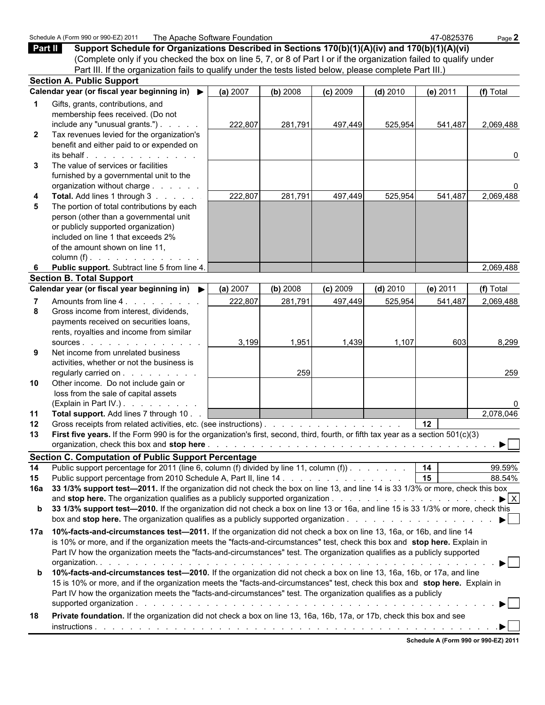|              | Schedule A (Form 990 or 990-EZ) 2011<br>The Apache Software Foundation                                                             |          |          |            |            | 47-0825376                           | Page 2                         |
|--------------|------------------------------------------------------------------------------------------------------------------------------------|----------|----------|------------|------------|--------------------------------------|--------------------------------|
| Part II      | Support Schedule for Organizations Described in Sections 170(b)(1)(A)(iv) and 170(b)(1)(A)(vi)                                     |          |          |            |            |                                      |                                |
|              | (Complete only if you checked the box on line 5, 7, or 8 of Part I or if the organization failed to qualify under                  |          |          |            |            |                                      |                                |
|              | Part III. If the organization fails to qualify under the tests listed below, please complete Part III.)                            |          |          |            |            |                                      |                                |
|              | <b>Section A. Public Support</b>                                                                                                   |          |          |            |            |                                      |                                |
|              | Calendar year (or fiscal year beginning in) ▶                                                                                      | (a) 2007 | (b) 2008 | $(c)$ 2009 | $(d)$ 2010 | (e) $2011$                           | (f) Total                      |
| 1            | Gifts, grants, contributions, and                                                                                                  |          |          |            |            |                                      |                                |
|              | membership fees received. (Do not                                                                                                  |          |          |            |            |                                      |                                |
|              | include any "unusual grants.") $\ldots$ $\ldots$                                                                                   | 222,807  | 281,791  | 497,449    | 525,954    | 541,487                              | 2,069,488                      |
| $\mathbf{2}$ | Tax revenues levied for the organization's                                                                                         |          |          |            |            |                                      |                                |
|              | benefit and either paid to or expended on                                                                                          |          |          |            |            |                                      |                                |
|              | its behalf.                                                                                                                        |          |          |            |            |                                      | 0                              |
| 3            | The value of services or facilities                                                                                                |          |          |            |            |                                      |                                |
|              | furnished by a governmental unit to the                                                                                            |          |          |            |            |                                      |                                |
|              | organization without charge                                                                                                        |          |          |            |            |                                      |                                |
| 4            | Total. Add lines 1 through 3                                                                                                       | 222,807  | 281,791  | 497,449    | 525,954    | 541,487                              | 2,069,488                      |
| 5            | The portion of total contributions by each                                                                                         |          |          |            |            |                                      |                                |
|              | person (other than a governmental unit<br>or publicly supported organization)                                                      |          |          |            |            |                                      |                                |
|              | included on line 1 that exceeds 2%                                                                                                 |          |          |            |            |                                      |                                |
|              | of the amount shown on line 11,                                                                                                    |          |          |            |            |                                      |                                |
|              | column $(f)$ .                                                                                                                     |          |          |            |            |                                      |                                |
| 6            | Public support. Subtract line 5 from line 4.                                                                                       |          |          |            |            |                                      | 2,069,488                      |
|              | <b>Section B. Total Support</b>                                                                                                    |          |          |            |            |                                      |                                |
|              | Calendar year (or fiscal year beginning in) ▶                                                                                      | (a) 2007 | (b) 2008 | $(c)$ 2009 | $(d)$ 2010 | (e) 2011                             | (f) Total                      |
|              | Amounts from line 4.                                                                                                               | 222,807  | 281,791  | 497,449    | 525,954    | 541,487                              | 2,069,488                      |
| 8            | Gross income from interest, dividends,                                                                                             |          |          |            |            |                                      |                                |
|              | payments received on securities loans,                                                                                             |          |          |            |            |                                      |                                |
|              | rents, royalties and income from similar                                                                                           |          |          |            |            |                                      |                                |
|              | SOURCES                                                                                                                            | 3,199    | 1,951    | 1,439      | 1,107      | 603                                  | 8,299                          |
| 9            | Net income from unrelated business                                                                                                 |          |          |            |            |                                      |                                |
|              | activities, whether or not the business is                                                                                         |          |          |            |            |                                      |                                |
|              | regularly carried on                                                                                                               |          | 259      |            |            |                                      | 259                            |
| 10           | Other income. Do not include gain or                                                                                               |          |          |            |            |                                      |                                |
|              | loss from the sale of capital assets                                                                                               |          |          |            |            |                                      |                                |
|              | (Explain in Part IV.) $\ldots$ $\ldots$ $\ldots$ $\ldots$                                                                          |          |          |            |            |                                      |                                |
| 11           | Total support. Add lines 7 through 10                                                                                              |          |          |            |            |                                      | 2,078,046                      |
| 12           | Gross receipts from related activities, etc. (see instructions).                                                                   |          |          |            |            | 12 <sup>12</sup>                     |                                |
| 13           | First five years. If the Form 990 is for the organization's first, second, third, fourth, or fifth tax year as a section 501(c)(3) |          |          |            |            |                                      |                                |
|              |                                                                                                                                    |          |          |            |            |                                      |                                |
|              | <b>Section C. Computation of Public Support Percentage</b>                                                                         |          |          |            |            |                                      |                                |
| 14           | Public support percentage for 2011 (line 6, column (f) divided by line 11, column (f)).                                            |          |          |            |            | 14                                   | 99.59%                         |
| 15           | Public support percentage from 2010 Schedule A, Part II, line 14                                                                   |          |          |            |            | 15                                   | 88.54%                         |
| 16a          | 33 1/3% support test-2011. If the organization did not check the box on line 13, and line 14 is 33 1/3% or more, check this box    |          |          |            |            |                                      | $\blacktriangleright$ $\mid$ X |
| b            | 33 1/3% support test-2010. If the organization did not check a box on line 13 or 16a, and line 15 is 33 1/3% or more, check this   |          |          |            |            |                                      |                                |
|              |                                                                                                                                    |          |          |            |            |                                      | ▶                              |
|              |                                                                                                                                    |          |          |            |            |                                      |                                |
| 17a          | 10%-facts-and-circumstances test-2011. If the organization did not check a box on line 13, 16a, or 16b, and line 14                |          |          |            |            |                                      |                                |
|              | is 10% or more, and if the organization meets the "facts-and-circumstances" test, check this box and stop here. Explain in         |          |          |            |            |                                      |                                |
|              | Part IV how the organization meets the "facts-and-circumstances" test. The organization qualifies as a publicly supported          |          |          |            |            |                                      |                                |
| b            | 10%-facts-and-circumstances test-2010. If the organization did not check a box on line 13, 16a, 16b, or 17a, and line              |          |          |            |            |                                      | $\blacktriangleright$          |
|              | 15 is 10% or more, and if the organization meets the "facts-and-circumstances" test, check this box and stop here. Explain in      |          |          |            |            |                                      |                                |
|              | Part IV how the organization meets the "facts-and-circumstances" test. The organization qualifies as a publicly                    |          |          |            |            |                                      |                                |
|              |                                                                                                                                    |          |          |            |            |                                      |                                |
| 18           | Private foundation. If the organization did not check a box on line 13, 16a, 16b, 17a, or 17b, check this box and see              |          |          |            |            |                                      |                                |
|              |                                                                                                                                    |          |          |            |            |                                      | ▶                              |
|              |                                                                                                                                    |          |          |            |            |                                      |                                |
|              |                                                                                                                                    |          |          |            |            | Schedule A (Form 990 or 990-EZ) 2011 |                                |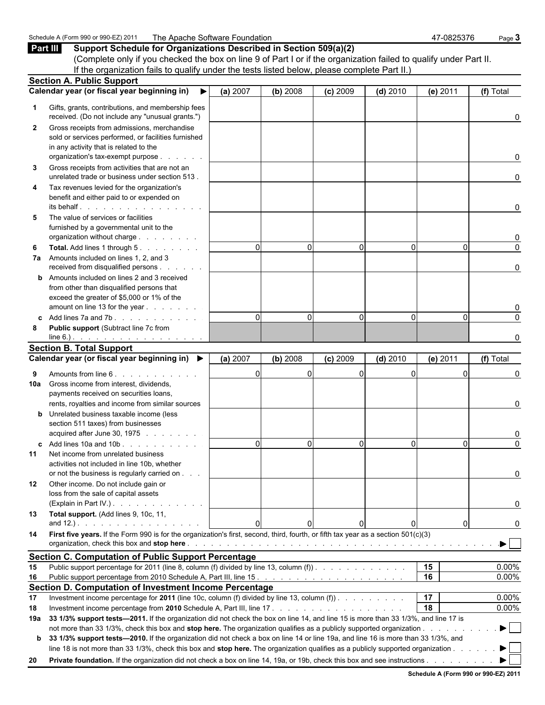## Schedule A (Form 990 or 990-EZ) 2011 The Apache Software Foundation 47-0825376 Page 3 **Part III Support Schedule for Organizations Described in Section 509(a)(2)** (Complete only if you checked the box on line 9 of Part I or if the organization failed to qualify under Part II. If the organization fails to qualify under the tests listed below, please complete Part II.) **Section A. Public Support Calendar year (or fiscal year beginning in) (a)** 2007 **(b)** 2008 **(c)** 2009 **(d)** 2010 **(e)** 2011 **(f)** Total  **1** Gifts, grants, contributions, and membership fees received. (Do not include any "unusual grants.") and the control of the control of the control of the control o  **2** Gross receipts from admissions, merchandise sold or services performed, or facilities furnished in any activity that is related to the organization's tax-exempt purpose . . . . . . . . . . . . . . . . . . . . . . . . . . . . . . . . . . . . . . . . . . . . . . . . . . . . . 0  **3** Gross receipts from activities that are not an unrelated trade or business under section 513 . . . . . . . . . . . . . . . . . . . . . . . . . . . . . . . . . . . . . . . . . . . . . . . . . . 0  **4** Tax revenues levied for the organization's benefit and either paid to or expended on its behalf . . . . . . . . . . . . . . . . . . . . . . . . . . . . . . . . . . . . . . . . . . . . . . . . . . . . . . . . . . . 0 **5** The value of services or facilities furnished by a governmental unit to the organization without charge . . . . . . . . . . . . . . . . . . . . . . . . . . . . . . . . . . . . . . . . . . . . . . . . . . . . . . . 0  **6 Total.** Add lines 1 through 5 . . . . . . . . . . . . . . . . . . . . . . . . . . . . . . . . . . . . . . . . . . . . . . . . . . . . . . . . . . . . 0 0 0 0 0 0  **7a** Amounts included on lines 1, 2, and 3 received from disqualified persons . . . . . . | . . . . . | . . . . . | . . . . . . . | . . . . . . . . . . | **b** Amounts included on lines 2 and 3 received from other than disqualified persons that exceed the greater of \$5,000 or 1% of the amount on line 13 for the year . . . . . . . . . . . . . . . . . . . . . . . . . . . . . . . . . . . . . . . . . . . . . . . . . . . . . . 0  **c** Add lines 7a and 7b . . . . . . . . . . . . . . . . . . . . . . . . . . . . . . . . . . . . . . . . . . . . . . . . . . . . . . . 0 0 0 0 0 0  **8 Public support** (Subtract line 7c from line 6.) . . . . . . . . . . . . . . . . . . . . . . . . . . . . . . . . . . . . . . . . . . . . . . . . . . . . . . . . . . . 0 **Section B. Total Support Calendar year (or fiscal year beginning in) (a)** 2007 **(b)** 2008 **(c)** 2009 **(d)** 2010 **(e)** 2011 **(f)** Total  **9** Amounts from line 6 . . . . . . . . . . . . . . . . . . . . . . . . . . . . . . . . . . . . . . . . . . . . . . . . . . . . . . . . . 0 0 0 0 0 0 **10a** Gross income from interest, dividends, payments received on securities loans, rents, royalties and income from similar sources 0 **b** Unrelated business taxable income (less section 511 taxes) from businesses acquired after June 30, 1975 . . . . . . . . . . . . . . . . . . . . . . . . . . . . . . . . . . . . . . . . . . . . . . . . . . . . . . . 0  **c** Add lines 10a and 10b . . . . . . . . . . . . . . . . . . . . . . . . . . . . . . . . . . . . . . . . . . . . . . . . . . . . . . . 0 0 0 0 0 0 **11** Net income from unrelated business activities not included in line 10b, whether or not the business is regularly carried on . . . . . . . . . . . . . . . . . . . . . . . . . . . . . . . . . . . . . . . . . . . . . . . . . . . . . . . . . . . 0 **12** Other income. Do not include gain or loss from the sale of capital assets (Explain in Part IV.) . . . . . . . . . . . . . . . . . . . . . . . . . . . . . . . . . . . . . . . . . . . . . . . . . . . . . . . . 0 **13 Total support.** (Add lines 9, 10c, 11, and 12.) . . . . . . . . . . . . . . . . . . . . . . . . . . . . . . . . . . . . . . . . . . . . . . . . . . . . . . . . . . . 0 0 0 0 0 0 **14 First five years.** If the Form 990 is for the organization's first, second, third, fourth, or fifth tax year as a section 501(c)(3) organization, check this box and **stop here** . . . . . . . . . . . . . . . . . . . . . . . . . . . . . . . . . . . . . . . . . . . . . . . . . . . **Section C. Computation of Public Support Percentage 15** Public support percentage for 2011 (line 8, column (f) divided by line 13, column (f)) . . . . . . . . . . . . . . . . . . . . . . . . . . . . . . . . . . . . . . . . **15** 0.00% **16** Public support percentage from 2010 Schedule A, Part III, line 15 . . . . . . . . . . . . . . . . . . . . . . . . . . . . . . . . . . . . . . . . . . . . . **16** 0.00%

| Section D. Computation of Investment Income Percentage |                                                                                                                                        |    |          |  |  |  |  |
|--------------------------------------------------------|----------------------------------------------------------------------------------------------------------------------------------------|----|----------|--|--|--|--|
| 17                                                     | Investment income percentage for 2011 (line 10c, column (f) divided by line 13, column (f)).                                           | 17 | $0.00\%$ |  |  |  |  |
| 18                                                     |                                                                                                                                        | 18 | $0.00\%$ |  |  |  |  |
|                                                        | 19a 33 1/3% support tests—2011. If the organization did not check the box on line 14, and line 15 is more than 33 1/3%, and line 17 is |    |          |  |  |  |  |
|                                                        | not more than 33 1/3%, check this box and stop here. The organization qualifies as a publicly supported organization.                  |    |          |  |  |  |  |
|                                                        | b 33 1/3% support tests-2010. If the organization did not check a box on line 14 or line 19a, and line 16 is more than 33 1/3%, and    |    |          |  |  |  |  |
|                                                        | line 18 is not more than 33 1/3%, check this box and stop here. The organization qualifies as a publicly supported organization.       |    |          |  |  |  |  |
| 20                                                     | Private foundation. If the organization did not check a box on line 14, 19a, or 19b, check this box and see instructions.              |    |          |  |  |  |  |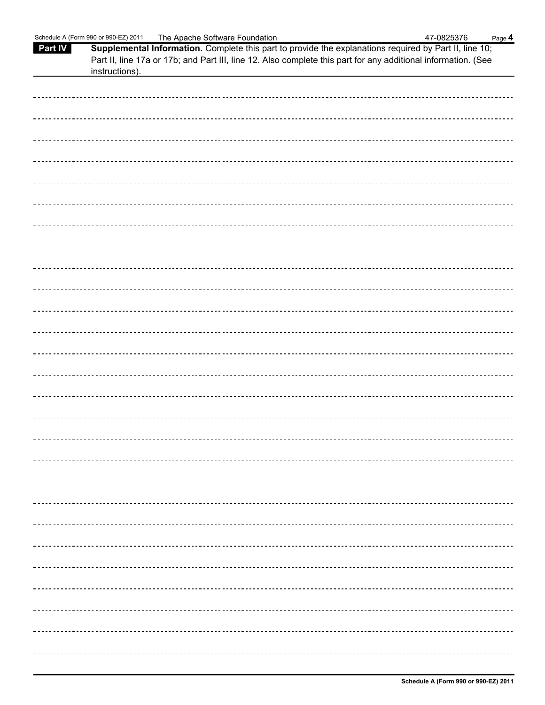|                | Schedule A (Form 990 or 990-EZ) 2011                                                                          | The Apache Software Foundation |  | 47-0825376 | Page 4 |
|----------------|---------------------------------------------------------------------------------------------------------------|--------------------------------|--|------------|--------|
| <b>Part IV</b> | Supplemental Information. Complete this part to provide the explanations required by Part II, line 10;        |                                |  |            |        |
|                | Part II, line 17a or 17b; and Part III, line 12. Also complete this part for any additional information. (See |                                |  |            |        |
|                | instructions).                                                                                                |                                |  |            |        |
|                |                                                                                                               |                                |  |            |        |
|                |                                                                                                               |                                |  |            |        |
|                |                                                                                                               |                                |  |            |        |
|                |                                                                                                               |                                |  |            |        |
|                |                                                                                                               |                                |  |            |        |
|                |                                                                                                               |                                |  |            |        |
|                |                                                                                                               |                                |  |            |        |
|                |                                                                                                               |                                |  |            |        |
|                |                                                                                                               |                                |  |            |        |
|                |                                                                                                               |                                |  |            |        |
|                |                                                                                                               |                                |  |            |        |
|                |                                                                                                               |                                |  |            |        |
|                |                                                                                                               |                                |  |            |        |
|                |                                                                                                               |                                |  |            |        |
|                |                                                                                                               |                                |  |            |        |
|                |                                                                                                               |                                |  |            |        |
|                |                                                                                                               |                                |  |            |        |
|                |                                                                                                               |                                |  |            |        |
|                |                                                                                                               |                                |  |            |        |
|                |                                                                                                               |                                |  |            |        |
|                |                                                                                                               |                                |  |            |        |
|                |                                                                                                               |                                |  |            |        |
|                |                                                                                                               |                                |  |            |        |
|                |                                                                                                               |                                |  |            |        |
|                |                                                                                                               |                                |  |            |        |
|                |                                                                                                               |                                |  |            |        |
|                |                                                                                                               |                                |  |            |        |
|                |                                                                                                               |                                |  |            |        |
|                |                                                                                                               |                                |  |            |        |
|                |                                                                                                               |                                |  |            |        |
|                |                                                                                                               |                                |  |            |        |
|                |                                                                                                               |                                |  |            |        |
|                |                                                                                                               |                                |  |            |        |
|                |                                                                                                               |                                |  |            |        |
|                |                                                                                                               |                                |  |            |        |
|                |                                                                                                               |                                |  |            |        |
|                |                                                                                                               |                                |  |            |        |
|                |                                                                                                               |                                |  |            |        |
|                |                                                                                                               |                                |  |            |        |
|                |                                                                                                               |                                |  |            |        |
|                |                                                                                                               |                                |  |            |        |
|                |                                                                                                               |                                |  |            |        |
|                |                                                                                                               |                                |  |            |        |
|                |                                                                                                               |                                |  |            |        |
|                |                                                                                                               |                                |  |            |        |
|                |                                                                                                               |                                |  |            |        |
|                |                                                                                                               |                                |  |            |        |
|                |                                                                                                               |                                |  |            |        |
|                |                                                                                                               |                                |  |            |        |
|                |                                                                                                               |                                |  |            |        |
|                |                                                                                                               |                                |  |            |        |
|                |                                                                                                               |                                |  |            |        |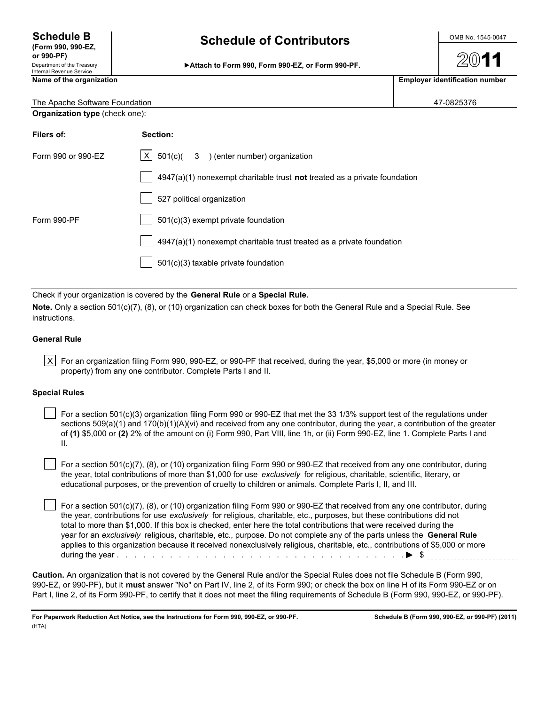# Schedule B<br>
(Form 990, 990-EZ, Schedule of Contributors **Schedule 10 Contributors**

| or 990-PF)<br>Department of the Treasury<br>Internal Revenue Service | Attach to Form 990, Form 990-EZ, or Form 990-PF. | 2011                                  |
|----------------------------------------------------------------------|--------------------------------------------------|---------------------------------------|
| Name of the organization                                             |                                                  | <b>Employer identification number</b> |
|                                                                      |                                                  |                                       |

| Emplover identification numbe |  |
|-------------------------------|--|
|                               |  |
|                               |  |

| The Apache Software Foundation        | 47-0825376   |                                            |  |
|---------------------------------------|--------------|--------------------------------------------|--|
| <b>Organization type (check one):</b> |              |                                            |  |
| Filers of:                            | Section:     |                                            |  |
| Form 990 or 990-EZ                    | $\mathsf{X}$ | $501(c)$ $3$ ) (enter number) organization |  |

|             | 4947(a)(1) nonexempt charitable trust not treated as a private foundation |
|-------------|---------------------------------------------------------------------------|
|             | 527 political organization                                                |
| Form 990-PF | 501(c)(3) exempt private foundation                                       |
|             | $4947(a)(1)$ nonexempt charitable trust treated as a private foundation   |
|             | 501(c)(3) taxable private foundation                                      |
|             |                                                                           |

Check if your organization is covered by the **General Rule** or a **Special Rule.**

**Note.** Only a section 501(c)(7), (8), or (10) organization can check boxes for both the General Rule and a Special Rule. See instructions.

## **General Rule**

 $|X|$  For an organization filing Form 990, 990-EZ, or 990-PF that received, during the year, \$5,000 or more (in money or property) from any one contributor. Complete Parts I and II.

## **Special Rules**

 For a section 501(c)(3) organization filing Form 990 or 990-EZ that met the 33 1/3% support test of the regulations under sections  $509(a)(1)$  and  $170(b)(1)(A)(vi)$  and received from any one contributor, during the year, a contribution of the greater of **(1)** \$5,000 or **(2)** 2% of the amount on (i) Form 990, Part VIII, line 1h, or (ii) Form 990-EZ, line 1. Complete Parts I and II.

 For a section 501(c)(7), (8), or (10) organization filing Form 990 or 990-EZ that received from any one contributor, during the year, total contributions of more than \$1,000 for use *exclusively* for religious, charitable, scientific, literary, or educational purposes, or the prevention of cruelty to children or animals. Complete Parts I, II, and III.

 For a section 501(c)(7), (8), or (10) organization filing Form 990 or 990-EZ that received from any one contributor, during the year, contributions for use *exclusively* for religious, charitable, etc., purposes, but these contributions did not total to more than \$1,000. If this box is checked, enter here the total contributions that were received during the year for an *exclusively* religious, charitable, etc., purpose. Do not complete any of the parts unless the **General Rule** applies to this organization because it received nonexclusively religious, charitable, etc., contributions of \$5,000 or more during the year . . . . . . . . . . . . . . . . . . . . . . . . . . . . . . . . . . . . . . . . . . . . . . . . . . . . . . . . . \$

**Caution.** An organization that is not covered by the General Rule and/or the Special Rules does not file Schedule B (Form 990, 990-EZ, or 990-PF), but it **must** answer "No" on Part IV, line 2, of its Form 990; or check the box on line H of its Form 990-EZ or on Part I, line 2, of its Form 990-PF, to certify that it does not meet the filing requirements of Schedule B (Form 990, 990-EZ, or 990-PF).

**For Paperwork Reduction Act Notice, see the Instructions for Form 990, 990-EZ, or 990-PF. Schedule B (Form 990, 990-EZ, or 990-PF) (2011)** (HTA)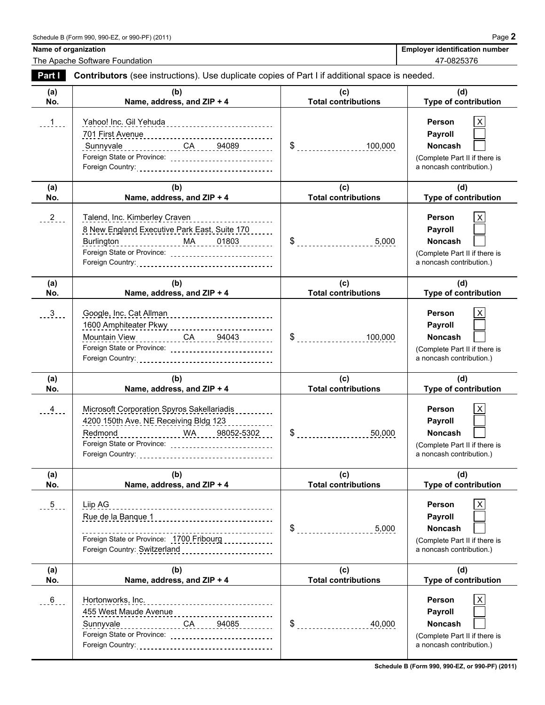The Apache Software Foundation **1999** 120 and 2012 12:00 12:00 12:00 12:00 12:00 12:00 12:00 12:00 12:00 12:00 12:00 12:00 12:00 12:00 12:00 12:00 12:00 12:00 12:00 12:00 12:00 12:00 12:00 12:00 12:00 12:00 12:00 12:00 12:

Name of organization **Name of organization Employer identification number Employer identification number** 

| Part I          | <b>Contributors</b> (see instructions). Use duplicate copies of Part I if additional space is needed.                                                                       |                                   |                                                                                                              |
|-----------------|-----------------------------------------------------------------------------------------------------------------------------------------------------------------------------|-----------------------------------|--------------------------------------------------------------------------------------------------------------|
| (a)<br>No.      | (b)<br>Name, address, and ZIP + 4                                                                                                                                           | (c)<br><b>Total contributions</b> | (d)<br>Type of contribution                                                                                  |
| . 1             | Yahoo! Inc. Gil Yehuda<br>Sunnyvale _______________CA _____94089<br>Foreign State or Province:                                                                              | $\frac{1}{2}$<br>100,000          | Person<br>Payroll<br><b>Noncash</b><br>(Complete Part II if there is<br>a noncash contribution.)             |
| (a)<br>No.      | (b)<br>Name, address, and ZIP + 4                                                                                                                                           | (c)<br><b>Total contributions</b> | (d)<br>Type of contribution                                                                                  |
| $\frac{2}{2}$   | Talend, Inc. Kimberley Craven<br>8 New England Executive Park East, Suite 170<br>Burlington  MA  01803<br>Foreign State or Province:                                        | $\frac{1}{2}$                     | <b>Person</b><br>Х<br>Payroll<br>Noncash<br>(Complete Part II if there is<br>a noncash contribution.)        |
| (a)<br>No.      | (b)<br>Name, address, and ZIP + 4                                                                                                                                           | (c)<br><b>Total contributions</b> | (d)<br>Type of contribution                                                                                  |
| $\frac{3}{2}$ . | Google, Inc. Cat Allman<br>Mountain View CA 94043                                                                                                                           | $\frac{1}{2}$<br>100,000          | Person<br>X<br>Payroll<br><b>Noncash</b><br>(Complete Part II if there is<br>a noncash contribution.)        |
| (a)<br>No.      | (b)<br>Name, address, and ZIP + 4                                                                                                                                           | (c)<br><b>Total contributions</b> | (d)<br>Type of contribution                                                                                  |
| $-4$            | Microsoft Corporation Spyros Sakellariadis<br>4200 150th Ave. NE Receiving Bldg 123<br>WA 98052-5302<br>Redmond<br>Foreign State or Province: _____________________________ | \$50,000                          | <b>Person</b><br>Х<br>Payroll<br><b>Noncash</b><br>(Complete Part II if there is<br>a noncash contribution.) |
| (a)<br>No.      | (b)<br>Name, address, and ZIP + 4                                                                                                                                           | (c)<br><b>Total contributions</b> | (d)<br>Type of contribution                                                                                  |
| $-5$            | Liip AG<br>Rue de la Banque 1<br>Foreign State or Province: 1700 Fribourg<br>Foreign Country: Switzerland _________________________                                         | 5,000                             | Person<br>X<br><b>Payroll</b><br>Noncash<br>(Complete Part II if there is<br>a noncash contribution.)        |
| (a)<br>No.      | (b)<br>Name, address, and ZIP + 4                                                                                                                                           | (c)<br><b>Total contributions</b> | (d)<br>Type of contribution                                                                                  |
| $-6$            | Hortonworks, Inc.<br>455 West Maude Avenue ___________________________<br>Foreign State or Province: ______________________________                                         | $\frac{6}{2}$                     | $\pmb{\times}$<br>Person<br>Payroll<br>Noncash<br>(Complete Part II if there is<br>a noncash contribution.)  |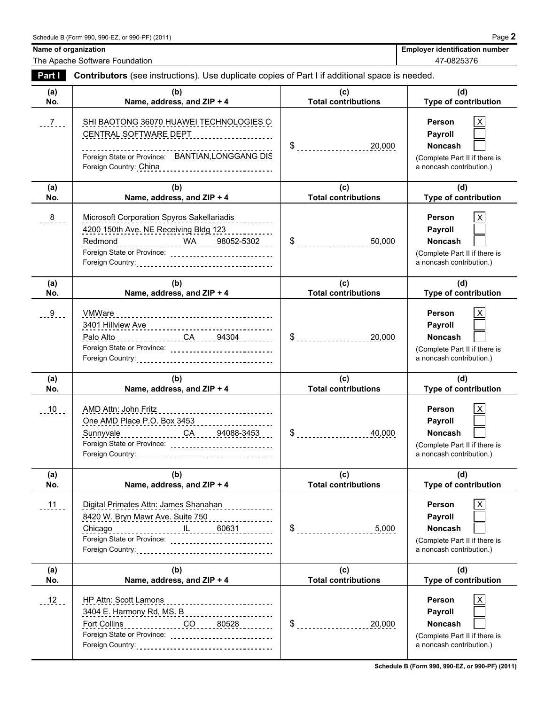The Apache Software Foundation **1999** 120 and 2012 12:00 12:00 12:00 12:00 12:00 12:00 12:00 12:00 12:00 12:00 12:00 12:00 12:00 12:00 12:00 12:00 12:00 12:00 12:00 12:00 12:00 12:00 12:00 12:00 12:00 12:00 12:00 12:00 12:

**Name of organization Name of organization Employer identification number** 

| Part I     | <b>Contributors</b> (see instructions). Use duplicate copies of Part I if additional space is needed.                                                                                                                                                                                                                                                      |                                   |                                                                                                                                      |  |  |  |
|------------|------------------------------------------------------------------------------------------------------------------------------------------------------------------------------------------------------------------------------------------------------------------------------------------------------------------------------------------------------------|-----------------------------------|--------------------------------------------------------------------------------------------------------------------------------------|--|--|--|
| (a)<br>No. | (b)<br>Name, address, and ZIP + 4                                                                                                                                                                                                                                                                                                                          | (c)<br><b>Total contributions</b> | (d)<br>Type of contribution                                                                                                          |  |  |  |
| $-7$       | SHI BAOTONG 36070 HUAWEI TECHNOLOGIES C<br>CENTRAL SOFTWARE DEPT<br>Foreign State or Province: BANTIAN, LONGGANG DIS<br>Foreign Country: China <b>Communist China Contract Contract Contract Contract Contract Contract Contract Contract Contract Contract Contract Contract Contract Contract Contract Contract Contract Contract Contract Contract </b> | 20,000                            | Person<br>X<br>Payroll<br><b>Noncash</b><br>(Complete Part II if there is<br>a noncash contribution.)                                |  |  |  |
| (a)        | (b)                                                                                                                                                                                                                                                                                                                                                        | (c)                               | (d)                                                                                                                                  |  |  |  |
| No.<br>8   | Name, address, and ZIP + 4<br>Microsoft Corporation Spyros Sakellariadis<br>4200 150th Ave. NE Receiving Bldg 123<br>Redmond ______________ WA ____ 98052-5302 ___<br>Foreign State or Province: _____________________________                                                                                                                             | <b>Total contributions</b>        | <b>Type of contribution</b><br>Person<br>х<br>Payroll<br><b>Noncash</b><br>(Complete Part II if there is<br>a noncash contribution.) |  |  |  |
| (a)<br>No. | (b)<br>Name, address, and ZIP + 4                                                                                                                                                                                                                                                                                                                          | (c)<br><b>Total contributions</b> | (d)<br><b>Type of contribution</b>                                                                                                   |  |  |  |
| 9          | 3401 Hillview Ave<br>Palo Alto __________________CA _____94304 ________<br>Foreign State or Province: _____________________________                                                                                                                                                                                                                        | 20,000                            | Person<br>х<br>Payroll<br><b>Noncash</b><br>(Complete Part II if there is<br>a noncash contribution.)                                |  |  |  |
| (a)<br>No. | (b)<br>Name, address, and ZIP + 4                                                                                                                                                                                                                                                                                                                          | (c)<br><b>Total contributions</b> | (d)<br>Type of contribution                                                                                                          |  |  |  |
| 10         | AMD Attn: John Fritz<br>One AMD Place P.O. Box 3453<br>Sunnyvale ________________CA _____94088-3453<br>Foreign State or Province: _____________________________                                                                                                                                                                                            | 40,000                            | X<br><b>Person</b><br>Payroll<br><b>Noncash</b><br>(Complete Part II if there is<br>a noncash contribution.)                         |  |  |  |
| (a)<br>No. | (b)<br>Name, address, and ZIP + 4                                                                                                                                                                                                                                                                                                                          | (c)<br><b>Total contributions</b> | (d)<br><b>Type of contribution</b>                                                                                                   |  |  |  |
| $11 -$     | Digital Primates Attn: James Shanahan<br>8420 W. Bryn Mawr Ave. Suite 750<br>Chicago<br>Foreign State or Province: _____________________________                                                                                                                                                                                                           | $\$\$<br>5,000                    | Person<br><b>Payroll</b><br><b>Noncash</b><br>(Complete Part II if there is<br>a noncash contribution.)                              |  |  |  |
| (a)<br>No. | (b)<br>Name, address, and ZIP + 4                                                                                                                                                                                                                                                                                                                          | (c)<br><b>Total contributions</b> | (d)<br><b>Type of contribution</b>                                                                                                   |  |  |  |
| $12 -$     | HP Attn: Scott Lamons<br>------------------------<br>3404 E. Harmony Rd, MS. B<br>Fort Collins<br>$\overline{CO}$ 80528<br>Foreign State or Province: _____________________________                                                                                                                                                                        | $\$\$<br>20,000                   | Person<br>Payroll<br>Noncash<br>(Complete Part II if there is<br>a noncash contribution.)                                            |  |  |  |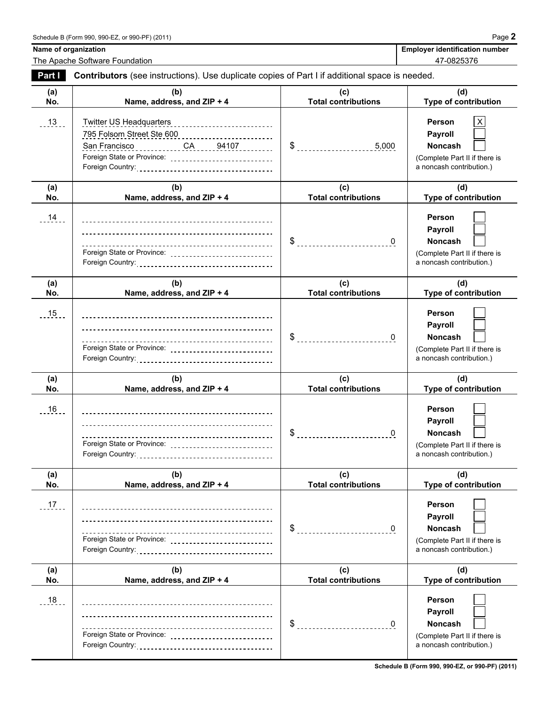The Apache Software Foundation **1999** 120 and 2012 12:00 12:00 12:00 12:00 12:00 12:00 12:00 12:00 12:00 12:00 12:00 12:00 12:00 12:00 12:00 12:00 12:00 12:00 12:00 12:00 12:00 12:00 12:00 12:00 12:00 12:00 12:00 12:00 12:

Name of organization **Name of organization Employer identification number** 

| <b>Part I</b> | Contributors (see instructions). Use duplicate copies of Part I if additional space is needed. |                                   |                                                                                                       |  |  |  |
|---------------|------------------------------------------------------------------------------------------------|-----------------------------------|-------------------------------------------------------------------------------------------------------|--|--|--|
| (a)<br>No.    | (b)<br>Name, address, and ZIP + 4                                                              | (c)<br><b>Total contributions</b> | (d)<br><b>Type of contribution</b>                                                                    |  |  |  |
| $-13$ .       | <b>Twitter US Headquarters</b><br>Foreign State or Province: ______________________________    | $\$\$<br>5,000                    | Person<br>х<br>Payroll<br><b>Noncash</b><br>(Complete Part II if there is<br>a noncash contribution.) |  |  |  |
| (a)<br>No.    | (b)<br>Name, address, and ZIP + 4                                                              | (c)<br><b>Total contributions</b> | (d)<br>Type of contribution                                                                           |  |  |  |
| $14 -$        | Foreign State or Province: ____________________________                                        | $\$\$<br>$\overline{0}$           | Person<br>Payroll<br><b>Noncash</b><br>(Complete Part II if there is<br>a noncash contribution.)      |  |  |  |
| (a)<br>No.    | (b)<br>Name, address, and ZIP + 4                                                              | (c)<br><b>Total contributions</b> | (d)<br>Type of contribution                                                                           |  |  |  |
| $.15$ .       | Foreign State or Province: _____________________________                                       | $\frac{1}{2}$<br>$\overline{0}$   | Person<br>Payroll<br><b>Noncash</b><br>(Complete Part II if there is<br>a noncash contribution.)      |  |  |  |
| (a)<br>No.    | (b)<br>Name, address, and ZIP + 4                                                              | (c)<br><b>Total contributions</b> | (d)<br>Type of contribution                                                                           |  |  |  |
| 16            | Foreign State or Province: _____________________________                                       | $\$\$<br>0                        | Person<br>Payroll<br><b>Noncash</b><br>(Complete Part II if there is<br>a noncash contribution.)      |  |  |  |
| (a)<br>No.    | (b)<br>Name, address, and ZIP + 4                                                              | (c)<br><b>Total contributions</b> | (d)<br>Type of contribution                                                                           |  |  |  |
| 17.           | ------------------------------------                                                           |                                   | Person<br>Payroll<br>Noncash<br>(Complete Part II if there is<br>a noncash contribution.)             |  |  |  |
| (a)<br>No.    | (b)<br>Name, address, and ZIP + 4                                                              | (c)<br><b>Total contributions</b> | (d)<br>Type of contribution                                                                           |  |  |  |
| 18            | ----------------------------------                                                             | \$<br>$\mathbf{0}$                | Person<br>Payroll<br>Noncash<br>(Complete Part II if there is<br>a noncash contribution.)             |  |  |  |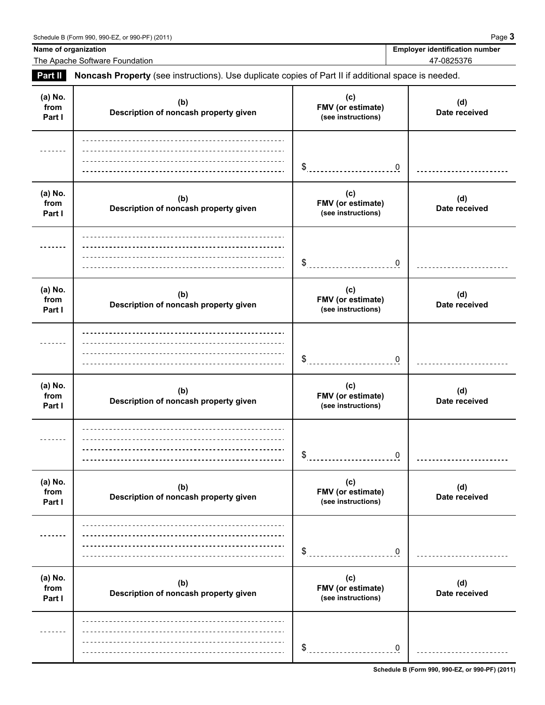**Name of organization Employer identification number Employer identification number** 

The Apache Software Foundation 47-0825376

**Part II Noncash Property** (see instructions). Use duplicate copies of Part II if additional space is needed.

| (a) No.<br>from<br>Part I | (b)<br>Description of noncash property given | (c)<br>FMV (or estimate)<br>(see instructions) | (d)<br>Date received |
|---------------------------|----------------------------------------------|------------------------------------------------|----------------------|
|                           |                                              | \$<br>0                                        |                      |
| (a) No.<br>from<br>Part I | (b)<br>Description of noncash property given | (c)<br>FMV (or estimate)<br>(see instructions) | (d)<br>Date received |
|                           |                                              | \$<br>0                                        |                      |
| (a) No.<br>from<br>Part I | (b)<br>Description of noncash property given | (c)<br>FMV (or estimate)<br>(see instructions) | (d)<br>Date received |
|                           |                                              | $\frac{1}{2}$<br>0                             |                      |
| (a) No.<br>from<br>Part I | (b)<br>Description of noncash property given | (c)<br>FMV (or estimate)<br>(see instructions) | (d)<br>Date received |
|                           |                                              | \$<br>$\mathbf 0$                              |                      |
| (a) No.<br>from<br>Part I | (b)<br>Description of noncash property given | (c)<br>FMV (or estimate)<br>(see instructions) | (d)<br>Date received |
|                           |                                              | \$<br>$\mathbf 0$                              |                      |
| (a) No.<br>from<br>Part I | (b)<br>Description of noncash property given | (c)<br>FMV (or estimate)<br>(see instructions) | (d)<br>Date received |
| -----                     |                                              | \$<br>$\mathbf 0$                              |                      |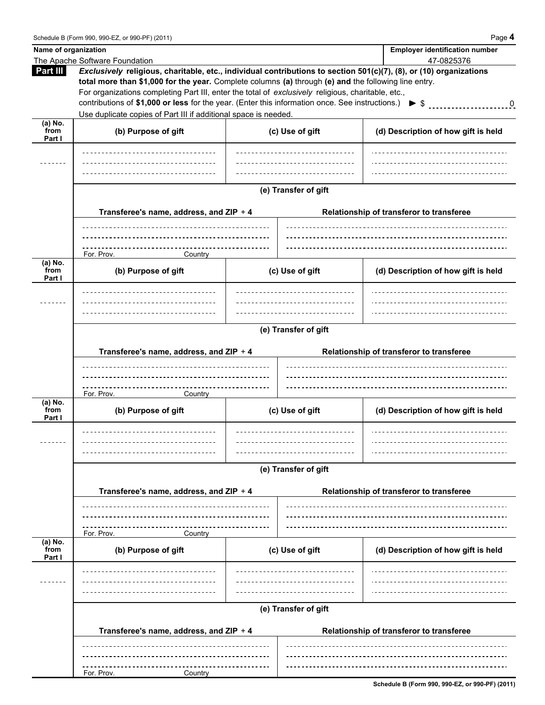| Name of organization |                                                                                                                                                                                                                                                                                                                                  |                                                                                     |                      |  | <b>Employer identification number</b>    |  |  |  |
|----------------------|----------------------------------------------------------------------------------------------------------------------------------------------------------------------------------------------------------------------------------------------------------------------------------------------------------------------------------|-------------------------------------------------------------------------------------|----------------------|--|------------------------------------------|--|--|--|
|                      | The Apache Software Foundation                                                                                                                                                                                                                                                                                                   |                                                                                     |                      |  | 47-0825376                               |  |  |  |
| Part III             | Exclusively religious, charitable, etc., individual contributions to section 501(c)(7), (8), or (10) organizations<br>total more than \$1,000 for the year. Complete columns (a) through (e) and the following line entry.<br>For organizations completing Part III, enter the total of exclusively religious, charitable, etc., |                                                                                     |                      |  |                                          |  |  |  |
|                      |                                                                                                                                                                                                                                                                                                                                  |                                                                                     |                      |  |                                          |  |  |  |
|                      | contributions of \$1,000 or less for the year. (Enter this information once. See instructions.) $\triangleright$ \$ 0                                                                                                                                                                                                            |                                                                                     |                      |  |                                          |  |  |  |
|                      | Use duplicate copies of Part III if additional space is needed.                                                                                                                                                                                                                                                                  |                                                                                     |                      |  |                                          |  |  |  |
| $(a)$ No.            |                                                                                                                                                                                                                                                                                                                                  |                                                                                     |                      |  |                                          |  |  |  |
| from                 | (b) Purpose of gift                                                                                                                                                                                                                                                                                                              |                                                                                     | (c) Use of gift      |  | (d) Description of how gift is held      |  |  |  |
| Part I               |                                                                                                                                                                                                                                                                                                                                  |                                                                                     |                      |  |                                          |  |  |  |
|                      | _________________________________                                                                                                                                                                                                                                                                                                |                                                                                     |                      |  |                                          |  |  |  |
|                      |                                                                                                                                                                                                                                                                                                                                  |                                                                                     |                      |  |                                          |  |  |  |
|                      |                                                                                                                                                                                                                                                                                                                                  |                                                                                     |                      |  |                                          |  |  |  |
|                      |                                                                                                                                                                                                                                                                                                                                  |                                                                                     | (e) Transfer of gift |  |                                          |  |  |  |
|                      |                                                                                                                                                                                                                                                                                                                                  |                                                                                     |                      |  |                                          |  |  |  |
|                      |                                                                                                                                                                                                                                                                                                                                  | Transferee's name, address, and ZIP + 4<br>Relationship of transferor to transferee |                      |  |                                          |  |  |  |
|                      |                                                                                                                                                                                                                                                                                                                                  |                                                                                     |                      |  |                                          |  |  |  |
|                      |                                                                                                                                                                                                                                                                                                                                  |                                                                                     |                      |  |                                          |  |  |  |
|                      | ----------------------                                                                                                                                                                                                                                                                                                           |                                                                                     |                      |  |                                          |  |  |  |
| (a) No.              | For. Prov.<br>Country                                                                                                                                                                                                                                                                                                            |                                                                                     |                      |  |                                          |  |  |  |
| from                 | (b) Purpose of gift                                                                                                                                                                                                                                                                                                              |                                                                                     | (c) Use of gift      |  | (d) Description of how gift is held      |  |  |  |
| Part I               |                                                                                                                                                                                                                                                                                                                                  |                                                                                     |                      |  |                                          |  |  |  |
|                      | ________________________________                                                                                                                                                                                                                                                                                                 |                                                                                     |                      |  |                                          |  |  |  |
|                      |                                                                                                                                                                                                                                                                                                                                  |                                                                                     |                      |  |                                          |  |  |  |
|                      |                                                                                                                                                                                                                                                                                                                                  |                                                                                     |                      |  |                                          |  |  |  |
|                      | (e) Transfer of gift                                                                                                                                                                                                                                                                                                             |                                                                                     |                      |  |                                          |  |  |  |
|                      |                                                                                                                                                                                                                                                                                                                                  |                                                                                     |                      |  |                                          |  |  |  |
|                      | Transferee's name, address, and ZIP + 4                                                                                                                                                                                                                                                                                          |                                                                                     |                      |  | Relationship of transferor to transferee |  |  |  |
|                      |                                                                                                                                                                                                                                                                                                                                  |                                                                                     |                      |  |                                          |  |  |  |
|                      |                                                                                                                                                                                                                                                                                                                                  |                                                                                     |                      |  |                                          |  |  |  |
|                      | ----------------<br>For. Prov.<br>Country                                                                                                                                                                                                                                                                                        |                                                                                     |                      |  |                                          |  |  |  |
| (a) No.              |                                                                                                                                                                                                                                                                                                                                  |                                                                                     |                      |  |                                          |  |  |  |
| from<br>Part I       | (b) Purpose of gift                                                                                                                                                                                                                                                                                                              |                                                                                     | (c) Use of gift      |  | (d) Description of how gift is held      |  |  |  |
|                      | _____________________________                                                                                                                                                                                                                                                                                                    |                                                                                     |                      |  |                                          |  |  |  |
|                      | ----------------------------                                                                                                                                                                                                                                                                                                     |                                                                                     |                      |  |                                          |  |  |  |
|                      |                                                                                                                                                                                                                                                                                                                                  |                                                                                     |                      |  |                                          |  |  |  |
|                      |                                                                                                                                                                                                                                                                                                                                  |                                                                                     |                      |  |                                          |  |  |  |
|                      | (e) Transfer of gift                                                                                                                                                                                                                                                                                                             |                                                                                     |                      |  |                                          |  |  |  |
|                      | Transferee's name, address, and ZIP + 4<br>Relationship of transferor to transferee                                                                                                                                                                                                                                              |                                                                                     |                      |  |                                          |  |  |  |
|                      |                                                                                                                                                                                                                                                                                                                                  |                                                                                     |                      |  |                                          |  |  |  |
|                      |                                                                                                                                                                                                                                                                                                                                  |                                                                                     |                      |  |                                          |  |  |  |
|                      |                                                                                                                                                                                                                                                                                                                                  |                                                                                     |                      |  |                                          |  |  |  |
|                      | For. Prov.<br>Country                                                                                                                                                                                                                                                                                                            |                                                                                     |                      |  |                                          |  |  |  |
| (a) No.<br>from      | (b) Purpose of gift                                                                                                                                                                                                                                                                                                              |                                                                                     | (c) Use of gift      |  | (d) Description of how gift is held      |  |  |  |
| Part I               |                                                                                                                                                                                                                                                                                                                                  |                                                                                     |                      |  |                                          |  |  |  |
|                      |                                                                                                                                                                                                                                                                                                                                  |                                                                                     |                      |  |                                          |  |  |  |
|                      |                                                                                                                                                                                                                                                                                                                                  |                                                                                     |                      |  |                                          |  |  |  |
|                      |                                                                                                                                                                                                                                                                                                                                  |                                                                                     |                      |  |                                          |  |  |  |
|                      |                                                                                                                                                                                                                                                                                                                                  |                                                                                     | (e) Transfer of gift |  |                                          |  |  |  |
|                      |                                                                                                                                                                                                                                                                                                                                  |                                                                                     |                      |  |                                          |  |  |  |
|                      | Transferee's name, address, and ZIP + 4                                                                                                                                                                                                                                                                                          |                                                                                     |                      |  | Relationship of transferor to transferee |  |  |  |
|                      |                                                                                                                                                                                                                                                                                                                                  |                                                                                     |                      |  |                                          |  |  |  |
|                      |                                                                                                                                                                                                                                                                                                                                  |                                                                                     |                      |  |                                          |  |  |  |
|                      |                                                                                                                                                                                                                                                                                                                                  |                                                                                     |                      |  |                                          |  |  |  |
|                      | For. Prov.<br>Country                                                                                                                                                                                                                                                                                                            |                                                                                     |                      |  |                                          |  |  |  |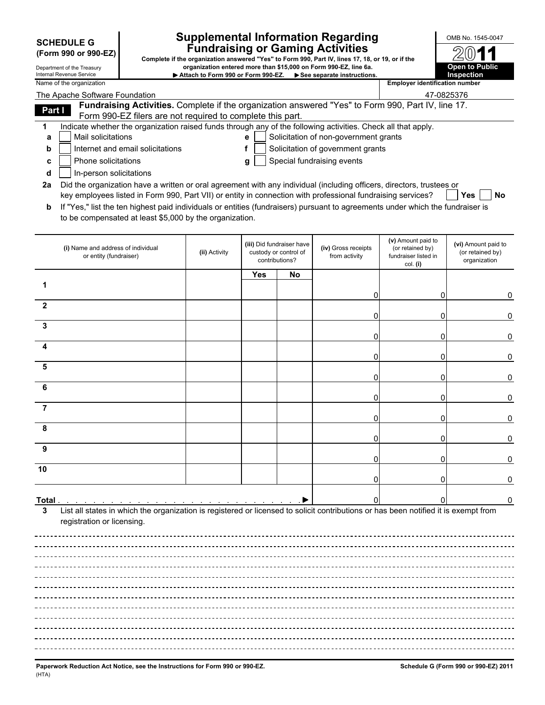| (Form 990 or 990-EZ |  |  |
|---------------------|--|--|
|---------------------|--|--|

# **Supplemental Information Regarding DESA NO. 1545-0047 Fundraising or Gaming Activities SCHEDULE G**

Complete if the organization answered "Yes" to Form 990, Part IV, lines 17, 18, or 19, or if the Department of the Treasury **organization entered more than \$15,000 on Form 990-EZ, line 6a.**<br>Internal Revenue Service **COVID-EX, PEC, PEC, PEC, PEC, PUBLIC** Internal Revenue Service **Attach to Form 990 or Form 990-EZ.**<br>Name of the organization

| 9. or if the                          | 2011                  |  |  |  |  |
|---------------------------------------|-----------------------|--|--|--|--|
|                                       | <b>Open to Public</b> |  |  |  |  |
|                                       | Inspection            |  |  |  |  |
| <b>Employer identification number</b> |                       |  |  |  |  |

|        | The Apache Software Foundation                                                                                                                                                                                                 |               |     |                                                                      |                                       | 47-0825376                                                                 |                                                         |
|--------|--------------------------------------------------------------------------------------------------------------------------------------------------------------------------------------------------------------------------------|---------------|-----|----------------------------------------------------------------------|---------------------------------------|----------------------------------------------------------------------------|---------------------------------------------------------|
| Part I | Fundraising Activities. Complete if the organization answered "Yes" to Form 990, Part IV, line 17.                                                                                                                             |               |     |                                                                      |                                       |                                                                            |                                                         |
| 1      | Form 990-EZ filers are not required to complete this part.<br>Indicate whether the organization raised funds through any of the following activities. Check all that apply.<br>Mail solicitations                              |               | е   |                                                                      | Solicitation of non-government grants |                                                                            |                                                         |
| a<br>b | Internet and email solicitations                                                                                                                                                                                               |               | f   |                                                                      | Solicitation of government grants     |                                                                            |                                                         |
| c      | Phone solicitations                                                                                                                                                                                                            |               |     |                                                                      | Special fundraising events            |                                                                            |                                                         |
| d      | In-person solicitations                                                                                                                                                                                                        |               | g   |                                                                      |                                       |                                                                            |                                                         |
| 2a     | Did the organization have a written or oral agreement with any individual (including officers, directors, trustees or                                                                                                          |               |     |                                                                      |                                       |                                                                            |                                                         |
|        | key employees listed in Form 990, Part VII) or entity in connection with professional fundraising services?                                                                                                                    |               |     |                                                                      |                                       |                                                                            | Yes<br>No                                               |
| b      | If "Yes," list the ten highest paid individuals or entities (fundraisers) pursuant to agreements under which the fundraiser is                                                                                                 |               |     |                                                                      |                                       |                                                                            |                                                         |
|        | to be compensated at least \$5,000 by the organization.                                                                                                                                                                        |               |     |                                                                      |                                       |                                                                            |                                                         |
|        | (i) Name and address of individual<br>or entity (fundraiser)                                                                                                                                                                   | (ii) Activity |     | (iii) Did fundraiser have<br>custody or control of<br>contributions? | (iv) Gross receipts<br>from activity  | (v) Amount paid to<br>(or retained by)<br>fundraiser listed in<br>col. (i) | (vi) Amount paid to<br>(or retained by)<br>organization |
|        |                                                                                                                                                                                                                                |               | Yes | No                                                                   |                                       |                                                                            |                                                         |
| 1      |                                                                                                                                                                                                                                |               |     |                                                                      | 0                                     | 0                                                                          | 0                                                       |
| 2      |                                                                                                                                                                                                                                |               |     |                                                                      |                                       |                                                                            |                                                         |
| 3      |                                                                                                                                                                                                                                |               |     |                                                                      | 0                                     | 0                                                                          |                                                         |
| 4      |                                                                                                                                                                                                                                |               |     |                                                                      | 0                                     | 0                                                                          | 0                                                       |
|        |                                                                                                                                                                                                                                |               |     |                                                                      | 0                                     | 0                                                                          | 0                                                       |
| 5      |                                                                                                                                                                                                                                |               |     |                                                                      | 0                                     | 0                                                                          | 0                                                       |
| 6      |                                                                                                                                                                                                                                |               |     |                                                                      | 0                                     | 0                                                                          | 0                                                       |
| 7      |                                                                                                                                                                                                                                |               |     |                                                                      | 0                                     | 0                                                                          | 0                                                       |
| 8      |                                                                                                                                                                                                                                |               |     |                                                                      |                                       |                                                                            |                                                         |
| 9      |                                                                                                                                                                                                                                |               |     |                                                                      | 0                                     | 0                                                                          | 0                                                       |
|        |                                                                                                                                                                                                                                |               |     |                                                                      | 0                                     | 0                                                                          | O                                                       |
| 10     |                                                                                                                                                                                                                                |               |     |                                                                      | 0                                     | 0                                                                          | 0                                                       |
| Total. | the contract of the contract of the contract of the contract of the contract of the contract of the contract of the contract of the contract of the contract of the contract of the contract of the contract of the contract o |               |     |                                                                      |                                       |                                                                            | 0                                                       |
| 3      | List all states in which the organization is registered or licensed to solicit contributions or has been notified it is exempt from                                                                                            |               |     |                                                                      |                                       |                                                                            |                                                         |
|        | registration or licensing.                                                                                                                                                                                                     |               |     |                                                                      |                                       |                                                                            |                                                         |
|        |                                                                                                                                                                                                                                |               |     |                                                                      |                                       |                                                                            |                                                         |
|        |                                                                                                                                                                                                                                |               |     |                                                                      |                                       |                                                                            |                                                         |
|        |                                                                                                                                                                                                                                |               |     |                                                                      |                                       |                                                                            |                                                         |
|        |                                                                                                                                                                                                                                |               |     |                                                                      |                                       |                                                                            |                                                         |
|        |                                                                                                                                                                                                                                |               |     |                                                                      |                                       |                                                                            |                                                         |
|        |                                                                                                                                                                                                                                |               |     |                                                                      |                                       |                                                                            |                                                         |
|        |                                                                                                                                                                                                                                |               |     |                                                                      |                                       |                                                                            |                                                         |
|        |                                                                                                                                                                                                                                |               |     |                                                                      |                                       |                                                                            |                                                         |
|        |                                                                                                                                                                                                                                |               |     |                                                                      |                                       |                                                                            |                                                         |
|        |                                                                                                                                                                                                                                |               |     |                                                                      |                                       |                                                                            |                                                         |
|        |                                                                                                                                                                                                                                |               |     |                                                                      |                                       |                                                                            |                                                         |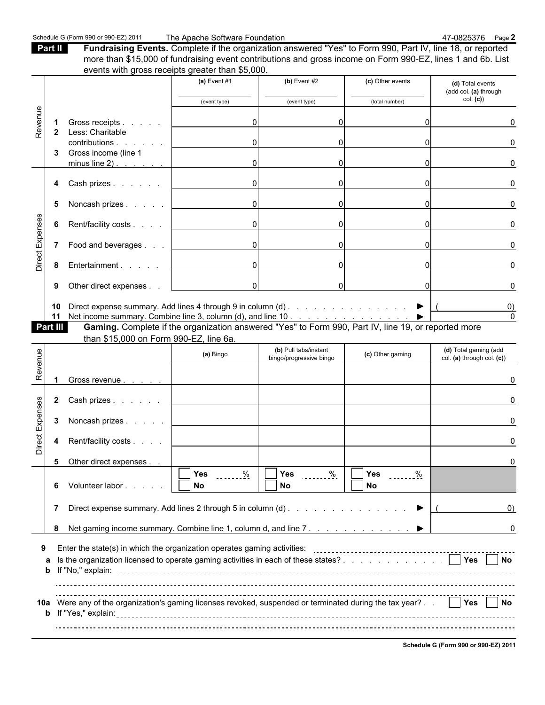Part II **Fundraising Events.** Complete if the organization answered "Yes" to Form 990, Part IV, line 18, or reported more than \$15,000 of fundraising event contributions and gross income on Form 990-EZ, lines 1 and 6b. List events with gross receipts greater than \$5,000.

|                 |                    |                                                                                                                     | (a) Event $#1$                      | $(b)$ Event #2                       | (c) Other events                     | (d) Total events<br>(add col. (a) through |
|-----------------|--------------------|---------------------------------------------------------------------------------------------------------------------|-------------------------------------|--------------------------------------|--------------------------------------|-------------------------------------------|
|                 |                    |                                                                                                                     | (event type)                        | (event type)                         | (total number)                       | col. (c)                                  |
|                 |                    |                                                                                                                     |                                     |                                      |                                      |                                           |
| Revenue         | -1<br>$\mathbf{2}$ | Gross receipts.<br>and a state<br>Less: Charitable                                                                  | $\Omega$                            |                                      |                                      |                                           |
|                 |                    | contributions.<br>and a state                                                                                       | $\Omega$                            |                                      |                                      |                                           |
|                 | 3                  | Gross income (line 1                                                                                                |                                     |                                      |                                      |                                           |
|                 |                    | minus line $2)$ .                                                                                                   | $\Omega$                            |                                      |                                      |                                           |
|                 | 4                  | Cash prizes                                                                                                         | $\overline{0}$                      | $\Omega$                             |                                      |                                           |
|                 |                    |                                                                                                                     |                                     |                                      |                                      |                                           |
|                 | 5                  | Noncash prizes                                                                                                      | 0                                   | $\Omega$                             |                                      |                                           |
|                 | 6                  | Rent/facility costs                                                                                                 | 0                                   | $\Omega$                             |                                      |                                           |
|                 |                    |                                                                                                                     |                                     |                                      |                                      |                                           |
| Direct Expenses | 7                  | Food and beverages                                                                                                  | $\overline{0}$                      | $\Omega$                             |                                      |                                           |
|                 | 8                  | Entertainment                                                                                                       | $\overline{0}$                      |                                      |                                      |                                           |
|                 | 9                  | Other direct expenses.                                                                                              | $\overline{0}$                      |                                      |                                      |                                           |
|                 |                    |                                                                                                                     |                                     |                                      |                                      |                                           |
|                 | 10                 |                                                                                                                     |                                     |                                      |                                      | $\left( 0\right)$                         |
|                 | 11<br>Part III     |                                                                                                                     |                                     |                                      |                                      |                                           |
|                 |                    | than \$15,000 on Form 990-EZ, line 6a.                                                                              |                                     |                                      |                                      |                                           |
|                 |                    |                                                                                                                     |                                     | (b) Pull tabs/instant                |                                      | (d) Total gaming (add                     |
| Revenue         |                    |                                                                                                                     | (a) Bingo                           | bingo/progressive bingo              | (c) Other gaming                     | col. (a) through col. (c))                |
|                 |                    |                                                                                                                     |                                     |                                      |                                      |                                           |
|                 |                    | Gross revenue                                                                                                       |                                     |                                      |                                      |                                           |
|                 |                    | 2 Cash prizes                                                                                                       |                                     |                                      |                                      |                                           |
|                 |                    |                                                                                                                     |                                     |                                      |                                      |                                           |
|                 | 3                  | Noncash prizes                                                                                                      |                                     |                                      |                                      |                                           |
| Direct Expenses | 4                  | Rent/facility costs                                                                                                 |                                     |                                      |                                      |                                           |
|                 |                    | 5 Other direct expenses                                                                                             |                                     |                                      |                                      |                                           |
|                 |                    |                                                                                                                     | $\overline{\Box}$ Yes<br><u>. %</u> | $\overline{\Box}$ Yes<br>$rac{9}{6}$ | $\overline{\Box}$ Yes<br>$rac{9}{2}$ |                                           |
|                 | 6                  | Volunteer labor                                                                                                     | No                                  | No                                   | <b>No</b>                            |                                           |
|                 | 7                  |                                                                                                                     |                                     |                                      | ▶                                    | (0)                                       |
|                 |                    |                                                                                                                     |                                     |                                      |                                      |                                           |
|                 | 8                  | Net gaming income summary. Combine line 1, column d, and line 7. ▶                                                  |                                     |                                      |                                      | 0                                         |
| 9               |                    | Enter the state(s) in which the organization operates gaming activities:                                            |                                     |                                      |                                      |                                           |
|                 | a                  |                                                                                                                     |                                     |                                      |                                      |                                           |
|                 | b                  |                                                                                                                     |                                     |                                      |                                      |                                           |
|                 |                    |                                                                                                                     |                                     |                                      |                                      |                                           |
|                 |                    | 10a Were any of the organization's gaming licenses revoked, suspended or terminated during the tax year?   Yes   No |                                     |                                      |                                      |                                           |
|                 |                    |                                                                                                                     |                                     |                                      |                                      |                                           |
|                 |                    |                                                                                                                     |                                     |                                      |                                      |                                           |
|                 |                    |                                                                                                                     |                                     |                                      |                                      |                                           |

**Schedule G (Form 990 or 990-EZ) 2011**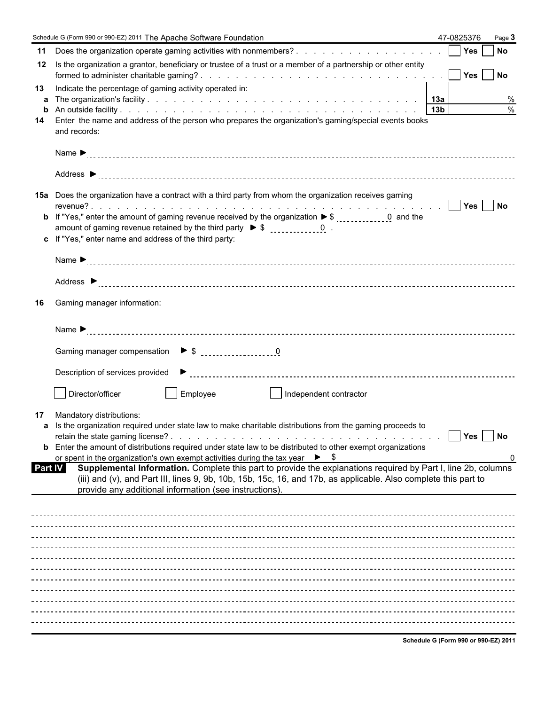|                | Schedule G (Form 990 or 990-EZ) 2011 The Apache Software Foundation                                                                                                                                                                                                                                               | 47-0825376 | Page 3        |
|----------------|-------------------------------------------------------------------------------------------------------------------------------------------------------------------------------------------------------------------------------------------------------------------------------------------------------------------|------------|---------------|
| 11             |                                                                                                                                                                                                                                                                                                                   | Yes        | <b>No</b>     |
| 12             | Is the organization a grantor, beneficiary or trustee of a trust or a member of a partnership or other entity                                                                                                                                                                                                     |            |               |
| 13<br>a        | Indicate the percentage of gaming activity operated in:                                                                                                                                                                                                                                                           |            | %             |
| b<br>14        | Enter the name and address of the person who prepares the organization's gaming/special events books                                                                                                                                                                                                              |            | $\frac{0}{0}$ |
|                | and records:                                                                                                                                                                                                                                                                                                      |            |               |
|                |                                                                                                                                                                                                                                                                                                                   |            |               |
|                | 15a Does the organization have a contract with a third party from whom the organization receives gaming<br><b>b</b> If "Yes," enter the amount of gaming revenue received by the organization $\triangleright$ \$ 1.14, 16, 2007 0.15, 2008 11.15, 2008<br>c If "Yes," enter name and address of the third party: |            |               |
|                |                                                                                                                                                                                                                                                                                                                   |            |               |
|                |                                                                                                                                                                                                                                                                                                                   |            |               |
| 16             | Gaming manager information:                                                                                                                                                                                                                                                                                       |            |               |
|                |                                                                                                                                                                                                                                                                                                                   |            |               |
|                |                                                                                                                                                                                                                                                                                                                   |            |               |
|                |                                                                                                                                                                                                                                                                                                                   |            |               |
|                | Director/officer<br>Employee<br>Independent contractor                                                                                                                                                                                                                                                            |            |               |
| 17             | Mandatory distributions:<br>a Is the organization required under state law to make charitable distributions from the gaming proceeds to                                                                                                                                                                           | Yes        | <b>No</b>     |
|                | <b>b</b> Enter the amount of distributions required under state law to be distributed to other exempt organizations<br>or spent in the organization's own exempt activities during the tax year $\triangleright$ \$                                                                                               |            | 0             |
| <b>Part IV</b> | Supplemental Information. Complete this part to provide the explanations required by Part I, line 2b, columns<br>(iii) and (v), and Part III, lines 9, 9b, 10b, 15b, 15c, 16, and 17b, as applicable. Also complete this part to<br>provide any additional information (see instructions).                        |            |               |
|                |                                                                                                                                                                                                                                                                                                                   |            |               |
|                |                                                                                                                                                                                                                                                                                                                   |            |               |
|                |                                                                                                                                                                                                                                                                                                                   |            |               |
|                |                                                                                                                                                                                                                                                                                                                   |            |               |
|                |                                                                                                                                                                                                                                                                                                                   |            |               |
|                |                                                                                                                                                                                                                                                                                                                   |            |               |
|                |                                                                                                                                                                                                                                                                                                                   |            |               |
|                |                                                                                                                                                                                                                                                                                                                   |            |               |
|                |                                                                                                                                                                                                                                                                                                                   |            |               |

**Schedule G (Form 990 or 990-EZ) 2011**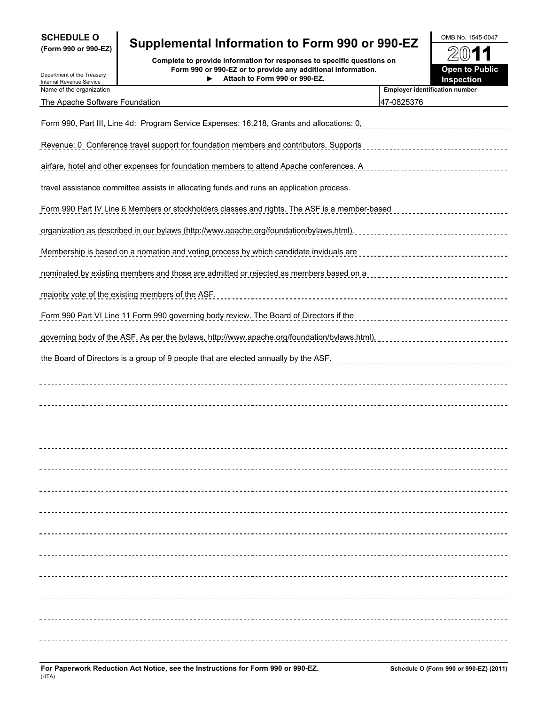| <b>SCHEDULE O</b>   |  |  |  |
|---------------------|--|--|--|
| (Form 990 or 990-EZ |  |  |  |

Department of the Treasury

# **SCHEDULE O** OMB No. 1545-0047 **(Form 990 or 990-EZ) Supplemental Information to Form 990 or 990-EZ**

**Complete to provide information for responses to specific questions on Form 990 or 990-EZ or to provide any additional information. Attach to Form 990 or 990-EZ.**

| ודטט טדט. וטדוט       |
|-----------------------|
| 2011                  |
| <b>Open to Public</b> |

| DUDAINIUN UN NU NUGOUIV<br>Internal Revenue Service | Attach to Form 990 or 990-EZ.<br>▶                                                                   | <b>Inspection</b>                     |
|-----------------------------------------------------|------------------------------------------------------------------------------------------------------|---------------------------------------|
| Name of the organization                            |                                                                                                      | <b>Employer identification number</b> |
| The Apache Software Foundation                      |                                                                                                      | 47-0825376                            |
|                                                     | <u>Form 990, Part III, Line 4d: Program Service Expenses: 16,218, Grants and allocations: 0,</u>     |                                       |
|                                                     | Revenue: 0. Conference travel support for foundation members and contributors. Supports              |                                       |
|                                                     | <u>airfare, hotel and other expenses for foundation members to attend Apache conferences. A</u>      |                                       |
|                                                     | travel assistance committee assists in allocating funds and runs an application process.             |                                       |
|                                                     | <u>Form 990 Part IV Line 6 Members or stockholders classes and rights. The ASF is a member-based</u> |                                       |
|                                                     | organization as described in our bylaws (http://www.apache.org/foundation/bylaws.html).              |                                       |
|                                                     | <u>Membership is based on a nomation and voting process by which candidate inviduals are</u>         |                                       |
|                                                     | <u>nominated by existing members and those are admitted or rejected as members based on a</u>        |                                       |
|                                                     | majority vote of the existing members of the ASF.                                                    |                                       |
|                                                     | Form 990 Part VI Line 11 Form 990 governing body review. The Board of Directors if the               |                                       |
|                                                     | governing body of the ASF. As per the bylaws, http://www.apache.org/foundation/bylaws.html),         |                                       |
|                                                     | the Board of Directors is a group of 9 people that are elected annually by the ASF.                  |                                       |
|                                                     |                                                                                                      |                                       |
|                                                     |                                                                                                      |                                       |
|                                                     |                                                                                                      |                                       |
|                                                     |                                                                                                      |                                       |
|                                                     |                                                                                                      |                                       |
|                                                     |                                                                                                      |                                       |
|                                                     |                                                                                                      |                                       |
|                                                     |                                                                                                      |                                       |
|                                                     |                                                                                                      |                                       |
|                                                     |                                                                                                      |                                       |
|                                                     |                                                                                                      |                                       |
|                                                     |                                                                                                      |                                       |
|                                                     |                                                                                                      |                                       |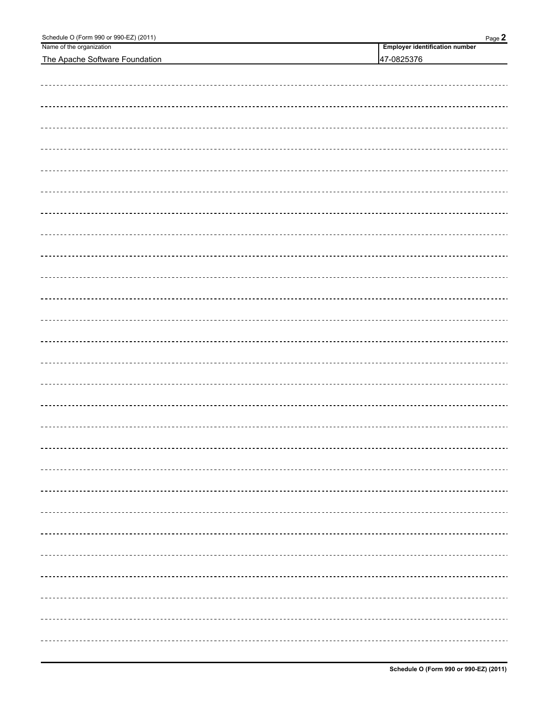| Schedule O (Form 990 or 990-EZ) (2011) | Page 2                                |
|----------------------------------------|---------------------------------------|
| Name of the organization               | <b>Employer identification number</b> |
| The Apache Software Foundation         | 47-0825376                            |
|                                        |                                       |
|                                        |                                       |
|                                        |                                       |
|                                        |                                       |
|                                        |                                       |
|                                        |                                       |
|                                        |                                       |
|                                        |                                       |
|                                        |                                       |
|                                        |                                       |
|                                        |                                       |
|                                        |                                       |
|                                        |                                       |
|                                        |                                       |
|                                        |                                       |
|                                        |                                       |
|                                        |                                       |
|                                        |                                       |
|                                        |                                       |
|                                        |                                       |
|                                        |                                       |
|                                        |                                       |
|                                        |                                       |
|                                        |                                       |
|                                        |                                       |
|                                        |                                       |
|                                        |                                       |
|                                        |                                       |
|                                        |                                       |
|                                        |                                       |
|                                        |                                       |
|                                        |                                       |
|                                        |                                       |
|                                        |                                       |
|                                        |                                       |
|                                        |                                       |
|                                        |                                       |
|                                        |                                       |
|                                        |                                       |
|                                        |                                       |
|                                        |                                       |
|                                        |                                       |
|                                        |                                       |
|                                        |                                       |
|                                        |                                       |
|                                        |                                       |
|                                        |                                       |
|                                        |                                       |
|                                        |                                       |
|                                        |                                       |
|                                        |                                       |
|                                        |                                       |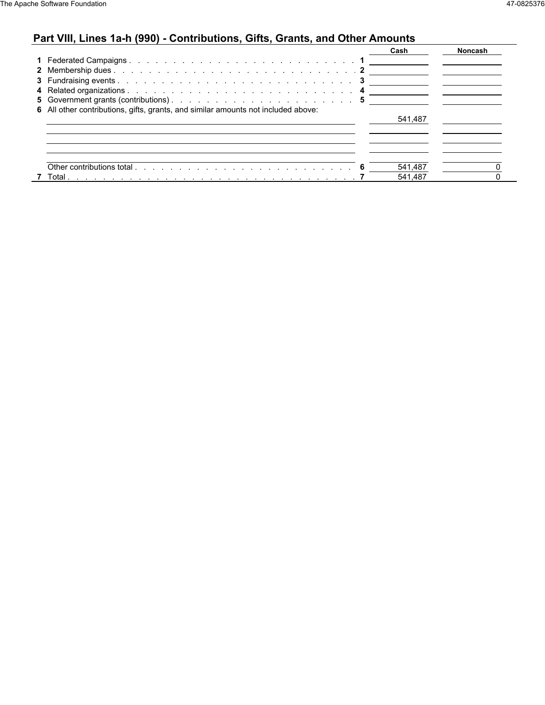# **Part VIII, Lines 1a-h (990) - Contributions, Gifts, Grants, and Other Amounts**

|                                                                                                                                                                                                                                          | Cash    | <b>Noncash</b> |  |
|------------------------------------------------------------------------------------------------------------------------------------------------------------------------------------------------------------------------------------------|---------|----------------|--|
|                                                                                                                                                                                                                                          |         |                |  |
|                                                                                                                                                                                                                                          |         |                |  |
|                                                                                                                                                                                                                                          |         |                |  |
|                                                                                                                                                                                                                                          |         |                |  |
|                                                                                                                                                                                                                                          |         |                |  |
| 6 All other contributions, gifts, grants, and similar amounts not included above:                                                                                                                                                        |         |                |  |
|                                                                                                                                                                                                                                          | 541.487 |                |  |
|                                                                                                                                                                                                                                          |         |                |  |
|                                                                                                                                                                                                                                          |         |                |  |
|                                                                                                                                                                                                                                          |         |                |  |
|                                                                                                                                                                                                                                          |         |                |  |
|                                                                                                                                                                                                                                          | 541,487 |                |  |
| 7 Total<br>a construction of the construction of the construction of the construction of the construction of the construction of the construction of the construction of the construction of the construction of the construction of the | 541,487 |                |  |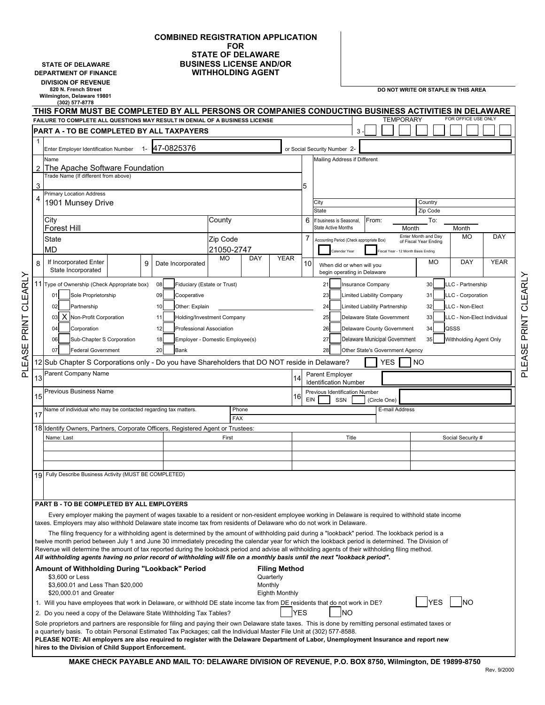#### **COMBINED REGISTRATION APPLICATION FOR STATE OF DELAWARE STATE OF DELAWARE BUSINESS LICENSE AND/OR**<br>**BUSINESS LICENSE AND/OR**<br>**WITHHOLDING AGENT WITHHOLDING AGENT**

**DIVISION OF REVENUE Wilmington, Delaware 19801**

PLEASE PRINT CLEARLY

PLEASE PRINT CLEARLY

**820 N. French Street DO NOT WRITE OR STAPLE IN THIS AREA**

|    | (302) 577-8778<br>THIS FORM MUST BE COMPLETED BY ALL PERSONS OR COMPANIES CONDUCTING BUSINESS ACTIVITIES IN DELAWARE                                                                                                                                                                                                  |       |                                                            |                        |         |                      |                          |                                                          |                                                                  |  |                   |       |                                                             |                     |      |                            |  |             |
|----|-----------------------------------------------------------------------------------------------------------------------------------------------------------------------------------------------------------------------------------------------------------------------------------------------------------------------|-------|------------------------------------------------------------|------------------------|---------|----------------------|--------------------------|----------------------------------------------------------|------------------------------------------------------------------|--|-------------------|-------|-------------------------------------------------------------|---------------------|------|----------------------------|--|-------------|
|    | FOR OFFICE USE ONLY<br><b>TEMPORARY</b><br>FAILURE TO COMPLETE ALL QUESTIONS MAY RESULT IN DENIAL OF A BUSINESS LICENSE<br><b>PART A - TO BE COMPLETED BY ALL TAXPAYERS</b>                                                                                                                                           |       |                                                            |                        |         |                      |                          |                                                          |                                                                  |  |                   |       |                                                             |                     |      |                            |  |             |
| 1  |                                                                                                                                                                                                                                                                                                                       |       |                                                            |                        |         |                      |                          |                                                          | 3                                                                |  |                   |       |                                                             |                     |      |                            |  |             |
|    | Enter Employer Identification Number                                                                                                                                                                                                                                                                                  | $1 -$ | 47-0825376                                                 |                        |         |                      |                          | or Social Security Number 2-                             |                                                                  |  |                   |       |                                                             |                     |      |                            |  |             |
|    | Name                                                                                                                                                                                                                                                                                                                  |       |                                                            |                        |         |                      |                          | Mailing Address if Different                             |                                                                  |  |                   |       |                                                             |                     |      |                            |  |             |
| 2  | The Apache Software Foundation<br>Trade Name (If different from above)                                                                                                                                                                                                                                                |       |                                                            |                        |         |                      |                          |                                                          |                                                                  |  |                   |       |                                                             |                     |      |                            |  |             |
| 3  |                                                                                                                                                                                                                                                                                                                       |       |                                                            |                        |         |                      | 5                        |                                                          |                                                                  |  |                   |       |                                                             |                     |      |                            |  |             |
| 4  | <b>Primary Location Address</b>                                                                                                                                                                                                                                                                                       |       |                                                            |                        |         |                      |                          |                                                          |                                                                  |  |                   |       |                                                             |                     |      |                            |  |             |
|    | 1901 Munsey Drive                                                                                                                                                                                                                                                                                                     |       |                                                            |                        |         |                      |                          | City<br><b>State</b>                                     |                                                                  |  |                   |       |                                                             | Country<br>Zip Code |      |                            |  |             |
|    | City<br>County                                                                                                                                                                                                                                                                                                        |       |                                                            |                        |         | 6                    | If business is Seasonal. |                                                          | From:                                                            |  |                   | To:   |                                                             |                     |      |                            |  |             |
|    | Forest Hill                                                                                                                                                                                                                                                                                                           |       |                                                            |                        |         |                      | $\overline{7}$           | <b>State Active Months</b>                               |                                                                  |  |                   | Month |                                                             | Enter Month and Day |      | Month<br><b>MO</b>         |  | DAY         |
|    | <b>State</b><br><b>MD</b>                                                                                                                                                                                                                                                                                             |       |                                                            | Zip Code<br>21050-2747 |         |                      |                          | Accounting Period (Check appropriate Box)                |                                                                  |  |                   |       | of Fiscal Year Ending<br>iscal Year - 12 Month Basis Ending |                     |      |                            |  |             |
|    | If Incorporated Enter                                                                                                                                                                                                                                                                                                 |       |                                                            | <b>MO</b>              | DAY     | <b>YEAR</b>          |                          | Calendar Year                                            |                                                                  |  |                   |       |                                                             | <b>MO</b>           |      | DAY                        |  | <b>YEAR</b> |
| 8  | State Incorporated                                                                                                                                                                                                                                                                                                    | 9     | Date Incorporated                                          |                        |         |                      | 10                       | When did or when will you<br>begin operating in Delaware |                                                                  |  |                   |       |                                                             |                     |      |                            |  |             |
|    | 11 Type of Ownership (Check Appropriate box)                                                                                                                                                                                                                                                                          |       | 08<br>Fiduciary (Estate or Trust)                          |                        |         |                      |                          | 21                                                       | Insurance Company                                                |  |                   |       |                                                             | 30                  |      | LLC - Partnership          |  |             |
|    | Sole Proprietorship<br>01                                                                                                                                                                                                                                                                                             |       | 09<br>Cooperative                                          |                        |         |                      |                          | 23                                                       | Limited Liability Company                                        |  |                   |       |                                                             | 31                  |      | LLC - Corporation          |  |             |
|    | Partnership<br>02                                                                                                                                                                                                                                                                                                     |       | 10<br>Other: Explain                                       |                        |         |                      |                          | 24                                                       | Limited Liability Partnership                                    |  |                   |       |                                                             | 32                  |      | LLC - Non-Elect            |  |             |
|    | X Non-Profit Corporation<br>03                                                                                                                                                                                                                                                                                        |       | Holding/Investment Company<br>11                           |                        |         |                      |                          | 25                                                       | Delaware State Government                                        |  |                   |       |                                                             | 33                  |      | LLC - Non-Elect Individual |  |             |
|    | 04<br>Corporation                                                                                                                                                                                                                                                                                                     |       | 12<br><b>Professional Association</b>                      |                        |         |                      |                          | 26                                                       | Delaware County Government                                       |  |                   |       |                                                             | 34                  | QSSS |                            |  |             |
|    | Sub-Chapter S Corporation<br>06<br>07<br><b>Federal Government</b>                                                                                                                                                                                                                                                    |       | Employer - Domestic Employee(s)<br>18<br>20<br><b>Bank</b> |                        |         |                      |                          | 27<br>28                                                 | Delaware Municipal Government<br>Other State's Government Agency |  |                   |       |                                                             | 35                  |      | Withholding Agent Only     |  |             |
|    | 12 Sub Chapter S Corporations only - Do you have Shareholders that DO NOT reside in Delaware?                                                                                                                                                                                                                         |       |                                                            |                        |         |                      |                          |                                                          |                                                                  |  | YES.              |       | NO                                                          |                     |      |                            |  |             |
|    | Parent Company Name                                                                                                                                                                                                                                                                                                   |       |                                                            |                        |         |                      |                          | Parent Employer                                          |                                                                  |  |                   |       |                                                             |                     |      |                            |  |             |
| 13 |                                                                                                                                                                                                                                                                                                                       |       |                                                            |                        |         | 14                   |                          | <b>Identification Number</b>                             |                                                                  |  |                   |       |                                                             |                     |      |                            |  |             |
| 15 | Previous Business Name                                                                                                                                                                                                                                                                                                |       |                                                            |                        |         | 16                   | EIN                      | Previous Identification Number<br>SSN                    |                                                                  |  | (Circle One)      |       |                                                             |                     |      |                            |  |             |
| 17 | Name of individual who may be contacted regarding tax matters.                                                                                                                                                                                                                                                        |       |                                                            | <b>FAX</b>             | Phone   |                      |                          |                                                          |                                                                  |  | E-mail Address    |       |                                                             |                     |      |                            |  |             |
|    | 18 Identify Owners, Partners, Corporate Officers, Registered Agent or Trustees:                                                                                                                                                                                                                                       |       |                                                            |                        |         |                      |                          |                                                          |                                                                  |  |                   |       |                                                             |                     |      |                            |  |             |
|    | Name: Last                                                                                                                                                                                                                                                                                                            |       |                                                            | First                  |         |                      | Title                    |                                                          |                                                                  |  | Social Security # |       |                                                             |                     |      |                            |  |             |
|    |                                                                                                                                                                                                                                                                                                                       |       |                                                            |                        |         |                      |                          |                                                          |                                                                  |  |                   |       |                                                             |                     |      |                            |  |             |
|    |                                                                                                                                                                                                                                                                                                                       |       |                                                            |                        |         |                      |                          |                                                          |                                                                  |  |                   |       |                                                             |                     |      |                            |  |             |
|    | 19 Fully Describe Business Activity (MUST BE COMPLETED)                                                                                                                                                                                                                                                               |       |                                                            |                        |         |                      |                          |                                                          |                                                                  |  |                   |       |                                                             |                     |      |                            |  |             |
|    |                                                                                                                                                                                                                                                                                                                       |       |                                                            |                        |         |                      |                          |                                                          |                                                                  |  |                   |       |                                                             |                     |      |                            |  |             |
|    | PART B - TO BE COMPLETED BY ALL EMPLOYERS                                                                                                                                                                                                                                                                             |       |                                                            |                        |         |                      |                          |                                                          |                                                                  |  |                   |       |                                                             |                     |      |                            |  |             |
|    | Every employer making the payment of wages taxable to a resident or non-resident employee working in Delaware is required to withhold state income                                                                                                                                                                    |       |                                                            |                        |         |                      |                          |                                                          |                                                                  |  |                   |       |                                                             |                     |      |                            |  |             |
|    | taxes. Employers may also withhold Delaware state income tax from residents of Delaware who do not work in Delaware.                                                                                                                                                                                                  |       |                                                            |                        |         |                      |                          |                                                          |                                                                  |  |                   |       |                                                             |                     |      |                            |  |             |
|    | The filing frequency for a withholding agent is determined by the amount of withholding paid during a "lookback" period. The lookback period is a<br>twelve month period between July 1 and June 30 immediately preceding the calendar year for which the lookback period is determined. The Division of              |       |                                                            |                        |         |                      |                          |                                                          |                                                                  |  |                   |       |                                                             |                     |      |                            |  |             |
|    | Revenue will determine the amount of tax reported during the lookback period and advise all withholding agents of their withholding filing method.<br>All withholding agents having no prior record of withholding will file on a monthly basis until the next "lookback period".                                     |       |                                                            |                        |         |                      |                          |                                                          |                                                                  |  |                   |       |                                                             |                     |      |                            |  |             |
|    | Amount of Withholding During "Lookback" Period                                                                                                                                                                                                                                                                        |       |                                                            |                        |         | <b>Filing Method</b> |                          |                                                          |                                                                  |  |                   |       |                                                             |                     |      |                            |  |             |
|    | \$3,600 or Less                                                                                                                                                                                                                                                                                                       |       |                                                            |                        |         | Quarterly            |                          |                                                          |                                                                  |  |                   |       |                                                             |                     |      |                            |  |             |
|    | \$3,600.01 and Less Than \$20,000<br>\$20,000.01 and Greater                                                                                                                                                                                                                                                          |       |                                                            |                        | Monthly | Eighth Monthly       |                          |                                                          |                                                                  |  |                   |       |                                                             |                     |      |                            |  |             |
|    | 1. Will you have employees that work in Delaware, or withhold DE state income tax from DE residents that do not work in DE?                                                                                                                                                                                           |       |                                                            |                        |         |                      |                          |                                                          |                                                                  |  |                   |       |                                                             | <b>YES</b>          |      | <b>NO</b>                  |  |             |
|    | 2. Do you need a copy of the Delaware State Withholding Tax Tables?                                                                                                                                                                                                                                                   |       |                                                            |                        |         | YES                  |                          | <b>NO</b>                                                |                                                                  |  |                   |       |                                                             |                     |      |                            |  |             |
|    | Sole proprietors and partners are responsible for filing and paying their own Delaware state taxes. This is done by remitting personal estimated taxes or                                                                                                                                                             |       |                                                            |                        |         |                      |                          |                                                          |                                                                  |  |                   |       |                                                             |                     |      |                            |  |             |
|    | a quarterly basis. To obtain Personal Estimated Tax Packages; call the Individual Master File Unit at (302) 577-8588.<br>PLEASE NOTE: All employers are also required to register with the Delaware Department of Labor, Unemployment Insurance and report new<br>hires to the Division of Child Support Enforcement. |       |                                                            |                        |         |                      |                          |                                                          |                                                                  |  |                   |       |                                                             |                     |      |                            |  |             |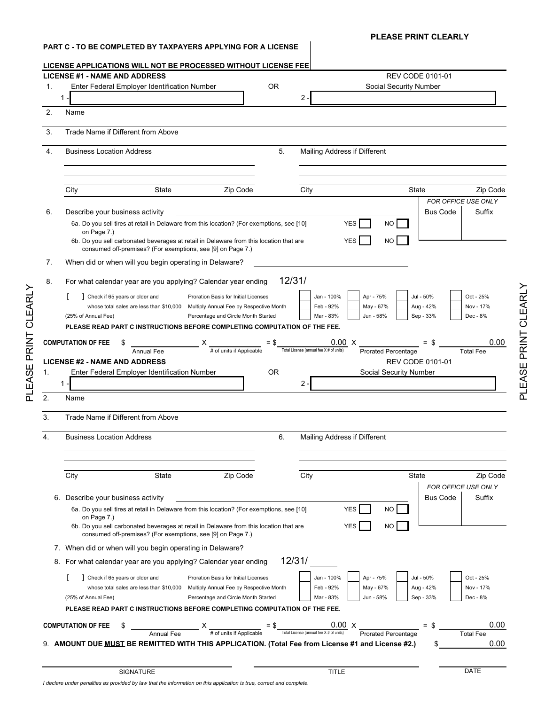### **PART C - TO BE COMPLETED BY TAXPAYERS APPLYING FOR A LICENSE**

PLEASE PRINT CLEARLY

PLEASE PRINT CLEARLY

# **PLEASE PRINT CLEARLY**

| 1. | <b>LICENSE #1 - NAME AND ADDRESS</b>                                                                                                                                 |                                                                                                                                                                    |           |                                         |                              | <b>REV CODE 0101-01</b>                           |                        |                                                   |
|----|----------------------------------------------------------------------------------------------------------------------------------------------------------------------|--------------------------------------------------------------------------------------------------------------------------------------------------------------------|-----------|-----------------------------------------|------------------------------|---------------------------------------------------|------------------------|---------------------------------------------------|
|    | Enter Federal Employer Identification Number                                                                                                                         |                                                                                                                                                                    | <b>OR</b> |                                         |                              | <b>Social Security Number</b>                     |                        |                                                   |
|    | $1 -$                                                                                                                                                                |                                                                                                                                                                    |           | $\mathbf{2}^{\prime}$                   |                              |                                                   |                        |                                                   |
|    | Name                                                                                                                                                                 |                                                                                                                                                                    |           |                                         |                              |                                                   |                        |                                                   |
|    | Trade Name if Different from Above                                                                                                                                   |                                                                                                                                                                    |           |                                         |                              |                                                   |                        |                                                   |
|    | <b>Business Location Address</b>                                                                                                                                     |                                                                                                                                                                    | 5.        |                                         | Mailing Address if Different |                                                   |                        |                                                   |
|    |                                                                                                                                                                      |                                                                                                                                                                    |           |                                         |                              |                                                   |                        |                                                   |
|    |                                                                                                                                                                      |                                                                                                                                                                    |           |                                         |                              |                                                   |                        |                                                   |
|    | State<br>City                                                                                                                                                        | Zip Code                                                                                                                                                           |           | City                                    |                              | State                                             |                        | Zip Code                                          |
|    |                                                                                                                                                                      |                                                                                                                                                                    |           |                                         |                              |                                                   |                        | FOR OFFICE USE ONLY                               |
|    | Describe your business activity<br>6a. Do you sell tires at retail in Delaware from this location? (For exemptions, see [10]                                         |                                                                                                                                                                    |           |                                         | <b>YES</b>                   | NO.                                               | <b>Bus Code</b>        | Suffix                                            |
|    | on Page 7.)<br>6b. Do you sell carbonated beverages at retail in Delaware from this location that are<br>consumed off-premises? (For exemptions, see [9] on Page 7.) |                                                                                                                                                                    |           |                                         | <b>YES</b>                   | NO.                                               |                        |                                                   |
|    | When did or when will you begin operating in Delaware?                                                                                                               |                                                                                                                                                                    |           |                                         |                              |                                                   |                        |                                                   |
|    |                                                                                                                                                                      |                                                                                                                                                                    | 12/31/    |                                         |                              |                                                   |                        |                                                   |
|    | For what calendar year are you applying? Calendar year ending                                                                                                        |                                                                                                                                                                    |           |                                         |                              |                                                   |                        |                                                   |
|    | Check if 65 years or older and                                                                                                                                       | Proration Basis for Initial Licenses                                                                                                                               |           | Jan - 100%<br>Feb - 92%                 | Apr - 75%                    | Jul - 50%                                         |                        | Oct - 25%<br>Nov - 17%                            |
|    | whose total sales are less than \$10,000<br>(25% of Annual Fee)                                                                                                      | Multiply Annual Fee by Respective Month<br>Percentage and Circle Month Started                                                                                     |           | Mar - 83%                               | May - 67%<br>Jun - 58%       |                                                   | Aug - 42%<br>Sep - 33% | Dec - 8%                                          |
|    | PLEASE READ PART C INSTRUCTIONS BEFORE COMPLETING COMPUTATION OF THE FEE.                                                                                            |                                                                                                                                                                    |           |                                         |                              |                                                   |                        |                                                   |
|    |                                                                                                                                                                      |                                                                                                                                                                    |           |                                         |                              |                                                   |                        |                                                   |
|    | <b>COMPUTATION OF FEE</b><br>\$                                                                                                                                      | # of units if Applicable                                                                                                                                           |           | Total License (annual fee X # of units) | $0.00 \times$                |                                                   | $=$ \$                 | 0.00                                              |
|    | <b>Annual Fee</b>                                                                                                                                                    |                                                                                                                                                                    |           |                                         |                              | <b>Prorated Percentage</b>                        |                        | <b>Total Fee</b>                                  |
|    | <b>LICENSE #2 - NAME AND ADDRESS</b><br>Enter Federal Employer Identification Number                                                                                 |                                                                                                                                                                    | <b>OR</b> |                                         |                              | <b>REV CODE 0101-01</b><br>Social Security Number |                        |                                                   |
|    |                                                                                                                                                                      |                                                                                                                                                                    |           |                                         |                              |                                                   |                        |                                                   |
|    |                                                                                                                                                                      |                                                                                                                                                                    |           |                                         |                              |                                                   |                        |                                                   |
|    | $1 -$                                                                                                                                                                |                                                                                                                                                                    |           | 2                                       |                              |                                                   |                        |                                                   |
|    | Name                                                                                                                                                                 |                                                                                                                                                                    |           |                                         |                              |                                                   |                        |                                                   |
|    |                                                                                                                                                                      |                                                                                                                                                                    |           |                                         |                              |                                                   |                        |                                                   |
|    | Trade Name if Different from Above                                                                                                                                   |                                                                                                                                                                    |           |                                         |                              |                                                   |                        |                                                   |
|    | <b>Business Location Address</b>                                                                                                                                     |                                                                                                                                                                    | 6.        |                                         | Mailing Address if Different |                                                   |                        |                                                   |
|    |                                                                                                                                                                      |                                                                                                                                                                    |           |                                         |                              |                                                   |                        |                                                   |
|    |                                                                                                                                                                      |                                                                                                                                                                    |           |                                         |                              |                                                   |                        |                                                   |
|    |                                                                                                                                                                      |                                                                                                                                                                    |           |                                         |                              |                                                   |                        |                                                   |
|    | City<br>State                                                                                                                                                        | Zip Code                                                                                                                                                           |           | City                                    |                              | <b>State</b>                                      |                        |                                                   |
|    |                                                                                                                                                                      |                                                                                                                                                                    |           |                                         |                              |                                                   |                        |                                                   |
|    | 6. Describe your business activity                                                                                                                                   |                                                                                                                                                                    |           |                                         |                              |                                                   | <b>Bus Code</b>        |                                                   |
|    | 6a. Do you sell tires at retail in Delaware from this location? (For exemptions, see [10]<br>on Page 7.)                                                             |                                                                                                                                                                    |           |                                         | <b>YES</b>                   | NO.                                               |                        |                                                   |
|    | 6b. Do you sell carbonated beverages at retail in Delaware from this location that are<br>consumed off-premises? (For exemptions, see [9] on Page 7.)                |                                                                                                                                                                    |           |                                         | <b>YES</b>                   | NO.                                               |                        |                                                   |
|    | 7. When did or when will you begin operating in Delaware?                                                                                                            |                                                                                                                                                                    |           |                                         |                              |                                                   |                        |                                                   |
|    | 8. For what calendar year are you applying? Calendar year ending                                                                                                     |                                                                                                                                                                    | 12/31/    |                                         |                              |                                                   |                        |                                                   |
|    |                                                                                                                                                                      |                                                                                                                                                                    |           |                                         |                              |                                                   |                        |                                                   |
|    | Check if 65 years or older and                                                                                                                                       | Proration Basis for Initial Licenses                                                                                                                               |           | Jan - 100%                              | Apr - 75%                    | Jul - 50%                                         |                        | Oct - 25%                                         |
|    | whose total sales are less than \$10,000                                                                                                                             | Multiply Annual Fee by Respective Month                                                                                                                            |           | Feb - 92%                               | May - 67%                    |                                                   | Aug - 42%              | Nov - 17%                                         |
|    | (25% of Annual Fee)                                                                                                                                                  | Percentage and Circle Month Started                                                                                                                                |           | Mar - 83%                               | Jun - 58%                    |                                                   | Sep - 33%              | Dec - 8%                                          |
|    | PLEASE READ PART C INSTRUCTIONS BEFORE COMPLETING COMPUTATION OF THE FEE.                                                                                            |                                                                                                                                                                    |           |                                         |                              |                                                   |                        |                                                   |
|    | <b>COMPUTATION OF FEE</b><br>\$                                                                                                                                      |                                                                                                                                                                    |           |                                         |                              |                                                   | $=$ \$                 | Zip Code<br>FOR OFFICE USE ONLY<br>Suffix<br>0.00 |
|    | <b>Annual Fee</b>                                                                                                                                                    | $X \frac{1}{\# \text{ of units if Applied}} = \frac{1}{\# \text{ of units}} = \frac{0.00}{\# \text{ of units}} \times \frac{0.00}{\# \text{ provided Percentage}}$ |           |                                         |                              |                                                   |                        | <b>Total Fee</b>                                  |
|    | 9. AMOUNT DUE MUST BE REMITTED WITH THIS APPLICATION. (Total Fee from License #1 and License #2.)                                                                    |                                                                                                                                                                    |           |                                         |                              |                                                   |                        |                                                   |
|    |                                                                                                                                                                      |                                                                                                                                                                    |           |                                         |                              |                                                   |                        | 0.00                                              |

*I declare under penalties as provided by law that the information on this application is true, correct and complete.*

PLEASE PRINT CLEARLY PLEASE PRINT CLEARLY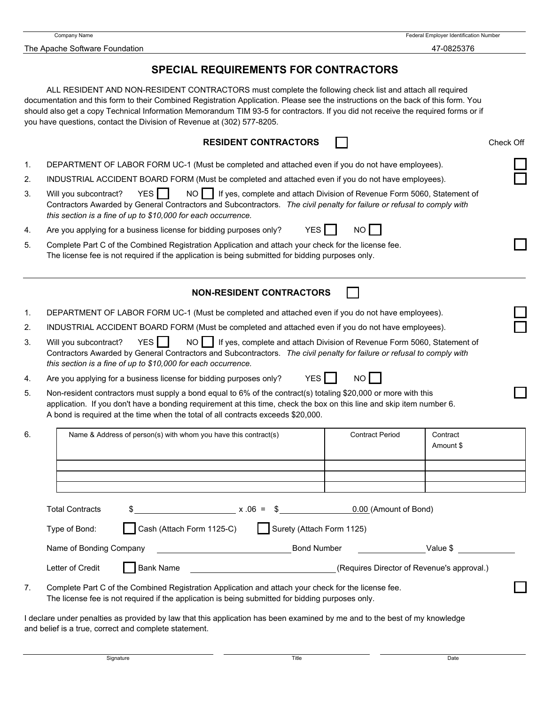The Apache Software Foundation **47-0825376** 

Company Name Federal Employer Identification Number

# **SPECIAL REQUIREMENTS FOR CONTRACTORS**

ALL RESIDENT AND NON-RESIDENT CONTRACTORS must complete the following check list and attach all required documentation and this form to their Combined Registration Application. Please see the instructions on the back of this form. You should also get a copy Technical Information Memorandum TIM 93-5 for contractors. If you did not receive the required forms or if you have questions, contact the Division of Revenue at (302) 577-8205.

| <b>RESIDENT CONTRACTORS</b> |  | Check Off |
|-----------------------------|--|-----------|
|-----------------------------|--|-----------|

- 1. DEPARTMENT OF LABOR FORM UC-1 (Must be completed and attached even if you do not have employees).
- 2. INDUSTRIAL ACCIDENT BOARD FORM (Must be completed and attached even if you do not have employees).

3. Will you subcontract? YES | NO | If yes, complete and attach Division of Revenue Form 5060, Statement of Contractors Awarded by General Contractors and Subcontractors. *The civil penalty for failure or refusal to comply with this section is a fine of up to \$10,000 for each occurrence.*

- 4. Are you applying for a business license for bidding purposes only? YES  $\parallel$  NO
- 5. Complete Part C of the Combined Registration Application and attach your check for the license fee. The license fee is not required if the application is being submitted for bidding purposes only.

# **NON-RESIDENT CONTRACTORS**

- 1. DEPARTMENT OF LABOR FORM UC-1 (Must be completed and attached even if you do not have employees).
- 2. INDUSTRIAL ACCIDENT BOARD FORM (Must be completed and attached even if you do not have employees).
- 3. Will you subcontract? YES NO I If yes, complete and attach Division of Revenue Form 5060, Statement of Contractors Awarded by General Contractors and Subcontractors. *The civil penalty for failure or refusal to comply with this section is a fine of up to \$10,000 for each occurrence.*
- 4. Are you applying for a business license for bidding purposes only?  $YES$  NO

5. Non-resident contractors must supply a bond equal to 6% of the contract(s) totaling \$20,000 or more with this application. If you don't have a bonding requirement at this time, check the box on this line and skip item number 6. A bond is required at the time when the total of all contracts exceeds \$20,000.

| 6. |                        | Name & Address of person(s) with whom you have this contract(s) |                           | <b>Contract Period</b>                     | Contract<br>Amount \$ |
|----|------------------------|-----------------------------------------------------------------|---------------------------|--------------------------------------------|-----------------------|
|    |                        |                                                                 |                           |                                            |                       |
|    |                        |                                                                 |                           |                                            |                       |
|    | <b>Total Contracts</b> | $x.06 = 3$                                                      |                           | 0.00 (Amount of Bond)                      |                       |
|    | Type of Bond:          | Cash (Attach Form 1125-C)                                       | Surety (Attach Form 1125) |                                            |                       |
|    |                        | Name of Bonding Company Name of Bonding Company                 | Bond Number               |                                            | Value \$              |
|    | Letter of Credit       | <b>Bank Name</b>                                                |                           | (Requires Director of Revenue's approval.) |                       |
|    |                        |                                                                 |                           |                                            |                       |

7. Complete Part C of the Combined Registration Application and attach your check for the license fee. The license fee is not required if the application is being submitted for bidding purposes only.

I declare under penalties as provided by law that this application has been examined by me and to the best of my knowledge and belief is a true, correct and complete statement.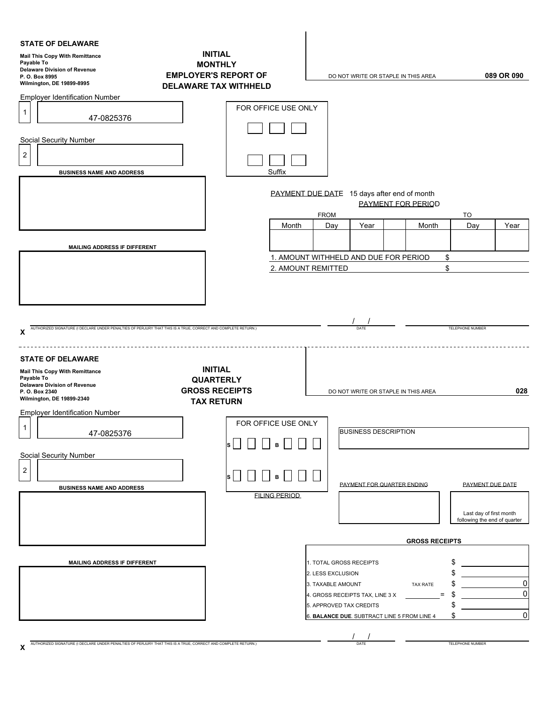| <b>STATE OF DELAWARE</b><br><b>Mail This Copy With Remittance</b><br>Payable To<br><b>Delaware Division of Revenue</b><br>P.O. Box 8995<br>Wilmington, DE 19899-8995                                                                             | <b>INITIAL</b><br><b>MONTHLY</b><br><b>EMPLOYER'S REPORT OF</b><br><b>DELAWARE TAX WITHHELD</b>         | 089 OR 090<br>DO NOT WRITE OR STAPLE IN THIS AREA                                                                                                                                                                                                                                                                                     |
|--------------------------------------------------------------------------------------------------------------------------------------------------------------------------------------------------------------------------------------------------|---------------------------------------------------------------------------------------------------------|---------------------------------------------------------------------------------------------------------------------------------------------------------------------------------------------------------------------------------------------------------------------------------------------------------------------------------------|
| <b>Employer Identification Number</b><br>$\mathbf{1}$<br>47-0825376<br><b>Social Security Number</b><br>$\overline{2}$<br><b>BUSINESS NAME AND ADDRESS</b>                                                                                       | FOR OFFICE USE ONLY<br>Suffix<br>Month                                                                  | PAYMENT DUE DATE 15 days after end of month<br><b>PAYMENT FOR PERIOD</b><br><b>FROM</b><br>TO<br>Year<br>Day<br>Year<br>Month<br>Day                                                                                                                                                                                                  |
| <b>MAILING ADDRESS IF DIFFERENT</b><br>AUTHORIZED SIGNATURE (I DECLARE UNDER PENALTIES OF PERJURY THAT THIS IS A TRUE, CORRECT AND COMPLETE RETURN.)                                                                                             |                                                                                                         | 1. AMOUNT WITHHELD AND DUE FOR PERIOD<br>\$<br>\$<br>2. AMOUNT REMITTED<br>TELEPHONE NUMBER<br>DATE                                                                                                                                                                                                                                   |
| x<br><b>STATE OF DELAWARE</b><br><b>Mail This Copy With Remittance</b><br>Payable To<br><b>Delaware Division of Revenue</b><br>P.O. Box 2340<br>Wilmington, DE 19899-2340<br><b>Employer Identification Number</b><br>$\mathbf{1}$<br>47-0825376 | <b>INITIAL</b><br><b>QUARTERLY</b><br><b>GROSS RECEIPTS</b><br><b>TAX RETURN</b><br>FOR OFFICE USE ONLY | 028<br>DO NOT WRITE OR STAPLE IN THIS AREA<br><b>BUSINESS DESCRIPTION</b>                                                                                                                                                                                                                                                             |
| Social Security Number<br>$\overline{2}$<br><b>BUSINESS NAME AND ADDRESS</b>                                                                                                                                                                     | $\mathsf{s}$ , $\sqcap$ , $\sqcap$ , $\sqcap$ , $\sqcap$ , $\sqcap$<br><b>FILING PERIOD</b>             | PAYMENT FOR OUARTER ENDING<br><b>PAYMENT DUE DATE</b><br>Last day of first month<br>following the end of quarter                                                                                                                                                                                                                      |
| MAILING ADDRESS IF DIFFERENT<br>AUTHORIZED SIGNATURE (I DECLARE UNDER PENALTIES OF PERJURY THAT THIS IS A TRUE, CORRECT AND COMPLETE RETURN.)                                                                                                    |                                                                                                         | <b>GROSS RECEIPTS</b><br>\$<br>1. TOTAL GROSS RECEIPTS<br>\$<br>2. LESS EXCLUSION<br>$\mathbf 0$<br>\$<br>3. TAXABLE AMOUNT<br>TAX RATE<br>$\mathbf 0$<br>\$<br>4. GROSS RECEIPTS TAX, LINE 3 X<br>$=$<br>\$<br>5. APPROVED TAX CREDITS<br>$\pmb{0}$<br>\$<br>6. BALANCE DUE. SUBTRACT LINE 5 FROM LINE 4<br>TELEPHONE NUMBER<br>DATE |

|   | I |
|---|---|
| I |   |
|   |   |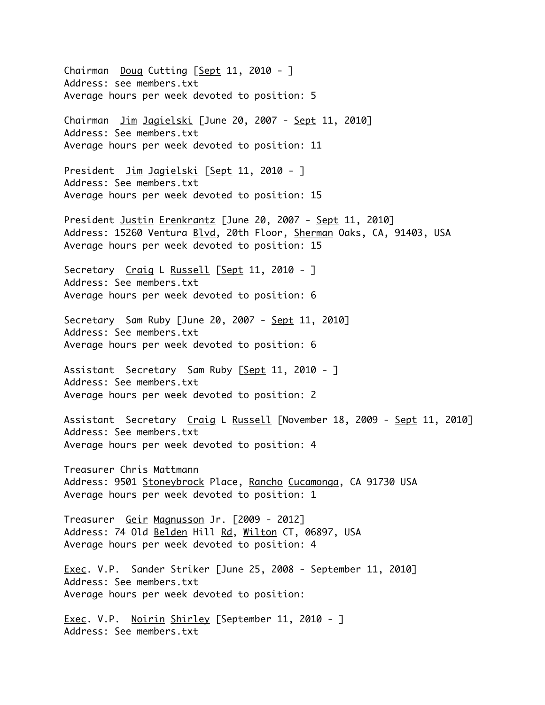Chairman Doug Cutting [Sept 11, 2010 - ] Address: see members.txt Average hours per week devoted to position: 5 Chairman Jim Jagielski [June 20, 2007 - Sept 11, 2010] Address: See members.txt Average hours per week devoted to position: 11 President <u>Jim Jagielski</u> [Sept 11, 2010 - ] Address: See members.txt Average hours per week devoted to position: 15 President Justin Erenkrantz [June 20, 2007 - Sept 11, 2010] Address: 15260 Ventura Blvd, 20th Floor, Sherman Oaks, CA, 91403, USA Average hours per week devoted to position: 15 Secretary Craig L Russell [Sept 11, 2010 - ] Address: See members.txt Average hours per week devoted to position: 6 Secretary Sam Ruby [June 20, 2007 - Sept 11, 2010] Address: See members.txt Average hours per week devoted to position: 6 Assistant Secretary Sam Ruby [Sept 11, 2010 - ] Address: See members.txt Average hours per week devoted to position: 2 Assistant Secretary Craig L Russell [November 18, 2009 - Sept 11, 2010] Address: See members.txt Average hours per week devoted to position: 4 Treasurer Chris Mattmann Address: 9501 Stoneybrock Place, Rancho Cucamonga, CA 91730 USA Average hours per week devoted to position: 1 Treasurer Geir Magnusson Jr. [2009 - 2012] Address: 74 Old Belden Hill Rd, Wilton CT, 06897, USA Average hours per week devoted to position: 4 Exec. V.P. Sander Striker [June 25, 2008 - September 11, 2010] Address: See members.txt Average hours per week devoted to position: Exec. V.P. Noirin Shirley [September 11, 2010 - ] Address: See members.txt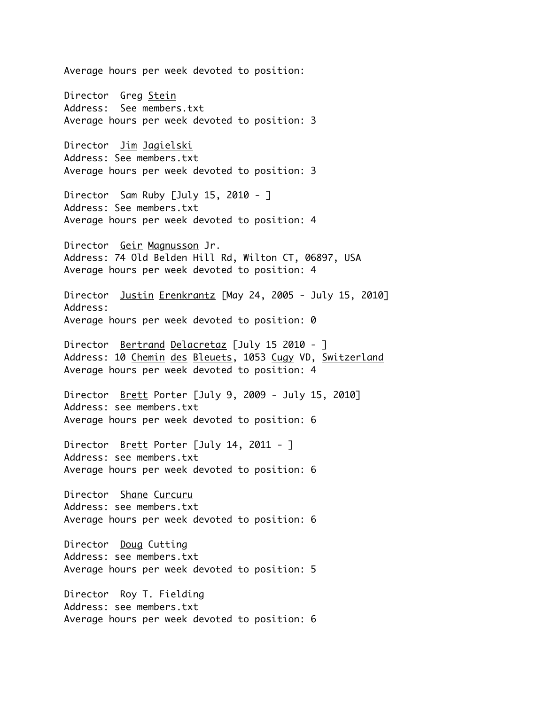Average hours per week devoted to position: Director Greg Stein Address: See members.txt Average hours per week devoted to position: 3 Director Jim Jagielski Address: See members.txt Average hours per week devoted to position: 3 Director Sam Ruby [July 15, 2010 - ] Address: See members.txt Average hours per week devoted to position: 4 Director Geir Magnusson Jr. Address: 74 Old Belden Hill Rd, Wilton CT, 06897, USA Average hours per week devoted to position: 4 Director Justin Erenkrantz [May 24, 2005 - July 15, 2010] Address: Average hours per week devoted to position: 0 Director Bertrand Delacretaz [July 15 2010 - ] Address: 10 Chemin des Bleuets, 1053 Cugy VD, Switzerland Average hours per week devoted to position: 4 Director Brett Porter [July 9, 2009 - July 15, 2010] Address: see members.txt Average hours per week devoted to position: 6 Director <u>Brett</u> Porter [July 14, 2011 - ] Address: see members.txt Average hours per week devoted to position: 6 Director Shane Curcuru Address: see members.txt Average hours per week devoted to position: 6 Director Doug Cutting Address: see members.txt Average hours per week devoted to position: 5 Director Roy T. Fielding Address: see members.txt Average hours per week devoted to position: 6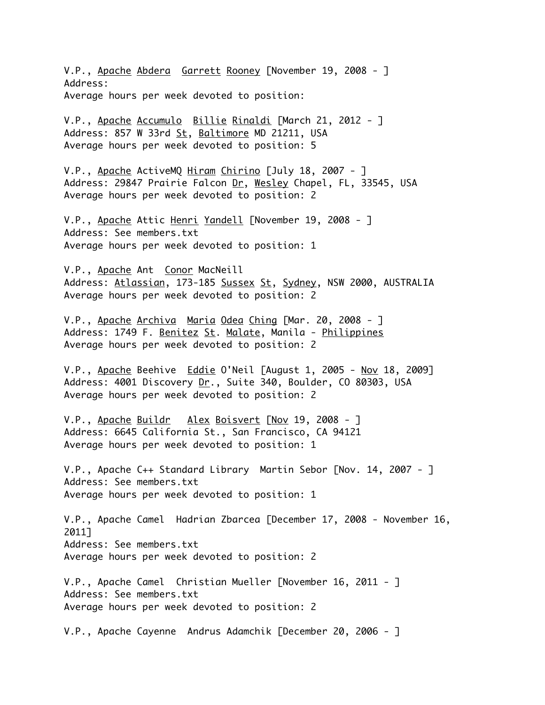V.P., Apache Abdera Garrett Rooney [November 19, 2008 - ] Address: Average hours per week devoted to position:

V.P., Apache Accumulo Billie Rinaldi [March 21, 2012 - ] Address: 857 W 33rd St, Baltimore MD 21211, USA Average hours per week devoted to position: 5

V.P., Apache ActiveMQ Hiram Chirino [July 18, 2007 - ] Address: 29847 Prairie Falcon Dr, Wesley Chapel, FL, 33545, USA Average hours per week devoted to position: 2

V.P., Apache Attic Henri Yandell [November 19, 2008 - ] Address: See members.txt Average hours per week devoted to position: 1

V.P., Apache Ant Conor MacNeill Address: Atlassian, 173-185 Sussex St, Sydney, NSW 2000, AUSTRALIA Average hours per week devoted to position: 2

V.P., Apache Archiva Maria Odea Ching [Mar. 20, 2008 - ] Address: 1749 F. Benitez St. Malate, Manila - Philippines Average hours per week devoted to position: 2

V.P., Apache Beehive Eddie O'Neil [August 1, 2005 - Nov 18, 2009] Address: 4001 Discovery Dr., Suite 340, Boulder, CO 80303, USA Average hours per week devoted to position: 2

V.P., Apache Buildr Alex Boisvert [Nov 19, 2008 - ] Address: 6645 California St., San Francisco, CA 94121 Average hours per week devoted to position: 1

V.P., Apache C++ Standard Library Martin Sebor [Nov. 14, 2007 - ] Address: See members.txt Average hours per week devoted to position: 1

V.P., Apache Camel Hadrian Zbarcea [December 17, 2008 - November 16, 2011] Address: See members.txt Average hours per week devoted to position: 2

V.P., Apache Camel Christian Mueller [November 16, 2011 - ] Address: See members.txt Average hours per week devoted to position: 2

V.P., Apache Cayenne Andrus Adamchik [December 20, 2006 - ]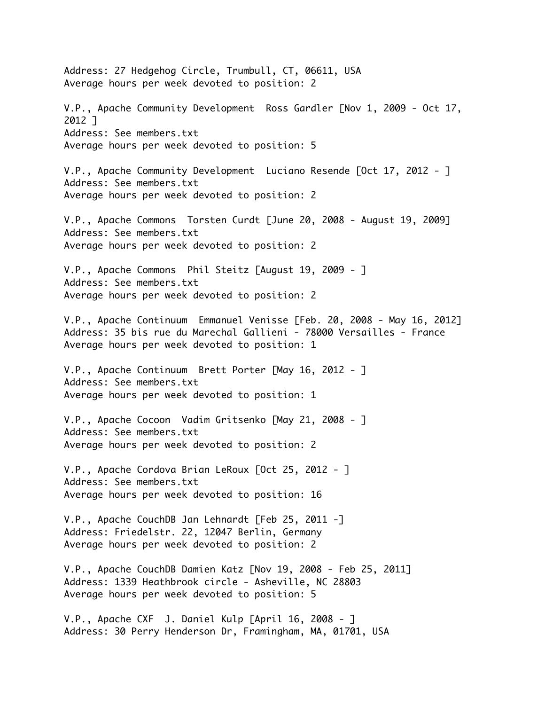Address: 27 Hedgehog Circle, Trumbull, CT, 06611, USA Average hours per week devoted to position: 2 V.P., Apache Community Development Ross Gardler [Nov 1, 2009 - Oct 17, 2012 ] Address: See members.txt Average hours per week devoted to position: 5 V.P., Apache Community Development Luciano Resende [Oct 17, 2012 - ] Address: See members.txt Average hours per week devoted to position: 2 V.P., Apache Commons Torsten Curdt [June 20, 2008 - August 19, 2009] Address: See members.txt Average hours per week devoted to position: 2 V.P., Apache Commons Phil Steitz [August 19, 2009 - ] Address: See members.txt Average hours per week devoted to position: 2 V.P., Apache Continuum Emmanuel Venisse [Feb. 20, 2008 - May 16, 2012] Address: 35 bis rue du Marechal Gallieni - 78000 Versailles - France Average hours per week devoted to position: 1 V.P., Apache Continuum Brett Porter [May 16, 2012 - ] Address: See members.txt Average hours per week devoted to position: 1 V.P., Apache Cocoon Vadim Gritsenko [May 21, 2008 - ] Address: See members.txt Average hours per week devoted to position: 2 V.P., Apache Cordova Brian LeRoux [Oct 25, 2012 - ] Address: See members.txt Average hours per week devoted to position: 16 V.P., Apache CouchDB Jan Lehnardt [Feb 25, 2011 -] Address: Friedelstr. 22, 12047 Berlin, Germany Average hours per week devoted to position: 2 V.P., Apache CouchDB Damien Katz [Nov 19, 2008 - Feb 25, 2011] Address: 1339 Heathbrook circle - Asheville, NC 28803 Average hours per week devoted to position: 5 V.P., Apache CXF J. Daniel Kulp [April 16, 2008 - ] Address: 30 Perry Henderson Dr, Framingham, MA, 01701, USA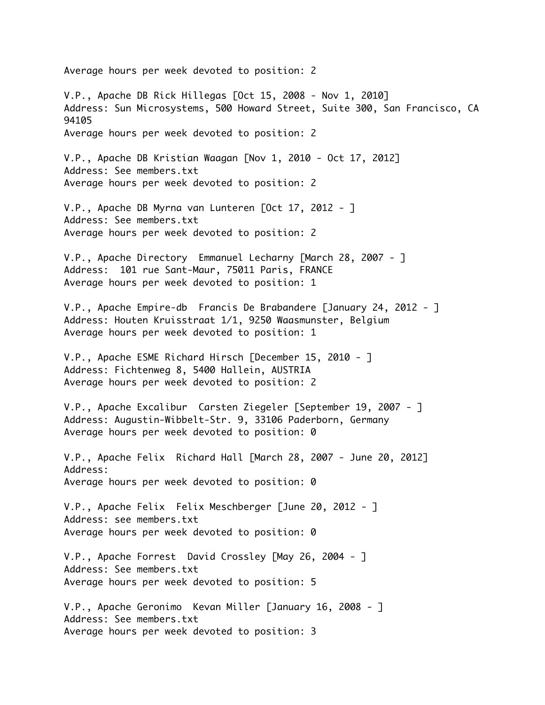Average hours per week devoted to position: 2 V.P., Apache DB Rick Hillegas [Oct 15, 2008 - Nov 1, 2010] Address: Sun Microsystems, 500 Howard Street, Suite 300, San Francisco, CA 94105 Average hours per week devoted to position: 2 V.P., Apache DB Kristian Waagan [Nov 1, 2010 - Oct 17, 2012] Address: See members.txt Average hours per week devoted to position: 2 V.P., Apache DB Myrna van Lunteren [Oct 17, 2012 - ] Address: See members.txt Average hours per week devoted to position: 2 V.P., Apache Directory Emmanuel Lecharny [March 28, 2007 - ] Address: 101 rue Sant-Maur, 75011 Paris, FRANCE Average hours per week devoted to position: 1 V.P., Apache Empire-db Francis De Brabandere [January 24, 2012 - ] Address: Houten Kruisstraat 1/1, 9250 Waasmunster, Belgium Average hours per week devoted to position: 1 V.P., Apache ESME Richard Hirsch [December 15, 2010 - ] Address: Fichtenweg 8, 5400 Hallein, AUSTRIA Average hours per week devoted to position: 2 V.P., Apache Excalibur Carsten Ziegeler [September 19, 2007 - ] Address: Augustin-Wibbelt-Str. 9, 33106 Paderborn, Germany Average hours per week devoted to position: 0 V.P., Apache Felix Richard Hall [March 28, 2007 - June 20, 2012] Address: Average hours per week devoted to position: 0 V.P., Apache Felix Felix Meschberger [June 20, 2012 - ] Address: see members.txt Average hours per week devoted to position: 0 V.P., Apache Forrest David Crossley [May 26, 2004 - ] Address: See members.txt Average hours per week devoted to position: 5 V.P., Apache Geronimo Kevan Miller [January 16, 2008 - ] Address: See members.txt Average hours per week devoted to position: 3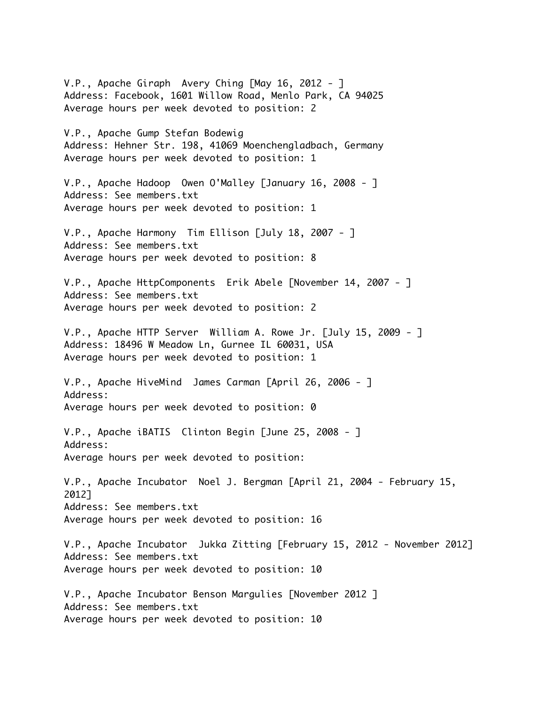V.P., Apache Giraph Avery Ching [May 16, 2012 - ] Address: Facebook, 1601 Willow Road, Menlo Park, CA 94025 Average hours per week devoted to position: 2

V.P., Apache Gump Stefan Bodewig Address: Hehner Str. 198, 41069 Moenchengladbach, Germany Average hours per week devoted to position: 1

V.P., Apache Hadoop Owen O'Malley [January 16, 2008 - ] Address: See members.txt Average hours per week devoted to position: 1

V.P., Apache Harmony Tim Ellison [July 18, 2007 - ] Address: See members.txt Average hours per week devoted to position: 8

V.P., Apache HttpComponents Erik Abele [November 14, 2007 - ] Address: See members.txt Average hours per week devoted to position: 2

V.P., Apache HTTP Server William A. Rowe Jr. [July 15, 2009 - ] Address: 18496 W Meadow Ln, Gurnee IL 60031, USA Average hours per week devoted to position: 1

V.P., Apache HiveMind James Carman [April 26, 2006 - ] Address: Average hours per week devoted to position: 0

V.P., Apache iBATIS Clinton Begin [June 25, 2008 - ] Address: Average hours per week devoted to position:

V.P., Apache Incubator Noel J. Bergman [April 21, 2004 - February 15, 2012] Address: See members.txt Average hours per week devoted to position: 16

V.P., Apache Incubator Jukka Zitting [February 15, 2012 - November 2012] Address: See members.txt Average hours per week devoted to position: 10

V.P., Apache Incubator Benson Margulies [November 2012 ] Address: See members.txt Average hours per week devoted to position: 10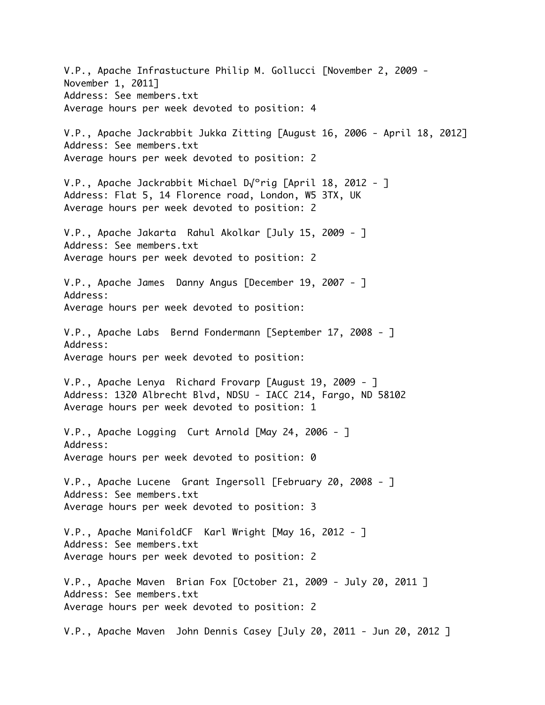V.P., Apache Infrastucture Philip M. Gollucci [November 2, 2009 - November 1, 2011] Address: See members.txt Average hours per week devoted to position: 4 V.P., Apache Jackrabbit Jukka Zitting [August 16, 2006 - April 18, 2012] Address: See members.txt Average hours per week devoted to position: 2 V.P., Apache Jackrabbit Michael D√ºrig [April 18, 2012 - ] Address: Flat 5, 14 Florence road, London, W5 3TX, UK Average hours per week devoted to position: 2 V.P., Apache Jakarta Rahul Akolkar [July 15, 2009 - ] Address: See members.txt Average hours per week devoted to position: 2 V.P., Apache James Danny Angus [December 19, 2007 - ] Address: Average hours per week devoted to position: V.P., Apache Labs Bernd Fondermann [September 17, 2008 - ] Address: Average hours per week devoted to position: V.P., Apache Lenya Richard Frovarp [August 19, 2009 - ] Address: 1320 Albrecht Blvd, NDSU - IACC 214, Fargo, ND 58102 Average hours per week devoted to position: 1 V.P., Apache Logging Curt Arnold [May 24, 2006 - ] Address: Average hours per week devoted to position: 0 V.P., Apache Lucene Grant Ingersoll [February 20, 2008 - ] Address: See members.txt Average hours per week devoted to position: 3 V.P., Apache ManifoldCF Karl Wright [May 16, 2012 - ] Address: See members.txt Average hours per week devoted to position: 2 V.P., Apache Maven Brian Fox [October 21, 2009 - July 20, 2011 ] Address: See members.txt Average hours per week devoted to position: 2 V.P., Apache Maven John Dennis Casey [July 20, 2011 - Jun 20, 2012 ]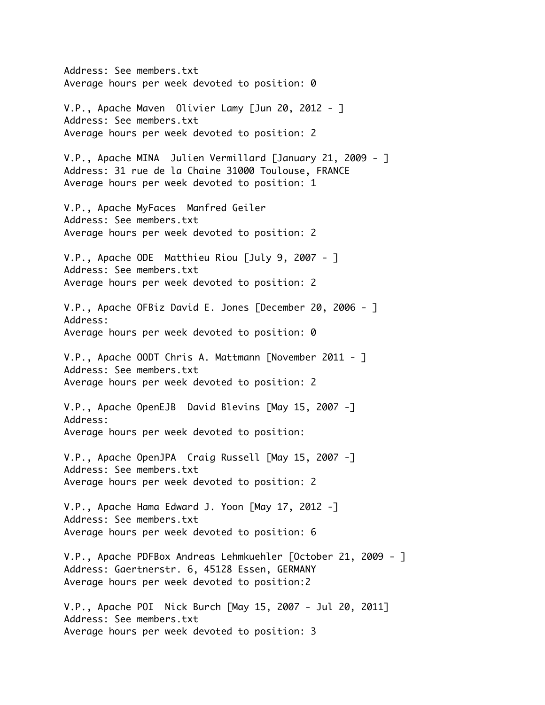Address: See members.txt Average hours per week devoted to position: 0 V.P., Apache Maven Olivier Lamy [Jun 20, 2012 - ] Address: See members.txt Average hours per week devoted to position: 2 V.P., Apache MINA Julien Vermillard [January 21, 2009 - ] Address: 31 rue de la Chaine 31000 Toulouse, FRANCE Average hours per week devoted to position: 1 V.P., Apache MyFaces Manfred Geiler Address: See members.txt Average hours per week devoted to position: 2 V.P., Apache ODE Matthieu Riou [July 9, 2007 - ] Address: See members.txt Average hours per week devoted to position: 2 V.P., Apache OFBiz David E. Jones [December 20, 2006 - ] Address: Average hours per week devoted to position: 0 V.P., Apache OODT Chris A. Mattmann [November 2011 - ] Address: See members.txt Average hours per week devoted to position: 2 V.P., Apache OpenEJB David Blevins [May 15, 2007 -] Address: Average hours per week devoted to position: V.P., Apache OpenJPA Craig Russell [May 15, 2007 -] Address: See members.txt Average hours per week devoted to position: 2 V.P., Apache Hama Edward J. Yoon [May 17, 2012 -] Address: See members.txt Average hours per week devoted to position: 6 V.P., Apache PDFBox Andreas Lehmkuehler [October 21, 2009 - ] Address: Gaertnerstr. 6, 45128 Essen, GERMANY Average hours per week devoted to position:2 V.P., Apache POI Nick Burch [May 15, 2007 - Jul 20, 2011] Address: See members.txt Average hours per week devoted to position: 3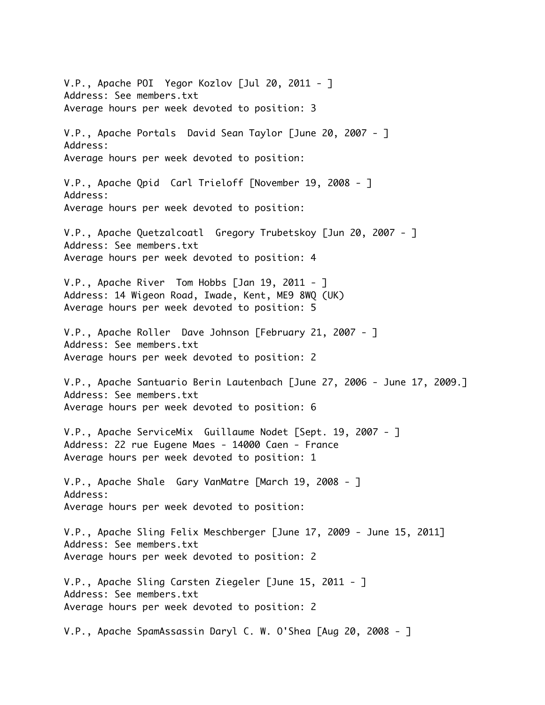V.P., Apache POI Yegor Kozlov [Jul 20, 2011 - ] Address: See members.txt Average hours per week devoted to position: 3 V.P., Apache Portals David Sean Taylor [June 20, 2007 - ] Address: Average hours per week devoted to position: V.P., Apache Qpid Carl Trieloff [November 19, 2008 - ] Address: Average hours per week devoted to position: V.P., Apache Quetzalcoatl Gregory Trubetskoy [Jun 20, 2007 - ] Address: See members.txt Average hours per week devoted to position: 4 V.P., Apache River Tom Hobbs [Jan 19, 2011 - ] Address: 14 Wigeon Road, Iwade, Kent, ME9 8WQ (UK) Average hours per week devoted to position: 5 V.P., Apache Roller Dave Johnson [February 21, 2007 - ] Address: See members.txt Average hours per week devoted to position: 2 V.P., Apache Santuario Berin Lautenbach [June 27, 2006 - June 17, 2009.] Address: See members.txt Average hours per week devoted to position: 6 V.P., Apache ServiceMix Guillaume Nodet [Sept. 19, 2007 - ] Address: 22 rue Eugene Maes - 14000 Caen - France Average hours per week devoted to position: 1 V.P., Apache Shale Gary VanMatre [March 19, 2008 - ] Address: Average hours per week devoted to position: V.P., Apache Sling Felix Meschberger [June 17, 2009 - June 15, 2011] Address: See members.txt Average hours per week devoted to position: 2 V.P., Apache Sling Carsten Ziegeler [June 15, 2011 - ] Address: See members.txt Average hours per week devoted to position: 2 V.P., Apache SpamAssassin Daryl C. W. O'Shea [Aug 20, 2008 - ]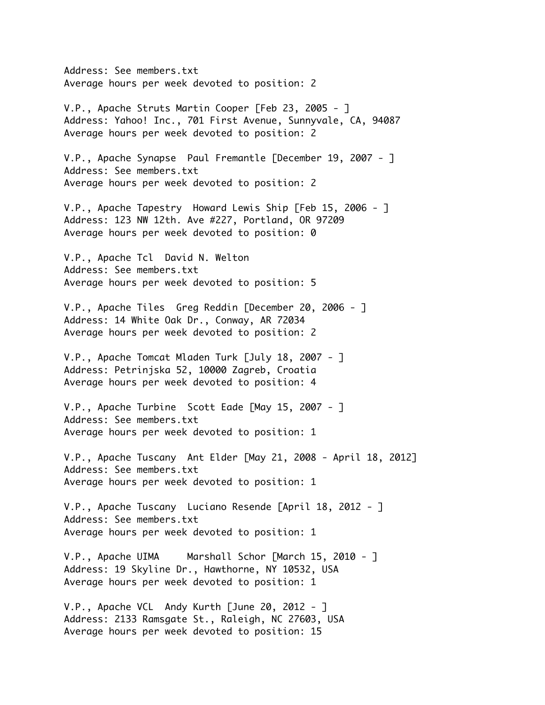Address: See members.txt Average hours per week devoted to position: 2

V.P., Apache Struts Martin Cooper [Feb 23, 2005 - ] Address: Yahoo! Inc., 701 First Avenue, Sunnyvale, CA, 94087 Average hours per week devoted to position: 2

V.P., Apache Synapse Paul Fremantle [December 19, 2007 - ] Address: See members.txt Average hours per week devoted to position: 2

V.P., Apache Tapestry Howard Lewis Ship [Feb 15, 2006 - ] Address: 123 NW 12th. Ave #227, Portland, OR 97209 Average hours per week devoted to position: 0

V.P., Apache Tcl David N. Welton Address: See members.txt Average hours per week devoted to position: 5

V.P., Apache Tiles Greg Reddin [December 20, 2006 - ] Address: 14 White Oak Dr., Conway, AR 72034 Average hours per week devoted to position: 2

V.P., Apache Tomcat Mladen Turk [July 18, 2007 - ] Address: Petrinjska 52, 10000 Zagreb, Croatia Average hours per week devoted to position: 4

V.P., Apache Turbine Scott Eade [May 15, 2007 - ] Address: See members.txt Average hours per week devoted to position: 1

V.P., Apache Tuscany Ant Elder [May 21, 2008 - April 18, 2012] Address: See members.txt Average hours per week devoted to position: 1

V.P., Apache Tuscany Luciano Resende [April 18, 2012 - ] Address: See members.txt Average hours per week devoted to position: 1

V.P., Apache UIMA Marshall Schor [March 15, 2010 - ] Address: 19 Skyline Dr., Hawthorne, NY 10532, USA Average hours per week devoted to position: 1

V.P., Apache VCL Andy Kurth [June 20, 2012 - ] Address: 2133 Ramsgate St., Raleigh, NC 27603, USA Average hours per week devoted to position: 15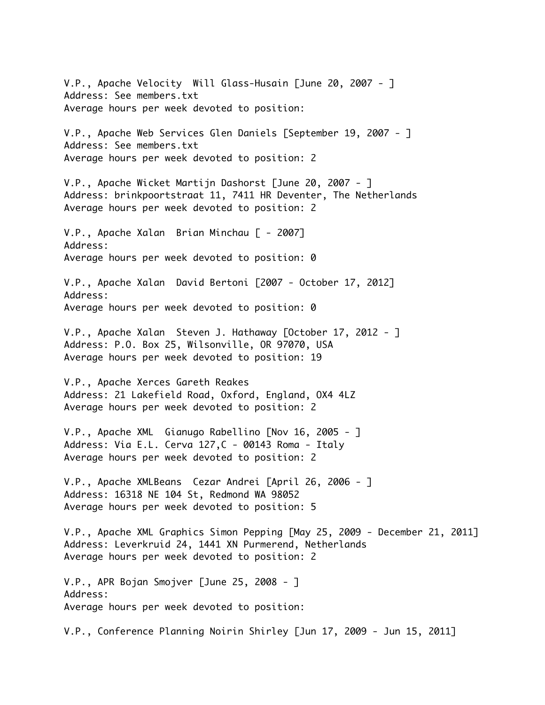V.P., Apache Velocity Will Glass-Husain [June 20, 2007 - ] Address: See members.txt Average hours per week devoted to position: V.P., Apache Web Services Glen Daniels [September 19, 2007 - ] Address: See members.txt Average hours per week devoted to position: 2 V.P., Apache Wicket Martijn Dashorst [June 20, 2007 - ] Address: brinkpoortstraat 11, 7411 HR Deventer, The Netherlands Average hours per week devoted to position: 2 V.P., Apache Xalan Brian Minchau [ - 2007] Address: Average hours per week devoted to position: 0 V.P., Apache Xalan David Bertoni [2007 - October 17, 2012] Address: Average hours per week devoted to position: 0 V.P., Apache Xalan Steven J. Hathaway [October 17, 2012 - ] Address: P.O. Box 25, Wilsonville, OR 97070, USA Average hours per week devoted to position: 19 V.P., Apache Xerces Gareth Reakes Address: 21 Lakefield Road, Oxford, England, OX4 4LZ Average hours per week devoted to position: 2 V.P., Apache XML Gianugo Rabellino [Nov 16, 2005 - ] Address: Via E.L. Cerva 127,C - 00143 Roma - Italy Average hours per week devoted to position: 2 V.P., Apache XMLBeans Cezar Andrei [April 26, 2006 - ] Address: 16318 NE 104 St, Redmond WA 98052 Average hours per week devoted to position: 5 V.P., Apache XML Graphics Simon Pepping [May 25, 2009 - December 21, 2011] Address: Leverkruid 24, 1441 XN Purmerend, Netherlands Average hours per week devoted to position: 2 V.P., APR Bojan Smojver [June 25, 2008 - ] Address: Average hours per week devoted to position:

V.P., Conference Planning Noirin Shirley [Jun 17, 2009 - Jun 15, 2011]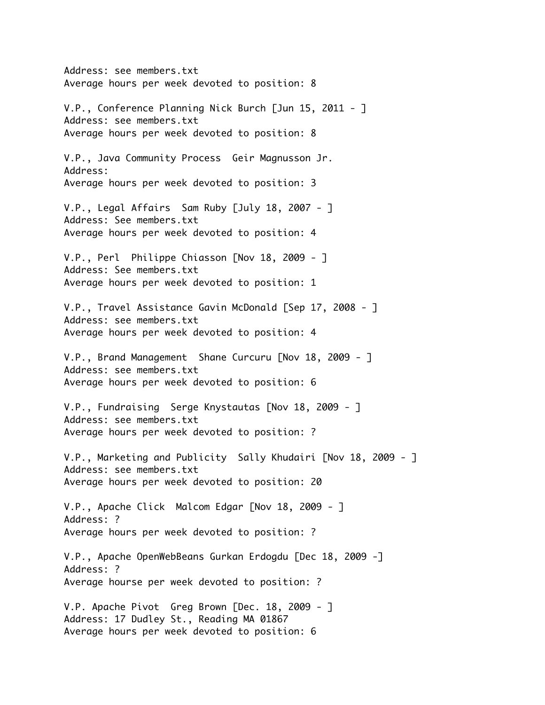Address: see members.txt Average hours per week devoted to position: 8 V.P., Conference Planning Nick Burch [Jun 15, 2011 - ] Address: see members.txt Average hours per week devoted to position: 8 V.P., Java Community Process Geir Magnusson Jr. Address: Average hours per week devoted to position: 3 V.P., Legal Affairs Sam Ruby [July 18, 2007 - ] Address: See members.txt Average hours per week devoted to position: 4 V.P., Perl Philippe Chiasson [Nov 18, 2009 - ] Address: See members.txt Average hours per week devoted to position: 1 V.P., Travel Assistance Gavin McDonald [Sep 17, 2008 - ] Address: see members.txt Average hours per week devoted to position: 4 V.P., Brand Management Shane Curcuru [Nov 18, 2009 - ] Address: see members.txt Average hours per week devoted to position: 6 V.P., Fundraising Serge Knystautas [Nov 18, 2009 - ] Address: see members.txt Average hours per week devoted to position: ? V.P., Marketing and Publicity Sally Khudairi [Nov 18, 2009 - ] Address: see members.txt Average hours per week devoted to position: 20 V.P., Apache Click Malcom Edgar [Nov 18, 2009 - ] Address: ? Average hours per week devoted to position: ? V.P., Apache OpenWebBeans Gurkan Erdogdu [Dec 18, 2009 -] Address: ? Average hourse per week devoted to position: ? V.P. Apache Pivot Greg Brown [Dec. 18, 2009 - ] Address: 17 Dudley St., Reading MA 01867 Average hours per week devoted to position: 6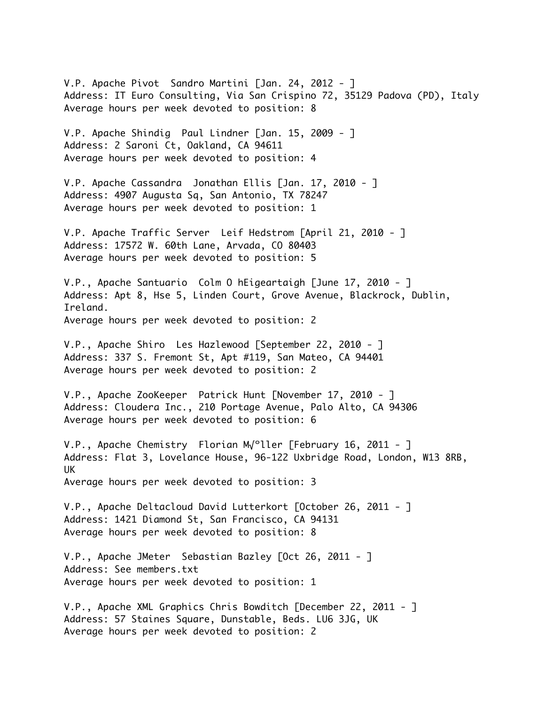V.P. Apache Pivot Sandro Martini [Jan. 24, 2012 - ] Address: IT Euro Consulting, Via San Crispino 72, 35129 Padova (PD), Italy Average hours per week devoted to position: 8

V.P. Apache Shindig Paul Lindner [Jan. 15, 2009 - ] Address: 2 Saroni Ct, Oakland, CA 94611 Average hours per week devoted to position: 4

V.P. Apache Cassandra Jonathan Ellis [Jan. 17, 2010 - ] Address: 4907 Augusta Sq, San Antonio, TX 78247 Average hours per week devoted to position: 1

V.P. Apache Traffic Server Leif Hedstrom [April 21, 2010 - ] Address: 17572 W. 60th Lane, Arvada, CO 80403 Average hours per week devoted to position: 5

V.P., Apache Santuario Colm O hEigeartaigh [June 17, 2010 - ] Address: Apt 8, Hse 5, Linden Court, Grove Avenue, Blackrock, Dublin, Ireland. Average hours per week devoted to position: 2

V.P., Apache Shiro Les Hazlewood [September 22, 2010 - ] Address: 337 S. Fremont St, Apt #119, San Mateo, CA 94401 Average hours per week devoted to position: 2

V.P., Apache ZooKeeper Patrick Hunt [November 17, 2010 - ] Address: Cloudera Inc., 210 Portage Avenue, Palo Alto, CA 94306 Average hours per week devoted to position: 6

V.P., Apache Chemistry Florian M√ºller [February 16, 2011 - ] Address: Flat 3, Lovelance House, 96-122 Uxbridge Road, London, W13 8RB, UK Average hours per week devoted to position: 3

V.P., Apache Deltacloud David Lutterkort [October 26, 2011 - ] Address: 1421 Diamond St, San Francisco, CA 94131 Average hours per week devoted to position: 8

V.P., Apache JMeter Sebastian Bazley [Oct 26, 2011 - ] Address: See members.txt Average hours per week devoted to position: 1

V.P., Apache XML Graphics Chris Bowditch [December 22, 2011 - ] Address: 57 Staines Square, Dunstable, Beds. LU6 3JG, UK Average hours per week devoted to position: 2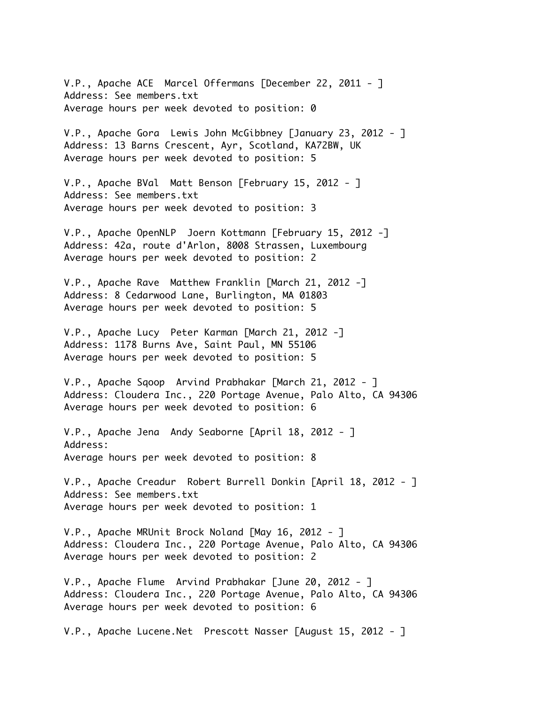V.P., Apache ACE Marcel Offermans [December 22, 2011 - ] Address: See members.txt Average hours per week devoted to position: 0

V.P., Apache Gora Lewis John McGibbney [January 23, 2012 - ] Address: 13 Barns Crescent, Ayr, Scotland, KA72BW, UK Average hours per week devoted to position: 5

V.P., Apache BVal Matt Benson [February 15, 2012 - ] Address: See members.txt Average hours per week devoted to position: 3

V.P., Apache OpenNLP Joern Kottmann [February 15, 2012 -] Address: 42a, route d'Arlon, 8008 Strassen, Luxembourg Average hours per week devoted to position: 2

V.P., Apache Rave Matthew Franklin [March 21, 2012 -] Address: 8 Cedarwood Lane, Burlington, MA 01803 Average hours per week devoted to position: 5

V.P., Apache Lucy Peter Karman [March 21, 2012 -] Address: 1178 Burns Ave, Saint Paul, MN 55106 Average hours per week devoted to position: 5

V.P., Apache Sqoop Arvind Prabhakar [March 21, 2012 - ] Address: Cloudera Inc., 220 Portage Avenue, Palo Alto, CA 94306 Average hours per week devoted to position: 6

V.P., Apache Jena Andy Seaborne [April 18, 2012 - ] Address: Average hours per week devoted to position: 8

V.P., Apache Creadur Robert Burrell Donkin [April 18, 2012 - ] Address: See members.txt Average hours per week devoted to position: 1

V.P., Apache MRUnit Brock Noland [May 16, 2012 - ] Address: Cloudera Inc., 220 Portage Avenue, Palo Alto, CA 94306 Average hours per week devoted to position: 2

V.P., Apache Flume Arvind Prabhakar [June 20, 2012 - ] Address: Cloudera Inc., 220 Portage Avenue, Palo Alto, CA 94306 Average hours per week devoted to position: 6

V.P., Apache Lucene.Net Prescott Nasser [August 15, 2012 - ]